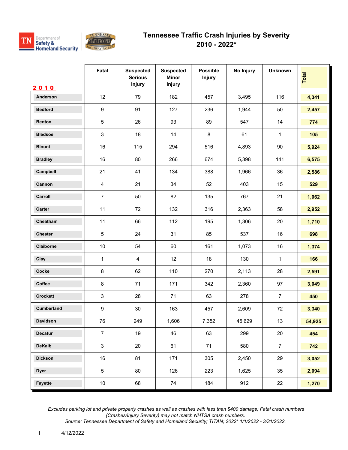



|                   | Fatal            | <b>Suspected</b><br><b>Serious</b><br><b>Injury</b> | <b>Suspected</b><br><b>Minor</b><br>Injury | <b>Possible</b><br><b>Injury</b> | No Injury | <b>Unknown</b> | Total  |
|-------------------|------------------|-----------------------------------------------------|--------------------------------------------|----------------------------------|-----------|----------------|--------|
| 2010<br>Anderson  | 12               | 79                                                  | 182                                        | 457                              | 3,495     | 116            | 4,341  |
| <b>Bedford</b>    | $\boldsymbol{9}$ | 91                                                  | 127                                        | 236                              | 1,944     | 50             | 2,457  |
| <b>Benton</b>     | $\mathbf 5$      | 26                                                  | 93                                         | 89                               | 547       | 14             |        |
|                   |                  |                                                     |                                            |                                  |           |                | 774    |
| <b>Bledsoe</b>    | 3                | 18                                                  | 14                                         | 8                                | 61        | $\mathbf{1}$   | 105    |
| <b>Blount</b>     | 16               | 115                                                 | 294                                        | 516                              | 4,893     | $90\,$         | 5,924  |
| <b>Bradley</b>    | 16               | 80                                                  | 266                                        | 674                              | 5,398     | 141            | 6,575  |
| Campbell          | 21               | 41                                                  | 134                                        | 388                              | 1,966     | 36             | 2,586  |
| Cannon            | $\overline{4}$   | 21                                                  | 34                                         | 52                               | 403       | 15             | 529    |
| Carroll           | $\overline{7}$   | 50                                                  | 82                                         | 135                              | 767       | 21             | 1,062  |
| Carter            | 11               | 72                                                  | 132                                        | 316                              | 2,363     | 58             | 2,952  |
| Cheatham          | 11               | 66                                                  | 112                                        | 195                              | 1,306     | 20             | 1,710  |
| <b>Chester</b>    | $5\,$            | 24                                                  | 31                                         | 85                               | 537       | 16             | 698    |
| Claiborne         | $10$             | 54                                                  | 60                                         | 161                              | 1,073     | 16             | 1,374  |
| Clay              | $\mathbf 1$      | $\overline{4}$                                      | 12                                         | 18                               | 130       | $\mathbf{1}$   | 166    |
| Cocke             | $\bf 8$          | 62                                                  | 110                                        | 270                              | 2,113     | 28             | 2,591  |
| Coffee            | $\bf 8$          | 71                                                  | 171                                        | 342                              | 2,360     | 97             | 3,049  |
| <b>Crockett</b>   | $\mathbf{3}$     | 28                                                  | 71                                         | 63                               | 278       | $\overline{7}$ | 450    |
| <b>Cumberland</b> | $\boldsymbol{9}$ | $30\,$                                              | 163                                        | 457                              | 2,609     | 72             | 3,340  |
| Davidson          | ${\bf 76}$       | 249                                                 | 1,606                                      | 7,352                            | 45,629    | 13             | 54,925 |
| Decatur           | $\overline{7}$   | 19                                                  | 46                                         | 63                               | 299       | 20             | 454    |
| <b>DeKalb</b>     | 3                | 20                                                  | 61                                         | 71                               | 580       | $\overline{7}$ | 742    |
| <b>Dickson</b>    | 16               | 81                                                  | 171                                        | 305                              | 2,450     | 29             | 3,052  |
| <b>Dyer</b>       | $\sqrt{5}$       | 80                                                  | 126                                        | 223                              | 1,625     | 35             | 2,094  |
| Fayette           | 10               | 68                                                  | 74                                         | 184                              | 912       | 22             | 1,270  |

 *Excludes parking lot and private property crashes as well as crashes with less than \$400 damage; Fatal crash numbers (Crashes/Injury Severity) may not match NHTSA crash numbers.*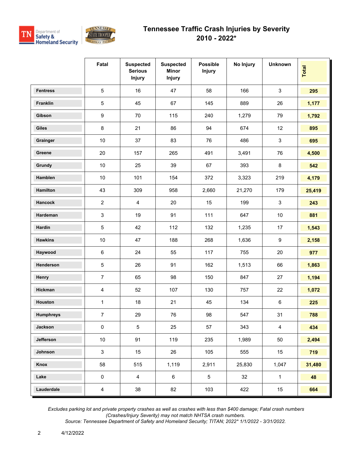



|                  | Fatal            | <b>Suspected</b><br><b>Serious</b><br><b>Injury</b> | <b>Suspected</b><br><b>Minor</b><br><b>Injury</b> | <b>Possible</b><br><b>Injury</b> | No Injury | <b>Unknown</b>   | Total  |
|------------------|------------------|-----------------------------------------------------|---------------------------------------------------|----------------------------------|-----------|------------------|--------|
| <b>Fentress</b>  | $\sqrt{5}$       | 16                                                  | 47                                                | 58                               | 166       | $\mathbf{3}$     | 295    |
| Franklin         | $\sqrt{5}$       | 45                                                  | 67                                                | 145                              | 889       | 26               | 1,177  |
| Gibson           | $\boldsymbol{9}$ | 70                                                  | 115                                               | 240                              | 1,279     | 79               | 1,792  |
| <b>Giles</b>     | $\bf 8$          | 21                                                  | 86                                                | 94                               | 674       | 12               | 895    |
| Grainger         | $10$             | 37                                                  | 83                                                | 76                               | 486       | $\mathsf 3$      | 695    |
| Greene           | 20               | 157                                                 | 265                                               | 491                              | 3,491     | 76               | 4,500  |
| Grundy           | 10               | 25                                                  | 39                                                | 67                               | 393       | $\bf 8$          | 542    |
| Hamblen          | $10$             | 101                                                 | 154                                               | 372                              | 3,323     | 219              | 4,179  |
| Hamilton         | 43               | 309                                                 | 958                                               | 2,660                            | 21,270    | 179              | 25,419 |
| Hancock          | 2                | $\overline{4}$                                      | 20                                                | 15                               | 199       | $\mathbf{3}$     | 243    |
| Hardeman         | $\mathsf 3$      | 19                                                  | 91                                                | 111                              | 647       | $10$             | 881    |
| Hardin           | $\,$ 5 $\,$      | 42                                                  | 112                                               | 132                              | 1,235     | 17               | 1,543  |
| <b>Hawkins</b>   | $10$             | 47                                                  | 188                                               | 268                              | 1,636     | $\boldsymbol{9}$ | 2,158  |
| Haywood          | $\,6\,$          | 24                                                  | 55                                                | 117                              | 755       | 20               | 977    |
| Henderson        | $\sqrt{5}$       | 26                                                  | 91                                                | 162                              | 1,513     | 66               | 1,863  |
| Henry            | $\overline{7}$   | 65                                                  | 98                                                | 150                              | 847       | 27               | 1,194  |
| Hickman          | $\overline{4}$   | 52                                                  | 107                                               | 130                              | 757       | 22               | 1,072  |
| Houston          | 1                | 18                                                  | 21                                                | 45                               | 134       | $\,6\,$          | 225    |
| <b>Humphreys</b> | $\overline{7}$   | 29                                                  | 76                                                | 98                               | 547       | 31               | 788    |
| Jackson          | $\pmb{0}$        | 5                                                   | 25                                                | 57                               | 343       | $\overline{4}$   | 434    |
| Jefferson        | $10$             | 91                                                  | 119                                               | 235                              | 1,989     | 50               | 2,494  |
| Johnson          | $\mathbf{3}$     | 15                                                  | 26                                                | 105                              | 555       | 15               | 719    |
| Knox             | 58               | 515                                                 | 1,119                                             | 2,911                            | 25,830    | 1,047            | 31,480 |
| Lake             | $\pmb{0}$        | $\overline{4}$                                      | 6                                                 | $\sqrt{5}$                       | 32        | $\mathbf{1}$     | 48     |
| Lauderdale       | $\overline{4}$   | 38                                                  | 82                                                | 103                              | 422       | $15\,$           | 664    |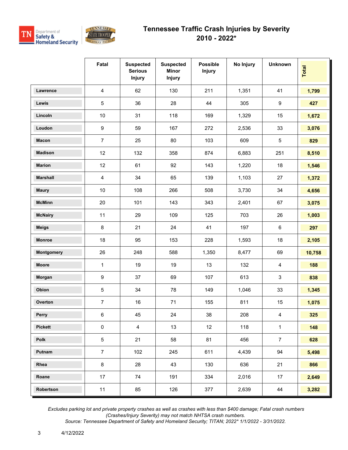



|                 | Fatal                   | <b>Suspected</b><br><b>Serious</b><br><b>Injury</b> | <b>Suspected</b><br><b>Minor</b><br><b>Injury</b> | <b>Possible</b><br><b>Injury</b> | No Injury | <b>Unknown</b>   | Total  |
|-----------------|-------------------------|-----------------------------------------------------|---------------------------------------------------|----------------------------------|-----------|------------------|--------|
| Lawrence        | $\overline{\mathbf{4}}$ | 62                                                  | 130                                               | 211                              | 1,351     | 41               | 1,799  |
| Lewis           | $\,$ 5 $\,$             | 36                                                  | 28                                                | 44                               | 305       | $\boldsymbol{9}$ | 427    |
| Lincoln         | $10$                    | 31                                                  | 118                                               | 169                              | 1,329     | 15               | 1,672  |
| Loudon          | $\boldsymbol{9}$        | 59                                                  | 167                                               | 272                              | 2,536     | 33               | 3,076  |
| <b>Macon</b>    | $\overline{7}$          | 25                                                  | 80                                                | 103                              | 609       | $\sqrt{5}$       | 829    |
| <b>Madison</b>  | 12                      | 132                                                 | 358                                               | 874                              | 6,883     | 251              | 8,510  |
| <b>Marion</b>   | 12                      | 61                                                  | 92                                                | 143                              | 1,220     | 18               | 1,546  |
| <b>Marshall</b> | $\overline{4}$          | 34                                                  | 65                                                | 139                              | 1,103     | 27               | 1,372  |
| <b>Maury</b>    | 10                      | 108                                                 | 266                                               | 508                              | 3,730     | 34               | 4,656  |
| <b>McMinn</b>   | $20\,$                  | 101                                                 | 143                                               | 343                              | 2,401     | 67               | 3,075  |
| <b>McNairy</b>  | 11                      | 29                                                  | 109                                               | 125                              | 703       | 26               | 1,003  |
| <b>Meigs</b>    | $\bf 8$                 | 21                                                  | 24                                                | 41                               | 197       | $\,6\,$          | 297    |
| <b>Monroe</b>   | 18                      | 95                                                  | 153                                               | 228                              | 1,593     | 18               | 2,105  |
| Montgomery      | 26                      | 248                                                 | 588                                               | 1,350                            | 8,477     | 69               | 10,758 |
| Moore           | $\mathbf{1}$            | 19                                                  | 19                                                | 13                               | 132       | $\overline{4}$   | 188    |
| Morgan          | $\boldsymbol{9}$        | 37                                                  | 69                                                | 107                              | 613       | $\mathbf{3}$     | 838    |
| Obion           | $\,$ 5 $\,$             | 34                                                  | 78                                                | 149                              | 1,046     | 33               | 1,345  |
| Overton         | $\overline{7}$          | 16                                                  | 71                                                | 155                              | 811       | 15               | 1,075  |
| Perry           | 6                       | 45                                                  | 24                                                | 38                               | 208       | $\overline{4}$   | 325    |
| <b>Pickett</b>  | $\pmb{0}$               | $\overline{4}$                                      | 13                                                | 12                               | 118       | $\mathbf{1}$     | 148    |
| Polk            | $\,$ 5 $\,$             | 21                                                  | 58                                                | 81                               | 456       | $\overline{7}$   | 628    |
| Putnam          | $\overline{7}$          | 102                                                 | 245                                               | 611                              | 4,439     | 94               | 5,498  |
| Rhea            | $\bf 8$                 | 28                                                  | 43                                                | 130                              | 636       | 21               | 866    |
| Roane           | 17                      | 74                                                  | 191                                               | 334                              | 2,016     | 17               | 2,649  |
| Robertson       | 11                      | 85                                                  | 126                                               | 377                              | 2,639     | 44               | 3,282  |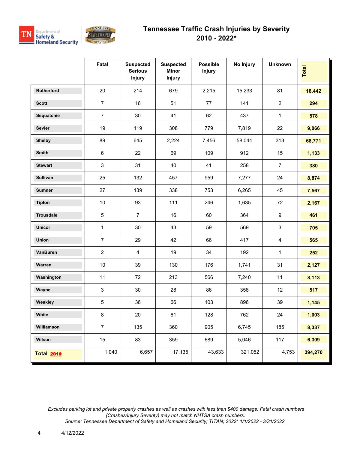



|                   | Fatal          | <b>Suspected</b><br><b>Serious</b><br><b>Injury</b> | <b>Suspected</b><br><b>Minor</b><br><b>Injury</b> | <b>Possible</b><br><b>Injury</b> | No Injury | <b>Unknown</b>   | <b>Total</b> |
|-------------------|----------------|-----------------------------------------------------|---------------------------------------------------|----------------------------------|-----------|------------------|--------------|
| Rutherford        | 20             | 214                                                 | 679                                               | 2,215                            | 15,233    | 81               | 18,442       |
| <b>Scott</b>      | $\overline{7}$ | 16                                                  | 51                                                | 77                               | 141       | $\overline{2}$   | 294          |
| Sequatchie        | $\overline{7}$ | 30                                                  | 41                                                | 62                               | 437       | $\mathbf{1}$     | 578          |
| <b>Sevier</b>     | 19             | 119                                                 | 308                                               | 779                              | 7,819     | 22               | 9,066        |
| <b>Shelby</b>     | 89             | 645                                                 | 2,224                                             | 7,456                            | 58,044    | 313              | 68,771       |
| Smith             | $\,6\,$        | 22                                                  | 69                                                | 109                              | 912       | 15               | 1,133        |
| <b>Stewart</b>    | 3              | 31                                                  | 40                                                | 41                               | 258       | $\overline{7}$   | 380          |
| <b>Sullivan</b>   | 25             | 132                                                 | 457                                               | 959                              | 7,277     | 24               | 8,874        |
| <b>Sumner</b>     | 27             | 139                                                 | 338                                               | 753                              | 6,265     | 45               | 7,567        |
| <b>Tipton</b>     | 10             | 93                                                  | 111                                               | 246                              | 1,635     | 72               | 2,167        |
| <b>Trousdale</b>  | $\,$ 5 $\,$    | $\overline{7}$                                      | 16                                                | 60                               | 364       | $\boldsymbol{9}$ | 461          |
| Unicoi            | $\mathbf{1}$   | 30                                                  | 43                                                | 59                               | 569       | $\mathfrak{S}$   | 705          |
| <b>Union</b>      | $\overline{7}$ | 29                                                  | 42                                                | 66                               | 417       | $\overline{4}$   | 565          |
| VanBuren          | $\overline{2}$ | $\overline{4}$                                      | 19                                                | 34                               | 192       | $\mathbf{1}$     | 252          |
| Warren            | 10             | 39                                                  | 130                                               | 176                              | 1,741     | 31               | 2,127        |
| Washington        | 11             | 72                                                  | 213                                               | 566                              | 7,240     | 11               | 8,113        |
| Wayne             | $\mathsf 3$    | 30                                                  | 28                                                | 86                               | 358       | 12               | 517          |
| Weakley           | $\,$ 5 $\,$    | 36                                                  | 66                                                | 103                              | 896       | 39               | 1,145        |
| White             | 8              | 20                                                  | 61                                                | 128                              | 762       | 24               | 1,003        |
| Williamson        | $\overline{7}$ | 135                                                 | 360                                               | 905                              | 6,745     | 185              | 8,337        |
| Wilson            | 15             | 83                                                  | 359                                               | 689                              | 5,046     | 117              | 6,309        |
| <b>Total 2010</b> | 1,040          | 6,657                                               | 17,135                                            | 43,633                           | 321,052   | 4,753            | 394,270      |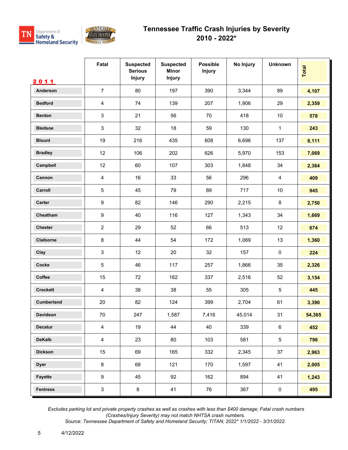



|                   | Fatal                     | <b>Suspected</b><br><b>Serious</b><br>Injury | <b>Suspected</b><br><b>Minor</b><br>Injury | <b>Possible</b><br><b>Injury</b> | No Injury | <b>Unknown</b> | Total  |
|-------------------|---------------------------|----------------------------------------------|--------------------------------------------|----------------------------------|-----------|----------------|--------|
| 2011              |                           |                                              |                                            |                                  |           |                |        |
| Anderson          | $\overline{7}$            | 80                                           | 197                                        | 390                              | 3,344     | 89             | 4,107  |
| <b>Bedford</b>    | $\overline{4}$            | 74                                           | 139                                        | 207                              | 1,906     | 29             | 2,359  |
| <b>Benton</b>     | $\ensuremath{\mathsf{3}}$ | 21                                           | 56                                         | 70                               | 418       | 10             | 578    |
| <b>Bledsoe</b>    | 3                         | 32                                           | 18                                         | 59                               | 130       | $\mathbf{1}$   | 243    |
| <b>Blount</b>     | 19                        | 216                                          | 435                                        | 608                              | 6,696     | 137            | 8,111  |
| <b>Bradley</b>    | 12                        | 106                                          | 202                                        | 626                              | 5,970     | 153            | 7,069  |
| Campbell          | 12                        | 60                                           | 107                                        | 303                              | 1,848     | 34             | 2,364  |
| Cannon            | $\overline{4}$            | 16                                           | 33                                         | 56                               | 296       | $\overline{4}$ | 409    |
| Carroll           | 5                         | 45                                           | 79                                         | 89                               | 717       | 10             | 945    |
| Carter            | $\boldsymbol{9}$          | 82                                           | 146                                        | 290                              | 2,215     | 8              | 2,750  |
| Cheatham          | $\boldsymbol{9}$          | 40                                           | 116                                        | 127                              | 1,343     | 34             | 1,669  |
| <b>Chester</b>    | $\overline{2}$            | 29                                           | 52                                         | 66                               | 513       | 12             | 674    |
| Claiborne         | $\bf 8$                   | 44                                           | 54                                         | 172                              | 1,069     | 13             | 1,360  |
| Clay              | 3                         | 12                                           | 20                                         | 32                               | 157       | $\pmb{0}$      | 224    |
| Cocke             | 5                         | 46                                           | 117                                        | 257                              | 1,866     | 35             | 2,326  |
| Coffee            | 15                        | 72                                           | 162                                        | 337                              | 2,516     | 52             | 3,154  |
| <b>Crockett</b>   | $\overline{4}$            | 38                                           | 38                                         | 55                               | 305       | $\sqrt{5}$     | 445    |
| <b>Cumberland</b> | 20                        | 82                                           | 124                                        | 399                              | 2,704     | 61             | 3,390  |
| Davidson          | 70                        | 247                                          | 1,587                                      | 7,416                            | 45,014    | 31             | 54,365 |
| Decatur           | $\overline{4}$            | 19                                           | 44                                         | 40                               | 339       | $\,6\,$        | 452    |
| <b>DeKalb</b>     | $\overline{4}$            | 23                                           | 80                                         | 103                              | 581       | $\overline{5}$ | 796    |
| <b>Dickson</b>    | 15                        | 69                                           | 165                                        | 332                              | 2,345     | 37             | 2,963  |
| <b>Dyer</b>       | $\bf 8$                   | 68                                           | 121                                        | 170                              | 1,597     | 41             | 2,005  |
| Fayette           | $\boldsymbol{9}$          | 45                                           | 92                                         | 162                              | 894       | 41             | 1,243  |
| <b>Fentress</b>   | $\mathsf 3$               | 8                                            | 41                                         | 76                               | 367       | $\pmb{0}$      | 495    |

 *Excludes parking lot and private property crashes as well as crashes with less than \$400 damage; Fatal crash numbers (Crashes/Injury Severity) may not match NHTSA crash numbers.*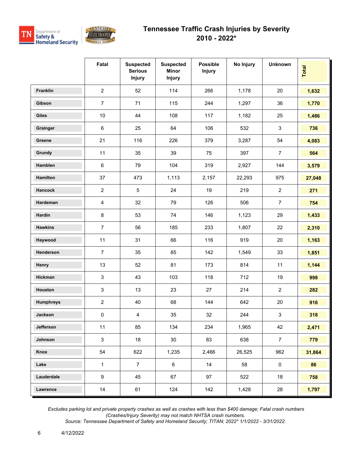



|                  | Fatal                   | <b>Suspected</b><br><b>Serious</b><br><b>Injury</b> | <b>Suspected</b><br><b>Minor</b><br><b>Injury</b> | <b>Possible</b><br><b>Injury</b> | No Injury | <b>Unknown</b> | Total  |
|------------------|-------------------------|-----------------------------------------------------|---------------------------------------------------|----------------------------------|-----------|----------------|--------|
| Franklin         | 2                       | 52                                                  | 114                                               | 266                              | 1,178     | 20             | 1,632  |
| Gibson           | $\overline{7}$          | 71                                                  | 115                                               | 244                              | 1,297     | 36             | 1,770  |
| <b>Giles</b>     | 10                      | 44                                                  | 108                                               | 117                              | 1,182     | 25             | 1,486  |
| Grainger         | $\,6\,$                 | 25                                                  | 64                                                | 106                              | 532       | $\sqrt{3}$     | 736    |
| Greene           | 21                      | 116                                                 | 226                                               | 379                              | 3,287     | 54             | 4,083  |
| Grundy           | 11                      | 35                                                  | 39                                                | 75                               | 397       | $\overline{7}$ | 564    |
| Hamblen          | $\,6\,$                 | 79                                                  | 104                                               | 319                              | 2,927     | 144            | 3,579  |
| Hamilton         | 37                      | 473                                                 | 1,113                                             | 2,157                            | 22,293    | 975            | 27,048 |
| <b>Hancock</b>   | $\overline{2}$          | 5                                                   | 24                                                | 19                               | 219       | $\overline{2}$ | 271    |
| Hardeman         | $\overline{\mathbf{4}}$ | 32                                                  | 79                                                | 126                              | 506       | $\overline{7}$ | 754    |
| Hardin           | $\bf 8$                 | 53                                                  | 74                                                | 146                              | 1,123     | 29             | 1,433  |
| <b>Hawkins</b>   | $\overline{7}$          | 56                                                  | 185                                               | 233                              | 1,807     | 22             | 2,310  |
| Haywood          | 11                      | 31                                                  | 66                                                | 116                              | 919       | 20             | 1,163  |
| Henderson        | $\overline{7}$          | 35                                                  | 85                                                | 142                              | 1,549     | 33             | 1,851  |
| Henry            | 13                      | 52                                                  | 81                                                | 173                              | 814       | 11             | 1,144  |
| Hickman          | 3                       | 43                                                  | 103                                               | 118                              | 712       | 19             | 998    |
| Houston          | $\mathsf 3$             | 13                                                  | 23                                                | 27                               | 214       | $\overline{2}$ | 282    |
| <b>Humphreys</b> | $\overline{c}$          | 40                                                  | 68                                                | 144                              | 642       | 20             | 916    |
| Jackson          | 0                       | 4                                                   | 35                                                | 32                               | 244       | 3              | 318    |
| Jefferson        | 11                      | 85                                                  | 134                                               | 234                              | 1,965     | 42             | 2,471  |
| Johnson          | $\mathbf{3}$            | 18                                                  | 30                                                | 83                               | 638       | $\overline{7}$ | 779    |
| Knox             | 54                      | 622                                                 | 1,235                                             | 2,466                            | 26,525    | 962            | 31,864 |
| Lake             | $\mathbf{1}$            | $\overline{7}$                                      | 6                                                 | 14                               | 58        | $\mathbf 0$    | 86     |
| Lauderdale       | 9                       | 45                                                  | 67                                                | 97                               | 522       | 18             | 758    |
| Lawrence         | 14                      | 61                                                  | 124                                               | 142                              | 1,428     | 28             | 1,797  |

 *Excludes parking lot and private property crashes as well as crashes with less than \$400 damage; Fatal crash numbers (Crashes/Injury Severity) may not match NHTSA crash numbers.*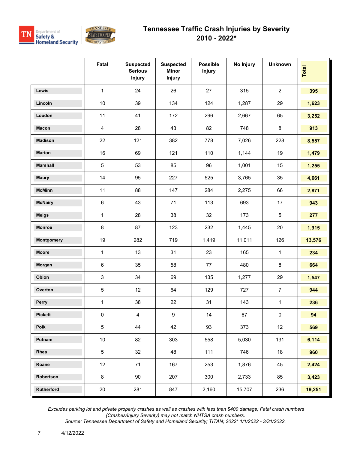

|                   | Fatal          | <b>Suspected</b><br><b>Serious</b><br><b>Injury</b> | <b>Suspected</b><br><b>Minor</b><br><b>Injury</b> | <b>Possible</b><br><b>Injury</b> | No Injury | <b>Unknown</b> | Total  |
|-------------------|----------------|-----------------------------------------------------|---------------------------------------------------|----------------------------------|-----------|----------------|--------|
| Lewis             | $\mathbf{1}$   | 24                                                  | 26                                                | 27                               | 315       | $\overline{2}$ | 395    |
| Lincoln           | 10             | 39                                                  | 134                                               | 124                              | 1,287     | 29             | 1,623  |
| Loudon            | 11             | 41                                                  | 172                                               | 296                              | 2,667     | 65             | 3,252  |
| Macon             | $\overline{4}$ | 28                                                  | 43                                                | 82                               | 748       | 8              | 913    |
| <b>Madison</b>    | 22             | 121                                                 | 382                                               | 778                              | 7,026     | 228            | 8,557  |
| <b>Marion</b>     | 16             | 69                                                  | 121                                               | 110                              | 1,144     | 19             | 1,479  |
| <b>Marshall</b>   | $\sqrt{5}$     | 53                                                  | 85                                                | 96                               | 1,001     | 15             | 1,255  |
| <b>Maury</b>      | 14             | 95                                                  | 227                                               | 525                              | 3,765     | 35             | 4,661  |
| <b>McMinn</b>     | 11             | 88                                                  | 147                                               | 284                              | 2,275     | 66             | 2,871  |
| <b>McNairy</b>    | $\,6\,$        | 43                                                  | 71                                                | 113                              | 693       | 17             | 943    |
| <b>Meigs</b>      | 1              | 28                                                  | 38                                                | 32                               | 173       | $\overline{5}$ | 277    |
| <b>Monroe</b>     | $\bf 8$        | 87                                                  | 123                                               | 232                              | 1,445     | 20             | 1,915  |
| <b>Montgomery</b> | 19             | 282                                                 | 719                                               | 1,419                            | 11,011    | 126            | 13,576 |
| <b>Moore</b>      | 1              | 13                                                  | 31                                                | 23                               | 165       | $\mathbf{1}$   | 234    |
| Morgan            | $\,6\,$        | 35                                                  | 58                                                | 77                               | 480       | 8              | 664    |
| Obion             | 3              | 34                                                  | 69                                                | 135                              | 1,277     | 29             | 1,547  |
| Overton           | $\sqrt{5}$     | 12                                                  | 64                                                | 129                              | 727       | $\overline{7}$ | 944    |
| Perry             | $\mathbf{1}$   | 38                                                  | 22                                                | 31                               | 143       | $\mathbf{1}$   | 236    |
| Pickett           | $\pmb{0}$      | $\overline{4}$                                      | 9                                                 | 14                               | 67        | $\pmb{0}$      | 94     |
| Polk              | $\overline{5}$ | 44                                                  | 42                                                | 93                               | 373       | 12             | 569    |
| Putnam            | 10             | 82                                                  | 303                                               | 558                              | 5,030     | 131            | 6,114  |
| Rhea              | $\,$ 5 $\,$    | 32                                                  | 48                                                | 111                              | 746       | 18             | 960    |
| Roane             | 12             | 71                                                  | 167                                               | 253                              | 1,876     | 45             | 2,424  |
| Robertson         | $\bf 8$        | 90                                                  | 207                                               | 300                              | 2,733     | 85             | 3,423  |
| Rutherford        | 20             | 281                                                 | 847                                               | 2,160                            | 15,707    | 236            | 19,251 |

 *Excludes parking lot and private property crashes as well as crashes with less than \$400 damage; Fatal crash numbers (Crashes/Injury Severity) may not match NHTSA crash numbers.*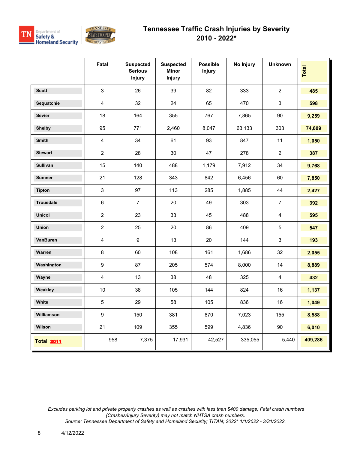



|                   | Fatal                   | <b>Suspected</b><br><b>Serious</b><br><b>Injury</b> | <b>Suspected</b><br>Minor<br><b>Injury</b> | <b>Possible</b><br><b>Injury</b> | No Injury | <b>Unknown</b>            | <b>Total</b> |
|-------------------|-------------------------|-----------------------------------------------------|--------------------------------------------|----------------------------------|-----------|---------------------------|--------------|
| <b>Scott</b>      | 3                       | 26                                                  | 39                                         | 82                               | 333       | $\overline{2}$            | 485          |
| Sequatchie        | 4                       | 32                                                  | 24                                         | 65                               | 470       | $\mathsf 3$               | 598          |
| <b>Sevier</b>     | 18                      | 164                                                 | 355                                        | 767                              | 7,865     | 90                        | 9,259        |
| <b>Shelby</b>     | 95                      | 771                                                 | 2,460                                      | 8,047                            | 63,133    | 303                       | 74,809       |
| <b>Smith</b>      | $\overline{4}$          | 34                                                  | 61                                         | 93                               | 847       | 11                        | 1,050        |
| <b>Stewart</b>    | $\overline{2}$          | 28                                                  | 30                                         | 47                               | 278       | $\overline{2}$            | 387          |
| <b>Sullivan</b>   | 15                      | 140                                                 | 488                                        | 1,179                            | 7,912     | 34                        | 9,768        |
| <b>Sumner</b>     | 21                      | 128                                                 | 343                                        | 842                              | 6,456     | 60                        | 7,850        |
| <b>Tipton</b>     | 3                       | 97                                                  | 113                                        | 285                              | 1,885     | 44                        | 2,427        |
| <b>Trousdale</b>  | 6                       | $\overline{7}$                                      | 20                                         | 49                               | 303       | $\overline{7}$            | 392          |
| <b>Unicoi</b>     | $\overline{2}$          | 23                                                  | 33                                         | 45                               | 488       | $\overline{4}$            | 595          |
| <b>Union</b>      | $\overline{2}$          | 25                                                  | 20                                         | 86                               | 409       | $\sqrt{5}$                | 547          |
| VanBuren          | $\overline{\mathbf{4}}$ | 9                                                   | 13                                         | 20                               | 144       | $\ensuremath{\mathsf{3}}$ | 193          |
| Warren            | 8                       | 60                                                  | 108                                        | 161                              | 1,686     | 32                        | 2,055        |
| Washington        | 9                       | 87                                                  | 205                                        | 574                              | 8,000     | 14                        | 8,889        |
| Wayne             | $\overline{\mathbf{4}}$ | 13                                                  | 38                                         | 48                               | 325       | $\overline{4}$            | 432          |
| Weakley           | 10                      | 38                                                  | 105                                        | 144                              | 824       | 16                        | 1,137        |
| White             | 5                       | 29                                                  | 58                                         | 105                              | 836       | 16                        | 1,049        |
| Williamson        | 9                       | 150                                                 | 381                                        | 870                              | 7,023     | 155                       | 8,588        |
| Wilson            | 21                      | 109                                                 | 355                                        | 599                              | 4,836     | 90                        | 6,010        |
| <b>Total 2011</b> | 958                     | 7,375                                               | 17,931                                     | 42,527                           | 335,055   | 5,440                     | 409,286      |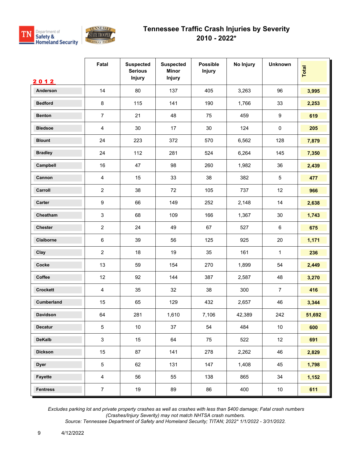



|                 | Fatal                     | <b>Suspected</b><br><b>Serious</b><br><b>Injury</b> | <b>Suspected</b><br><b>Minor</b><br>Injury | <b>Possible</b><br><b>Injury</b> | No Injury | <b>Unknown</b>  | <b>Total</b> |
|-----------------|---------------------------|-----------------------------------------------------|--------------------------------------------|----------------------------------|-----------|-----------------|--------------|
| 2012            |                           |                                                     |                                            |                                  |           |                 |              |
| Anderson        | 14                        | 80                                                  | 137                                        | 405                              | 3,263     | 96              | 3,995        |
| <b>Bedford</b>  | 8                         | 115                                                 | 141                                        | 190                              | 1,766     | 33              | 2,253        |
| <b>Benton</b>   | $\overline{7}$            | 21                                                  | 48                                         | 75                               | 459       | 9               | 619          |
| <b>Bledsoe</b>  | $\overline{\mathbf{4}}$   | 30                                                  | 17                                         | 30                               | 124       | $\pmb{0}$       | 205          |
| <b>Blount</b>   | 24                        | 223                                                 | 372                                        | 570                              | 6,562     | 128             | 7,879        |
| <b>Bradley</b>  | 24                        | 112                                                 | 281                                        | 524                              | 6,264     | 145             | 7,350        |
| Campbell        | 16                        | 47                                                  | 98                                         | 260                              | 1,982     | 36              | 2,439        |
| Cannon          | $\overline{4}$            | 15                                                  | 33                                         | 38                               | 382       | 5               | 477          |
| Carroll         | $\overline{2}$            | 38                                                  | 72                                         | 105                              | 737       | 12              | 966          |
| Carter          | $\boldsymbol{9}$          | 66                                                  | 149                                        | 252                              | 2,148     | 14              | 2,638        |
| Cheatham        | $\ensuremath{\mathsf{3}}$ | 68                                                  | 109                                        | 166                              | 1,367     | $30\,$          | 1,743        |
| <b>Chester</b>  | $\overline{2}$            | 24                                                  | 49                                         | 67                               | 527       | 6               | 675          |
| Claiborne       | $\,6\,$                   | 39                                                  | 56                                         | 125                              | 925       | 20              | 1,171        |
| Clay            | $\overline{2}$            | 18                                                  | 19                                         | 35                               | 161       | $\mathbf{1}$    | 236          |
| Cocke           | 13                        | 59                                                  | 154                                        | 270                              | 1,899     | 54              | 2,449        |
| Coffee          | 12                        | 92                                                  | 144                                        | 387                              | 2,587     | 48              | 3,270        |
| <b>Crockett</b> | $\overline{4}$            | 35                                                  | 32                                         | 38                               | 300       | $\overline{7}$  | 416          |
| Cumberland      | 15                        | 65                                                  | 129                                        | 432                              | 2,657     | 46              | 3,344        |
| <b>Davidson</b> | 64                        | 281                                                 | 1,610                                      | 7,106                            | 42,389    | 242             | 51,692       |
| <b>Decatur</b>  | $\sqrt{5}$                | 10 <sub>1</sub>                                     | 37                                         | 54                               | 484       | 10 <sub>1</sub> | 600          |
| <b>DeKalb</b>   | $\mathbf{3}$              | 15                                                  | 64                                         | 75                               | 522       | 12              | 691          |
| <b>Dickson</b>  | 15                        | 87                                                  | 141                                        | 278                              | 2,262     | 46              | 2,829        |
| <b>Dyer</b>     | $\sqrt{5}$                | 62                                                  | 131                                        | 147                              | 1,408     | 45              | 1,798        |
| Fayette         | $\overline{4}$            | 56                                                  | 55                                         | 138                              | 865       | 34              | 1,152        |
| <b>Fentress</b> | $\overline{7}$            | 19                                                  | 89                                         | 86                               | 400       | 10              | 611          |

 *Excludes parking lot and private property crashes as well as crashes with less than \$400 damage; Fatal crash numbers (Crashes/Injury Severity) may not match NHTSA crash numbers.*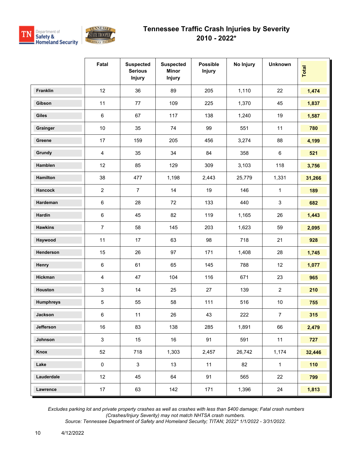



|                  | Fatal          | <b>Suspected</b><br><b>Serious</b><br><b>Injury</b> | <b>Suspected</b><br><b>Minor</b><br><b>Injury</b> | <b>Possible</b><br><b>Injury</b> | No Injury | <b>Unknown</b> | Total  |
|------------------|----------------|-----------------------------------------------------|---------------------------------------------------|----------------------------------|-----------|----------------|--------|
| Franklin         | 12             | 36                                                  | 89                                                | 205                              | 1,110     | 22             | 1,474  |
| Gibson           | 11             | 77                                                  | 109                                               | 225                              | 1,370     | 45             | 1,837  |
| <b>Giles</b>     | $\,6\,$        | 67                                                  | 117                                               | 138                              | 1,240     | 19             | 1,587  |
| Grainger         | 10             | 35                                                  | 74                                                | 99                               | 551       | 11             | 780    |
| Greene           | 17             | 159                                                 | 205                                               | 456                              | 3,274     | 88             | 4,199  |
| Grundy           | $\overline{4}$ | 35                                                  | 34                                                | 84                               | 358       | 6              | 521    |
| Hamblen          | 12             | 85                                                  | 129                                               | 309                              | 3,103     | 118            | 3,756  |
| Hamilton         | 38             | 477                                                 | 1,198                                             | 2,443                            | 25,779    | 1,331          | 31,266 |
| <b>Hancock</b>   | $\overline{2}$ | $\overline{7}$                                      | 14                                                | 19                               | 146       | $\mathbf 1$    | 189    |
| Hardeman         | $\,6\,$        | 28                                                  | 72                                                | 133                              | 440       | 3              | 682    |
| Hardin           | $\,6\,$        | 45                                                  | 82                                                | 119                              | 1,165     | 26             | 1,443  |
| <b>Hawkins</b>   | $\overline{7}$ | 58                                                  | 145                                               | 203                              | 1,623     | 59             | 2,095  |
| Haywood          | 11             | 17                                                  | 63                                                | 98                               | 718       | 21             | 928    |
| Henderson        | 15             | 26                                                  | 97                                                | 171                              | 1,408     | 28             | 1,745  |
| Henry            | $\,6\,$        | 61                                                  | 65                                                | 145                              | 788       | 12             | 1,077  |
| Hickman          | $\overline{4}$ | 47                                                  | 104                                               | 116                              | 671       | 23             | 965    |
| Houston          | $\sqrt{3}$     | 14                                                  | 25                                                | 27                               | 139       | $\overline{c}$ | 210    |
| <b>Humphreys</b> | $\mathbf 5$    | 55                                                  | 58                                                | 111                              | 516       | $10$           | 755    |
| Jackson          | $\,6\,$        | 11                                                  | 26                                                | 43                               | 222       | $\overline{7}$ | 315    |
| Jefferson        | 16             | 83                                                  | 138                                               | 285                              | 1,891     | 66             | 2,479  |
| Johnson          | $\mathbf{3}$   | 15                                                  | 16                                                | 91                               | 591       | 11             | 727    |
| Knox             | 52             | 718                                                 | 1,303                                             | 2,457                            | 26,742    | 1,174          | 32,446 |
| Lake             | $\pmb{0}$      | $\mathbf{3}$                                        | 13                                                | 11                               | 82        | $\mathbf{1}$   | 110    |
| Lauderdale       | 12             | 45                                                  | 64                                                | 91                               | 565       | 22             | 799    |
| Lawrence         | 17             | 63                                                  | 142                                               | 171                              | 1,396     | 24             | 1,813  |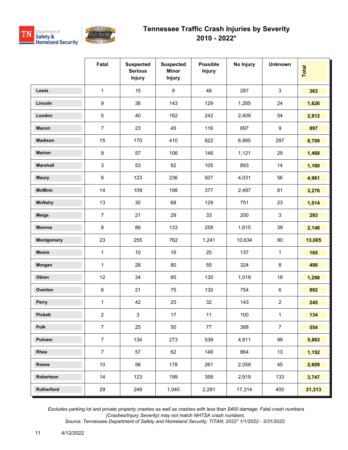

|                 | Fatal            | <b>Suspected</b><br><b>Serious</b><br><b>Injury</b> | <b>Suspected</b><br><b>Minor</b><br><b>Injury</b> | <b>Possible</b><br><b>Injury</b> | No Injury | <b>Unknown</b> | <b>Total</b> |
|-----------------|------------------|-----------------------------------------------------|---------------------------------------------------|----------------------------------|-----------|----------------|--------------|
| <b>Lewis</b>    | 1                | 15                                                  | $\boldsymbol{9}$                                  | 48                               | 287       | $\mathfrak{S}$ | 363          |
| Lincoln         | $\boldsymbol{9}$ | 36                                                  | 143                                               | 129                              | 1,285     | 24             | 1,626        |
| Loudon          | 5                | 40                                                  | 162                                               | 242                              | 2,409     | 54             | 2,912        |
| <b>Macon</b>    | $\overline{7}$   | 23                                                  | 45                                                | 116                              | 697       | 9              | 897          |
| <b>Madison</b>  | 15               | 170                                                 | 410                                               | 822                              | 6,995     | 297            | 8,709        |
| <b>Marion</b>   | $\boldsymbol{9}$ | 57                                                  | 106                                               | 146                              | 1,121     | 29             | 1,468        |
| <b>Marshall</b> | 3                | 53                                                  | 92                                                | 105                              | 893       | 14             | 1,160        |
| <b>Maury</b>    | $\bf 8$          | 123                                                 | 236                                               | 507                              | 4,031     | 56             | 4,961        |
| <b>McMinn</b>   | 14               | 109                                                 | 198                                               | 377                              | 2,497     | 81             | 3,276        |
| <b>McNairy</b>  | 13               | 30                                                  | 68                                                | 129                              | 751       | 23             | 1,014        |
| <b>Meigs</b>    | $\overline{7}$   | 21                                                  | 29                                                | 33                               | 200       | $\mathbf{3}$   | 293          |
| <b>Monroe</b>   | 8                | 86                                                  | 133                                               | 259                              | 1,615     | 39             | 2,140        |
| Montgomery      | 23               | 255                                                 | 762                                               | 1,241                            | 10,634    | $90\,$         | 13,005       |
| <b>Moore</b>    | 1                | 10                                                  | 16                                                | 20                               | 137       | 1              | 185          |
| Morgan          | 1                | 28                                                  | 80                                                | 55                               | 324       | 8              | 496          |
| Obion           | 12               | 34                                                  | 85                                                | 130                              | 1,019     | 18             | 1,298        |
| Overton         | $\,6\,$          | 21                                                  | 75                                                | 130                              | 754       | $\,6\,$        | 992          |
| Perry           | $\mathbf{1}$     | 42                                                  | 25                                                | 32                               | 143       | $\overline{2}$ | 245          |
| <b>Pickett</b>  | $\overline{2}$   | 3                                                   | 17                                                | 11                               | 100       | $\mathbf{1}$   | 134          |
| Polk            | $\overline{7}$   | 25                                                  | 50                                                | 77                               | 388       | $\overline{7}$ | 554          |
| Putnam          | $\overline{7}$   | 134                                                 | 273                                               | 539                              | 4,811     | 99             | 5,863        |
| Rhea            | $\overline{7}$   | 57                                                  | 62                                                | 149                              | 864       | 13             | 1,152        |
| Roane           | $10\,$           | 56                                                  | 178                                               | 261                              | 2,059     | 45             | 2,609        |
| Robertson       | 14               | 123                                                 | 199                                               | 359                              | 2,919     | 133            | 3,747        |
| Rutherford      | 29               | 249                                                 | 1,040                                             | 2,281                            | 17,314    | 400            | 21,313       |

 *Excludes parking lot and private property crashes as well as crashes with less than \$400 damage; Fatal crash numbers (Crashes/Injury Severity) may not match NHTSA crash numbers.*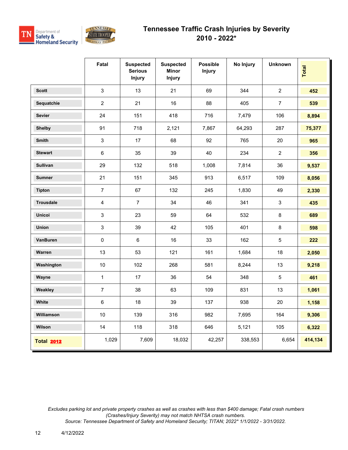



|                   | Fatal                   | <b>Suspected</b><br><b>Serious</b><br><b>Injury</b> | <b>Suspected</b><br><b>Minor</b><br><b>Injury</b> | <b>Possible</b><br><b>Injury</b> | No Injury | <b>Unknown</b> | Total   |
|-------------------|-------------------------|-----------------------------------------------------|---------------------------------------------------|----------------------------------|-----------|----------------|---------|
| <b>Scott</b>      | $\mathsf 3$             | 13                                                  | 21                                                | 69                               | 344       | $\overline{2}$ | 452     |
| Sequatchie        | $\overline{2}$          | 21                                                  | 16                                                | 88                               | 405       | $\overline{7}$ | 539     |
| <b>Sevier</b>     | 24                      | 151                                                 | 418                                               | 716                              | 7,479     | 106            | 8,894   |
| <b>Shelby</b>     | 91                      | 718                                                 | 2,121                                             | 7,867                            | 64,293    | 287            | 75,377  |
| <b>Smith</b>      | $\mathfrak{S}$          | 17                                                  | 68                                                | 92                               | 765       | 20             | 965     |
| <b>Stewart</b>    | $\,6\,$                 | 35                                                  | 39                                                | 40                               | 234       | $\overline{2}$ | 356     |
| Sullivan          | 29                      | 132                                                 | 518                                               | 1,008                            | 7,814     | 36             | 9,537   |
| <b>Sumner</b>     | 21                      | 151                                                 | 345                                               | 913                              | 6,517     | 109            | 8,056   |
| <b>Tipton</b>     | $\overline{7}$          | 67                                                  | 132                                               | 245                              | 1,830     | 49             | 2,330   |
| <b>Trousdale</b>  | $\overline{\mathbf{4}}$ | $\overline{7}$                                      | 34                                                | 46                               | 341       | $\mathbf{3}$   | 435     |
| <b>Unicoi</b>     | $\mathsf 3$             | 23                                                  | 59                                                | 64                               | 532       | $\bf 8$        | 689     |
| <b>Union</b>      | $\mathsf 3$             | 39                                                  | 42                                                | 105                              | 401       | 8              | 598     |
| VanBuren          | $\mathsf 0$             | $\,6\,$                                             | 16                                                | 33                               | 162       | $\sqrt{5}$     | 222     |
| Warren            | 13                      | 53                                                  | 121                                               | 161                              | 1,684     | 18             | 2,050   |
| Washington        | 10                      | 102                                                 | 268                                               | 581                              | 8,244     | 13             | 9,218   |
| Wayne             | $\mathbf{1}$            | 17                                                  | 36                                                | 54                               | 348       | $\overline{5}$ | 461     |
| Weakley           | $\overline{7}$          | 38                                                  | 63                                                | 109                              | 831       | 13             | 1,061   |
| White             | $\,6\,$                 | 18                                                  | 39                                                | 137                              | 938       | 20             | 1,158   |
| Williamson        | 10                      | 139                                                 | 316                                               | 982                              | 7,695     | 164            | 9,306   |
| Wilson            | 14                      | 118                                                 | 318                                               | 646                              | 5,121     | 105            | 6,322   |
| <b>Total 2012</b> | 1,029                   | 7,609                                               | 18,032                                            | 42,257                           | 338,553   | 6,654          | 414,134 |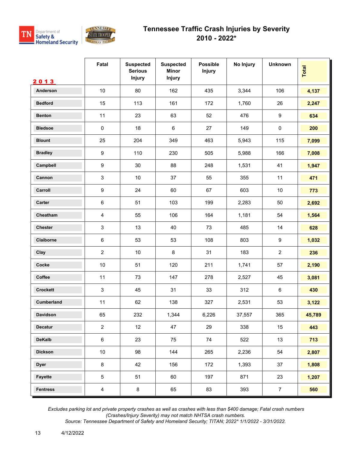



|                 | Fatal                     | <b>Suspected</b><br><b>Serious</b><br><b>Injury</b> | <b>Suspected</b><br><b>Minor</b><br>Injury | <b>Possible</b><br><b>Injury</b> | No Injury | <b>Unknown</b> | <b>Total</b> |
|-----------------|---------------------------|-----------------------------------------------------|--------------------------------------------|----------------------------------|-----------|----------------|--------------|
| 2013            |                           |                                                     |                                            |                                  |           |                |              |
| <b>Anderson</b> | 10                        | 80                                                  | 162                                        | 435                              | 3,344     | 106            | 4,137        |
| <b>Bedford</b>  | 15                        | 113                                                 | 161                                        | 172                              | 1,760     | 26             | 2,247        |
| <b>Benton</b>   | 11                        | 23                                                  | 63                                         | 52                               | 476       | 9              | 634          |
| <b>Bledsoe</b>  | $\pmb{0}$                 | 18                                                  | $\,6\,$                                    | 27                               | 149       | $\pmb{0}$      | 200          |
| <b>Blount</b>   | 25                        | 204                                                 | 349                                        | 463                              | 5,943     | 115            | 7,099        |
| <b>Bradley</b>  | $\boldsymbol{9}$          | 110                                                 | 230                                        | 505                              | 5,988     | 166            | 7,008        |
| Campbell        | $\boldsymbol{9}$          | $30\,$                                              | 88                                         | 248                              | 1,531     | 41             | 1,947        |
| Cannon          | $\ensuremath{\mathsf{3}}$ | 10                                                  | 37                                         | 55                               | 355       | 11             | 471          |
| Carroll         | $\boldsymbol{9}$          | 24                                                  | 60                                         | 67                               | 603       | 10             | 773          |
| Carter          | $\,6\,$                   | 51                                                  | 103                                        | 199                              | 2,283     | 50             | 2,692        |
| Cheatham        | $\overline{4}$            | 55                                                  | 106                                        | 164                              | 1,181     | 54             | 1,564        |
| <b>Chester</b>  | 3                         | 13                                                  | 40                                         | 73                               | 485       | 14             | 628          |
| Claiborne       | $\,6\,$                   | 53                                                  | 53                                         | 108                              | 803       | 9              | 1,032        |
| Clay            | $\overline{2}$            | 10                                                  | 8                                          | 31                               | 183       | $\overline{2}$ | 236          |
| Cocke           | 10                        | 51                                                  | 120                                        | 211                              | 1,741     | 57             | 2,190        |
| Coffee          | 11                        | 73                                                  | 147                                        | 278                              | 2,527     | 45             | 3,081        |
| <b>Crockett</b> | 3                         | 45                                                  | 31                                         | 33                               | 312       | $\,6\,$        | 430          |
| Cumberland      | 11                        | 62                                                  | 138                                        | 327                              | 2,531     | 53             | 3,122        |
| Davidson        | 65                        | 232                                                 | 1,344                                      | 6,226                            | 37,557    | 365            | 45,789       |
| Decatur         | $\overline{2}$            | 12                                                  | 47                                         | 29                               | 338       | 15             | 443          |
| <b>DeKalb</b>   | $\,6\,$                   | 23                                                  | 75                                         | 74                               | 522       | 13             | 713          |
| <b>Dickson</b>  | 10                        | 98                                                  | 144                                        | 265                              | 2,236     | 54             | 2,807        |
| <b>Dyer</b>     | $\bf 8$                   | 42                                                  | 156                                        | 172                              | 1,393     | 37             | 1,808        |
| Fayette         | 5                         | 51                                                  | 60                                         | 197                              | 871       | 23             | 1,207        |
| <b>Fentress</b> | $\overline{4}$            | $\bf 8$                                             | 65                                         | 83                               | 393       | $\overline{7}$ | 560          |

 *Excludes parking lot and private property crashes as well as crashes with less than \$400 damage; Fatal crash numbers (Crashes/Injury Severity) may not match NHTSA crash numbers.*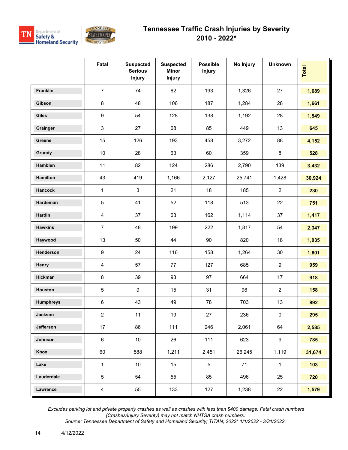



|                  | Fatal            | <b>Suspected</b><br><b>Serious</b><br><b>Injury</b> | <b>Suspected</b><br><b>Minor</b><br>Injury | <b>Possible</b><br><b>Injury</b> | No Injury | <b>Unknown</b>   | Total  |
|------------------|------------------|-----------------------------------------------------|--------------------------------------------|----------------------------------|-----------|------------------|--------|
| Franklin         | $\overline{7}$   | 74                                                  | 62                                         | 193                              | 1,326     | 27               | 1,689  |
| Gibson           | 8                | 48                                                  | 106                                        | 187                              | 1,284     | 28               | 1,661  |
| <b>Giles</b>     | $\boldsymbol{9}$ | 54                                                  | 128                                        | 138                              | 1,192     | 28               | 1,549  |
| Grainger         | $\mathfrak{S}$   | 27                                                  | 68                                         | 85                               | 449       | 13               | 645    |
| Greene           | 15               | 126                                                 | 193                                        | 458                              | 3,272     | 88               | 4,152  |
| Grundy           | $10$             | 28                                                  | 63                                         | 60                               | 359       | 8                | 528    |
| Hamblen          | 11               | 82                                                  | 124                                        | 286                              | 2,790     | 139              | 3,432  |
| Hamilton         | 43               | 419                                                 | 1,166                                      | 2,127                            | 25,741    | 1,428            | 30,924 |
| <b>Hancock</b>   | $\mathbf{1}$     | $\mathbf{3}$                                        | 21                                         | 18                               | 185       | $\overline{2}$   | 230    |
| Hardeman         | $\mathbf 5$      | 41                                                  | 52                                         | 118                              | 513       | 22               | 751    |
| Hardin           | $\overline{4}$   | 37                                                  | 63                                         | 162                              | 1,114     | 37               | 1,417  |
| <b>Hawkins</b>   | $\overline{7}$   | 48                                                  | 199                                        | 222                              | 1,817     | 54               | 2,347  |
| Haywood          | 13               | 50                                                  | 44                                         | 90                               | 820       | 18               | 1,035  |
| Henderson        | 9                | 24                                                  | 116                                        | 158                              | 1,264     | 30               | 1,601  |
| Henry            | $\overline{4}$   | 57                                                  | 77                                         | 127                              | 685       | 9                | 959    |
| Hickman          | $\bf 8$          | 39                                                  | 93                                         | 97                               | 664       | 17               | 918    |
| Houston          | $\,$ 5 $\,$      | $\boldsymbol{9}$                                    | 15                                         | 31                               | 96        | $\overline{2}$   | 158    |
| <b>Humphreys</b> | $\,6\,$          | 43                                                  | 49                                         | 78                               | 703       | 13               | 892    |
| Jackson          | $\overline{2}$   | 11                                                  | 19                                         | $27\,$                           | 236       | $\pmb{0}$        | 295    |
| Jefferson        | 17               | 86                                                  | 111                                        | 246                              | 2,061     | 64               | 2,585  |
| Johnson          | 6                | 10 <sup>°</sup>                                     | 26                                         | 111                              | 623       | $\boldsymbol{9}$ | 785    |
| Knox             | 60               | 588                                                 | 1,211                                      | 2,451                            | 26,245    | 1,119            | 31,674 |
| Lake             | $\mathbf{1}$     | 10 <sup>°</sup>                                     | 15                                         | 5                                | 71        | $\mathbf{1}$     | 103    |
| Lauderdale       | $\overline{5}$   | 54                                                  | 55                                         | 85                               | 496       | 25               | 720    |
| Lawrence         | $\overline{4}$   | 55                                                  | 133                                        | 127                              | 1,238     | 22               | 1,579  |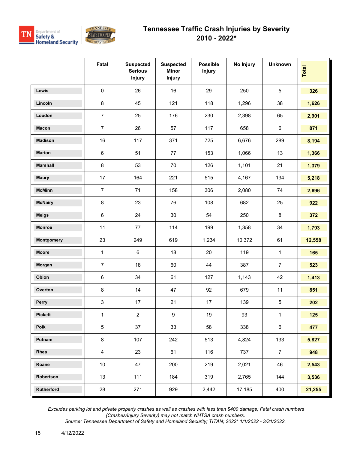

|                 | Fatal          | <b>Suspected</b><br><b>Serious</b><br><b>Injury</b> | <b>Suspected</b><br><b>Minor</b><br><b>Injury</b> | <b>Possible</b><br><b>Injury</b> | No Injury | <b>Unknown</b> | Total  |
|-----------------|----------------|-----------------------------------------------------|---------------------------------------------------|----------------------------------|-----------|----------------|--------|
| <b>Lewis</b>    | $\mathsf 0$    | 26                                                  | 16                                                | 29                               | 250       | $\sqrt{5}$     | 326    |
| Lincoln         | 8              | 45                                                  | 121                                               | 118                              | 1,296     | 38             | 1,626  |
| Loudon          | $\overline{7}$ | 25                                                  | 176                                               | 230                              | 2,398     | 65             | 2,901  |
| <b>Macon</b>    | $\overline{7}$ | 26                                                  | 57                                                | 117                              | 658       | $\,6\,$        | 871    |
| <b>Madison</b>  | 16             | 117                                                 | 371                                               | 725                              | 6,676     | 289            | 8,194  |
| <b>Marion</b>   | 6              | 51                                                  | 77                                                | 153                              | 1,066     | 13             | 1,366  |
| <b>Marshall</b> | 8              | 53                                                  | 70                                                | 126                              | 1,101     | 21             | 1,379  |
| <b>Maury</b>    | 17             | 164                                                 | 221                                               | 515                              | 4,167     | 134            | 5,218  |
| <b>McMinn</b>   | $\overline{7}$ | 71                                                  | 158                                               | 306                              | 2,080     | 74             | 2,696  |
| <b>McNairy</b>  | 8              | 23                                                  | 76                                                | 108                              | 682       | 25             | 922    |
| <b>Meigs</b>    | 6              | 24                                                  | 30                                                | 54                               | 250       | $\bf 8$        | 372    |
| Monroe          | 11             | 77                                                  | 114                                               | 199                              | 1,358     | 34             | 1,793  |
| Montgomery      | 23             | 249                                                 | 619                                               | 1,234                            | 10,372    | 61             | 12,558 |
| <b>Moore</b>    | $\mathbf{1}$   | 6                                                   | 18                                                | 20                               | 119       | $\mathbf 1$    | 165    |
| Morgan          | $\overline{7}$ | 18                                                  | 60                                                | 44                               | 387       | $\overline{7}$ | 523    |
| Obion           | 6              | 34                                                  | 61                                                | 127                              | 1,143     | 42             | 1,413  |
| Overton         | 8              | 14                                                  | 47                                                | 92                               | 679       | 11             | 851    |
| Perry           | 3              | 17                                                  | 21                                                | 17                               | 139       | $\,$ 5 $\,$    | 202    |
| <b>Pickett</b>  | 1              | $\overline{c}$                                      | 9                                                 | 19                               | 93        | 1              | 125    |
| Polk            | 5              | 37                                                  | 33                                                | 58                               | 338       | $\,6\,$        | 477    |
| Putnam          | 8              | 107                                                 | 242                                               | 513                              | 4,824     | 133            | 5,827  |
| Rhea            | $\overline{4}$ | 23                                                  | 61                                                | 116                              | 737       | $\overline{7}$ | 948    |
| Roane           | 10             | 47                                                  | 200                                               | 219                              | 2,021     | 46             | 2,543  |
| Robertson       | 13             | 111                                                 | 184                                               | 319                              | 2,765     | 144            | 3,536  |
| Rutherford      | 28             | 271                                                 | 929                                               | 2,442                            | 17,185    | 400            | 21,255 |

 *Excludes parking lot and private property crashes as well as crashes with less than \$400 damage; Fatal crash numbers (Crashes/Injury Severity) may not match NHTSA crash numbers.*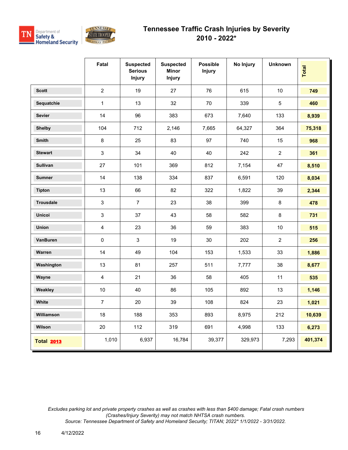



|                   | Fatal          | <b>Suspected</b><br><b>Serious</b><br><b>Injury</b> | <b>Suspected</b><br><b>Minor</b><br>Injury | <b>Possible</b><br><b>Injury</b> | No Injury | <b>Unknown</b> | Total   |
|-------------------|----------------|-----------------------------------------------------|--------------------------------------------|----------------------------------|-----------|----------------|---------|
| <b>Scott</b>      | $\overline{2}$ | 19                                                  | 27                                         | 76                               | 615       | 10             | 749     |
| Sequatchie        | $\mathbf{1}$   | 13                                                  | 32                                         | 70                               | 339       | $\overline{5}$ | 460     |
| <b>Sevier</b>     | 14             | 96                                                  | 383                                        | 673                              | 7,640     | 133            | 8,939   |
| <b>Shelby</b>     | 104            | 712                                                 | 2,146                                      | 7,665                            | 64,327    | 364            | 75,318  |
| <b>Smith</b>      | $\bf 8$        | 25                                                  | 83                                         | 97                               | 740       | 15             | 968     |
| <b>Stewart</b>    | 3              | 34                                                  | 40                                         | 40                               | 242       | $\overline{2}$ | 361     |
| Sullivan          | 27             | 101                                                 | 369                                        | 812                              | 7,154     | 47             | 8,510   |
| <b>Sumner</b>     | 14             | 138                                                 | 334                                        | 837                              | 6,591     | 120            | 8,034   |
| <b>Tipton</b>     | 13             | 66                                                  | 82                                         | 322                              | 1,822     | 39             | 2,344   |
| <b>Trousdale</b>  | 3              | $\overline{7}$                                      | 23                                         | 38                               | 399       | 8              | 478     |
| <b>Unicoi</b>     | 3              | 37                                                  | 43                                         | 58                               | 582       | 8              | 731     |
| Union             | $\overline{4}$ | 23                                                  | 36                                         | 59                               | 383       | $10$           | 515     |
| VanBuren          | $\pmb{0}$      | 3                                                   | 19                                         | $30\,$                           | 202       | $\overline{c}$ | 256     |
| Warren            | 14             | 49                                                  | 104                                        | 153                              | 1,533     | 33             | 1,886   |
| Washington        | 13             | 81                                                  | 257                                        | 511                              | 7,777     | 38             | 8,677   |
| Wayne             | $\overline{4}$ | 21                                                  | 36                                         | 58                               | 405       | 11             | 535     |
| Weakley           | $10$           | 40                                                  | 86                                         | 105                              | 892       | 13             | 1,146   |
| White             | $\overline{7}$ | 20                                                  | 39                                         | 108                              | 824       | 23             | 1,021   |
| Williamson        | 18             | 188                                                 | 353                                        | 893                              | 8,975     | 212            | 10,639  |
| Wilson            | 20             | 112                                                 | 319                                        | 691                              | 4,998     | 133            | 6,273   |
| <b>Total 2013</b> | 1,010          | 6,937                                               | 16,784                                     | 39,377                           | 329,973   | 7,293          | 401,374 |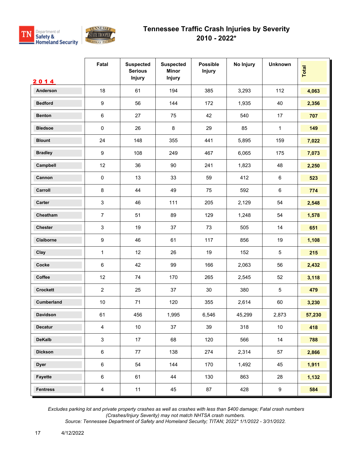



|                 | Fatal            | <b>Suspected</b><br><b>Serious</b><br><b>Injury</b> | <b>Suspected</b><br><b>Minor</b><br>Injury | <b>Possible</b><br><b>Injury</b> | No Injury | <b>Unknown</b>  | <b>Total</b> |
|-----------------|------------------|-----------------------------------------------------|--------------------------------------------|----------------------------------|-----------|-----------------|--------------|
| 2014            |                  |                                                     |                                            |                                  |           |                 |              |
| Anderson        | 18               | 61                                                  | 194                                        | 385                              | 3,293     | 112             | 4,063        |
| <b>Bedford</b>  | $\boldsymbol{9}$ | 56                                                  | 144                                        | 172                              | 1,935     | 40              | 2,356        |
| <b>Benton</b>   | $\,6\,$          | 27                                                  | 75                                         | 42                               | 540       | 17              | 707          |
| <b>Bledsoe</b>  | $\pmb{0}$        | 26                                                  | 8                                          | 29                               | 85        | $\mathbf{1}$    | 149          |
| <b>Blount</b>   | 24               | 148                                                 | 355                                        | 441                              | 5,895     | 159             | 7,022        |
| <b>Bradley</b>  | $\boldsymbol{9}$ | 108                                                 | 249                                        | 467                              | 6,065     | 175             | 7,073        |
| Campbell        | 12               | 36                                                  | 90                                         | 241                              | 1,823     | 48              | 2,250        |
| Cannon          | $\pmb{0}$        | 13                                                  | 33                                         | 59                               | 412       | $6\phantom{.}6$ | 523          |
| Carroll         | $\bf 8$          | 44                                                  | 49                                         | 75                               | 592       | 6               | 774          |
| Carter          | 3                | 46                                                  | 111                                        | 205                              | 2,129     | 54              | 2,548        |
| Cheatham        | $\overline{7}$   | 51                                                  | 89                                         | 129                              | 1,248     | 54              | 1,578        |
| <b>Chester</b>  | 3                | 19                                                  | 37                                         | 73                               | 505       | 14              | 651          |
| Claiborne       | $\boldsymbol{9}$ | 46                                                  | 61                                         | 117                              | 856       | 19              | 1,108        |
| Clay            | 1                | 12                                                  | 26                                         | 19                               | 152       | $\sqrt{5}$      | 215          |
| Cocke           | $\,6\,$          | 42                                                  | 99                                         | 166                              | 2,063     | 56              | 2,432        |
| Coffee          | 12               | 74                                                  | 170                                        | 265                              | 2,545     | 52              | 3,118        |
| <b>Crockett</b> | $\overline{2}$   | 25                                                  | 37                                         | 30                               | 380       | $\sqrt{5}$      | 479          |
| Cumberland      | 10               | 71                                                  | 120                                        | 355                              | 2,614     | 60              | 3,230        |
| <b>Davidson</b> | 61               | 456                                                 | 1,995                                      | 6,546                            | 45,299    | 2,873           | 57,230       |
| Decatur         | $\overline{4}$   | 10                                                  | 37                                         | 39                               | 318       | 10 <sub>1</sub> | 418          |
| <b>DeKalb</b>   | $\sqrt{3}$       | 17                                                  | 68                                         | 120                              | 566       | 14              | 788          |
| <b>Dickson</b>  | $\,6\,$          | 77                                                  | 138                                        | 274                              | 2,314     | 57              | 2,866        |
| <b>Dyer</b>     | $\,6\,$          | 54                                                  | 144                                        | 170                              | 1,492     | 45              | 1,911        |
| Fayette         | $\,6$            | 61                                                  | 44                                         | 130                              | 863       | 28              | 1,132        |
| <b>Fentress</b> | $\overline{4}$   | 11                                                  | 45                                         | 87                               | 428       | 9               | 584          |

 *Excludes parking lot and private property crashes as well as crashes with less than \$400 damage; Fatal crash numbers (Crashes/Injury Severity) may not match NHTSA crash numbers.*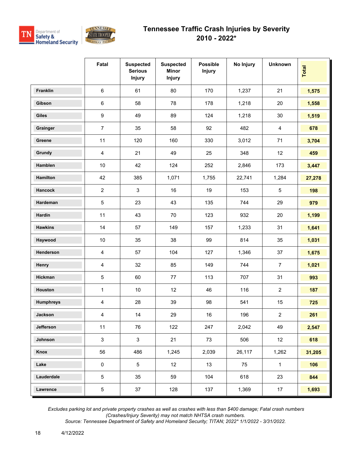



|                  | Fatal                   | <b>Suspected</b><br><b>Serious</b><br><b>Injury</b> | <b>Suspected</b><br><b>Minor</b><br>Injury | <b>Possible</b><br><b>Injury</b> | No Injury | <b>Unknown</b> | Total  |
|------------------|-------------------------|-----------------------------------------------------|--------------------------------------------|----------------------------------|-----------|----------------|--------|
| Franklin         | $\,6\,$                 | 61                                                  | 80                                         | 170                              | 1,237     | 21             | 1,575  |
| Gibson           | $\,6\,$                 | 58                                                  | 78                                         | 178                              | 1,218     | 20             | 1,558  |
| Giles            | $\boldsymbol{9}$        | 49                                                  | 89                                         | 124                              | 1,218     | 30             | 1,519  |
| Grainger         | $\overline{7}$          | 35                                                  | 58                                         | 92                               | 482       | 4              | 678    |
| Greene           | 11                      | 120                                                 | 160                                        | 330                              | 3,012     | 71             | 3,704  |
| Grundy           | $\overline{4}$          | 21                                                  | 49                                         | 25                               | 348       | 12             | 459    |
| Hamblen          | $10$                    | 42                                                  | 124                                        | 252                              | 2,846     | 173            | 3,447  |
| Hamilton         | 42                      | 385                                                 | 1,071                                      | 1,755                            | 22,741    | 1,284          | 27,278 |
| Hancock          | $\overline{2}$          | $\mathbf{3}$                                        | 16                                         | 19                               | 153       | $\overline{5}$ | 198    |
| Hardeman         | $\sqrt{5}$              | 23                                                  | 43                                         | 135                              | 744       | 29             | 979    |
| Hardin           | 11                      | 43                                                  | 70                                         | 123                              | 932       | 20             | 1,199  |
| <b>Hawkins</b>   | 14                      | 57                                                  | 149                                        | 157                              | 1,233     | 31             | 1,641  |
| Haywood          | $10$                    | 35                                                  | 38                                         | 99                               | 814       | 35             | 1,031  |
| Henderson        | 4                       | 57                                                  | 104                                        | 127                              | 1,346     | 37             | 1,675  |
| Henry            | $\overline{4}$          | 32                                                  | 85                                         | 149                              | 744       | $\overline{7}$ | 1,021  |
| Hickman          | $\sqrt{5}$              | 60                                                  | 77                                         | 113                              | 707       | 31             | 993    |
| Houston          | $\mathbf{1}$            | 10                                                  | 12                                         | 46                               | 116       | $\overline{2}$ | 187    |
| <b>Humphreys</b> | $\overline{4}$          | 28                                                  | 39                                         | 98                               | 541       | 15             | 725    |
| Jackson          | $\overline{\mathbf{4}}$ | 14                                                  | 29                                         | $16\,$                           | 196       | $\overline{2}$ | 261    |
| Jefferson        | 11                      | 76                                                  | 122                                        | 247                              | 2,042     | 49             | 2,547  |
| Johnson          | $\mathbf{3}$            | $\mathbf{3}$                                        | 21                                         | 73                               | 506       | 12             | 618    |
| Knox             | 56                      | 486                                                 | 1,245                                      | 2,039                            | 26,117    | 1,262          | 31,205 |
| Lake             | $\pmb{0}$               | $5\phantom{.0}$                                     | 12                                         | 13                               | 75        | $\mathbf{1}$   | 106    |
| Lauderdale       | $\sqrt{5}$              | 35                                                  | 59                                         | 104                              | 618       | 23             | 844    |
| Lawrence         | $5\,$                   | 37                                                  | 128                                        | 137                              | 1,369     | 17             | 1,693  |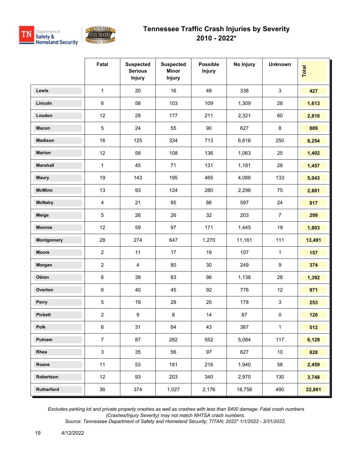

|                 | Fatal          | <b>Suspected</b><br><b>Serious</b><br><b>Injury</b> | <b>Suspected</b><br><b>Minor</b><br><b>Injury</b> | <b>Possible</b><br><b>Injury</b> | No Injury | <b>Unknown</b> | <b>Total</b> |
|-----------------|----------------|-----------------------------------------------------|---------------------------------------------------|----------------------------------|-----------|----------------|--------------|
| <b>Lewis</b>    | 1              | 20                                                  | 16                                                | 49                               | 338       | $\mathfrak{S}$ | 427          |
| Lincoln         | $\,6\,$        | 58                                                  | 103                                               | 109                              | 1,309     | 28             | 1,613        |
| Loudon          | 12             | 29                                                  | 177                                               | 211                              | 2,321     | 60             | 2,810        |
| <b>Macon</b>    | $\mathbf 5$    | 24                                                  | 55                                                | 90                               | 627       | 8              | 809          |
| <b>Madison</b>  | 16             | 125                                                 | 334                                               | 713                              | 6,816     | 250            | 8,254        |
| <b>Marion</b>   | 12             | 58                                                  | 108                                               | 136                              | 1,063     | 25             | 1,402        |
| <b>Marshall</b> | 1              | 45                                                  | 71                                                | 131                              | 1,181     | 28             | 1,457        |
| <b>Maury</b>    | 19             | 143                                                 | 195                                               | 465                              | 4,088     | 133            | 5,043        |
| <b>McMinn</b>   | 13             | 93                                                  | 124                                               | 280                              | 2,296     | 75             | 2,881        |
| <b>McNairy</b>  | $\overline{4}$ | 21                                                  | 85                                                | 86                               | 597       | 24             | 817          |
| <b>Meigs</b>    | 5              | 26                                                  | 26                                                | 32                               | 203       | $\overline{7}$ | 299          |
| <b>Monroe</b>   | 12             | 59                                                  | 97                                                | 171                              | 1,445     | 19             | 1,803        |
| Montgomery      | 28             | 274                                                 | 647                                               | 1,270                            | 11,161    | 111            | 13,491       |
| <b>Moore</b>    | $\overline{2}$ | 11                                                  | 17                                                | 19                               | 107       | $\mathbf 1$    | 157          |
| Morgan          | $\overline{2}$ | $\overline{4}$                                      | 80                                                | 30                               | 249       | 9              | 374          |
| Obion           | $\,6\,$        | 39                                                  | 83                                                | 98                               | 1,138     | 28             | 1,392        |
| Overton         | $\,6\,$        | 40                                                  | 45                                                | 92                               | 776       | 12             | 971          |
| Perry           | $\mathbf 5$    | 19                                                  | 28                                                | 20                               | 178       | $\mathbf{3}$   | 253          |
| <b>Pickett</b>  | $\overline{2}$ | 9                                                   | 8                                                 | 14                               | 87        | $\pmb{0}$      | 120          |
| Polk            | $\,6\,$        | 31                                                  | 64                                                | 43                               | 367       | $\mathbf{1}$   | 512          |
| Putnam          | $\overline{7}$ | 87                                                  | 282                                               | 552                              | 5,084     | 117            | 6,129        |
| Rhea            | $\mathbf{3}$   | 35                                                  | 56                                                | 97                               | 627       | $10\,$         | 828          |
| Roane           | 11             | 53                                                  | 181                                               | 216                              | 1,940     | 58             | 2,459        |
| Robertson       | 12             | 93                                                  | 203                                               | 340                              | 2,970     | 130            | 3,748        |
| Rutherford      | 36             | 374                                                 | 1,027                                             | 2,176                            | 18,758    | 490            | 22,861       |

 *Excludes parking lot and private property crashes as well as crashes with less than \$400 damage; Fatal crash numbers (Crashes/Injury Severity) may not match NHTSA crash numbers.*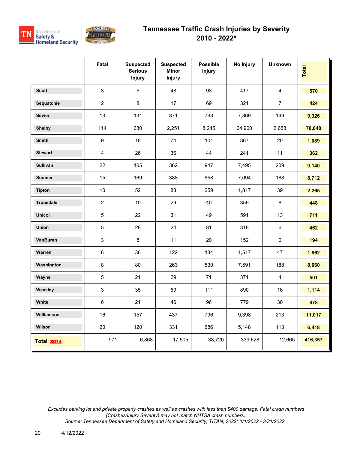



|                   | Fatal                   | <b>Suspected</b><br><b>Serious</b><br><b>Injury</b> | <b>Suspected</b><br><b>Minor</b><br><b>Injury</b> | <b>Possible</b><br><b>Injury</b> | No Injury | <b>Unknown</b> | <b>Total</b> |
|-------------------|-------------------------|-----------------------------------------------------|---------------------------------------------------|----------------------------------|-----------|----------------|--------------|
| <b>Scott</b>      | 3                       | 5                                                   | 48                                                | 93                               | 417       | $\overline{4}$ | 570          |
| Sequatchie        | $\overline{2}$          | 8                                                   | 17                                                | 69                               | 321       | $\overline{7}$ | 424          |
| <b>Sevier</b>     | 13                      | 131                                                 | 371                                               | 793                              | 7,869     | 149            | 9,326        |
| <b>Shelby</b>     | 114                     | 680                                                 | 2,251                                             | 8,245                            | 64,900    | 2,658          | 78,848       |
| Smith             | 9                       | 18                                                  | 74                                                | 101                              | 867       | 20             | 1,089        |
| <b>Stewart</b>    | $\overline{\mathbf{4}}$ | 26                                                  | 36                                                | 44                               | 241       | 11             | 362          |
| <b>Sullivan</b>   | 22                      | 105                                                 | 362                                               | 947                              | 7,495     | 209            | 9,140        |
| <b>Sumner</b>     | 15                      | 169                                                 | 388                                               | 858                              | 7,094     | 188            | 8,712        |
| <b>Tipton</b>     | 10                      | 52                                                  | 88                                                | 259                              | 1,817     | 39             | 2,265        |
| <b>Trousdale</b>  | $\overline{2}$          | $10$                                                | 29                                                | 40                               | 359       | $\bf 8$        | 448          |
| <b>Unicoi</b>     | 5                       | 22                                                  | 31                                                | 49                               | 591       | 13             | 711          |
| Union             | $\sqrt{5}$              | 28                                                  | 24                                                | 81                               | 318       | $\,6\,$        | 462          |
| VanBuren          | 3                       | $\bf 8$                                             | 11                                                | 20                               | 152       | $\pmb{0}$      | 194          |
| Warren            | $\,6\,$                 | 36                                                  | 122                                               | 134                              | 1,517     | 47             | 1,862        |
| Washington        | $\,8\,$                 | 80                                                  | 263                                               | 530                              | 7,591     | 188            | 8,660        |
| Wayne             | $\sqrt{5}$              | 21                                                  | 29                                                | 71                               | 371       | $\overline{4}$ | 501          |
| Weakley           | $\mathbf{3}$            | 35                                                  | 59                                                | 111                              | 890       | 16             | 1,114        |
| White             | 6                       | 21                                                  | 46                                                | 96                               | 779       | 30             | 978          |
| Williamson        | 16                      | 157                                                 | 437                                               | 796                              | 9,398     | 213            | 11,017       |
| Wilson            | 20                      | 120                                                 | 331                                               | 686                              | 5,148     | 113            | 6,418        |
| <b>Total 2014</b> | 971                     | 6,868                                               | 17,505                                            | 38,720                           | 339,628   | 12,665         | 416,357      |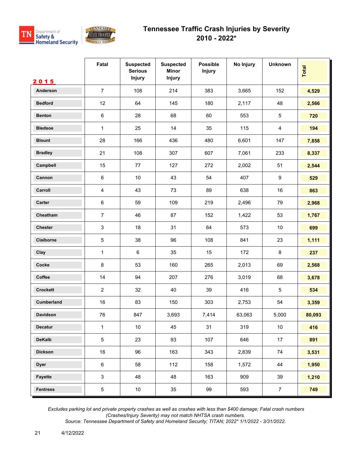



|                  | Fatal                     | <b>Suspected</b><br><b>Serious</b><br><b>Injury</b> | <b>Suspected</b><br><b>Minor</b><br><b>Injury</b> | <b>Possible</b><br><b>Injury</b> | No Injury | <b>Unknown</b>   | Total  |
|------------------|---------------------------|-----------------------------------------------------|---------------------------------------------------|----------------------------------|-----------|------------------|--------|
| 2015<br>Anderson | $\overline{7}$            | 108                                                 | 214                                               | 383                              | 3,665     | 152              | 4,529  |
| <b>Bedford</b>   | 12                        | 64                                                  | 145                                               | 180                              | 2,117     | 48               | 2,566  |
|                  |                           |                                                     |                                                   |                                  |           |                  |        |
| <b>Benton</b>    | $\,6\,$                   | 28                                                  | 68                                                | 60                               | 553       | $\overline{5}$   | 720    |
| <b>Bledsoe</b>   | 1                         | 25                                                  | 14                                                | 35                               | 115       | $\overline{4}$   | 194    |
| <b>Blount</b>    | 28                        | 166                                                 | 436                                               | 480                              | 6,601     | 147              | 7,858  |
| <b>Bradley</b>   | 21                        | 108                                                 | 307                                               | 607                              | 7,061     | 233              | 8,337  |
| Campbell         | 15                        | 77                                                  | 127                                               | 272                              | 2,002     | 51               | 2,544  |
| Cannon           | $\,6\,$                   | $10\,$                                              | 43                                                | 54                               | 407       | $\boldsymbol{9}$ | 529    |
| Carroll          | 4                         | 43                                                  | 73                                                | 89                               | 638       | 16               | 863    |
| Carter           | $\,6\,$                   | 59                                                  | 109                                               | 219                              | 2,496     | 79               | 2,968  |
| Cheatham         | $\overline{7}$            | 46                                                  | 87                                                | 152                              | 1,422     | 53               | 1,767  |
| Chester          | $\ensuremath{\mathsf{3}}$ | 18                                                  | 31                                                | 64                               | 573       | $10$             | 699    |
| Claiborne        | $\,$ 5 $\,$               | 38                                                  | 96                                                | 108                              | 841       | 23               | 1,111  |
| Clay             | 1                         | $\,6\,$                                             | 35                                                | 15                               | 172       | 8                | 237    |
| Cocke            | 8                         | 53                                                  | 160                                               | 265                              | 2,013     | 69               | 2,568  |
| Coffee           | 14                        | 94                                                  | 207                                               | 276                              | 3,019     | 68               | 3,678  |
| <b>Crockett</b>  | $\overline{2}$            | 32                                                  | 40                                                | 39                               | 416       | $\overline{5}$   | 534    |
| Cumberland       | 16                        | 83                                                  | 150                                               | 303                              | 2,753     | 54               | 3,359  |
| Davidson         | 76                        | 847                                                 | 3,693                                             | 7,414                            | 63,063    | 5,000            | 80,093 |
| <b>Decatur</b>   | $\mathbf 1$               | $10$                                                | 45                                                | 31                               | 319       | $10$             | 416    |
| <b>DeKalb</b>    | $\,$ 5 $\,$               | 23                                                  | 93                                                | 107                              | 646       | 17               | 891    |
| <b>Dickson</b>   | 16                        | 96                                                  | 163                                               | 343                              | 2,839     | 74               | 3,531  |
| <b>Dyer</b>      | $\,6\,$                   | 58                                                  | 112                                               | 158                              | 1,572     | 44               | 1,950  |
| Fayette          | $\mathfrak{S}$            | 48                                                  | 48                                                | 163                              | 909       | 39               | 1,210  |
| <b>Fentress</b>  | $\overline{5}$            | 10 <sub>1</sub>                                     | 35                                                | 99                               | 593       | $\overline{7}$   | 749    |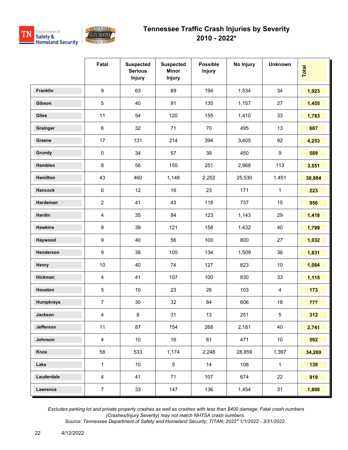



|                  | Fatal                   | <b>Suspected</b><br><b>Serious</b><br><b>Injury</b> | <b>Suspected</b><br><b>Minor</b><br><b>Injury</b> | <b>Possible</b><br><b>Injury</b> | No Injury | <b>Unknown</b> | Total  |
|------------------|-------------------------|-----------------------------------------------------|---------------------------------------------------|----------------------------------|-----------|----------------|--------|
| Franklin         | $\boldsymbol{9}$        | 63                                                  | 89                                                | 194                              | 1,534     | 34             | 1,923  |
| Gibson           | $5\,$                   | 40                                                  | 91                                                | 135                              | 1,157     | 27             | 1,455  |
| <b>Giles</b>     | 11                      | 54                                                  | 120                                               | 155                              | 1,410     | 33             | 1,783  |
| Grainger         | $\,6\,$                 | 32                                                  | 71                                                | 70                               | 495       | 13             | 687    |
| Greene           | 17                      | 131                                                 | 214                                               | 394                              | 3,405     | 92             | 4,253  |
| Grundy           | $\pmb{0}$               | 34                                                  | 57                                                | 39                               | 450       | 9              | 589    |
| Hamblen          | $\bf 8$                 | 56                                                  | 155                                               | 251                              | 2,968     | 113            | 3,551  |
| Hamilton         | 43                      | 460                                                 | 1,148                                             | 2,252                            | 25,530    | 1,451          | 30,884 |
| <b>Hancock</b>   | $\mathsf 0$             | 12                                                  | 16                                                | 23                               | 171       | 1              | 223    |
| Hardeman         | $\overline{2}$          | 41                                                  | 43                                                | 118                              | 737       | 15             | 956    |
| Hardin           | $\overline{\mathbf{4}}$ | 35                                                  | 84                                                | 123                              | 1,143     | 29             | 1,418  |
| <b>Hawkins</b>   | $\boldsymbol{9}$        | 39                                                  | 121                                               | 158                              | 1,432     | 40             | 1,799  |
| Haywood          | $\boldsymbol{9}$        | 40                                                  | 56                                                | 100                              | 800       | 27             | 1,032  |
| Henderson        | $\boldsymbol{9}$        | 38                                                  | 105                                               | 134                              | 1,509     | 36             | 1,831  |
| Henry            | $10$                    | 40                                                  | 74                                                | 127                              | 823       | $10$           | 1,084  |
| Hickman          | $\overline{4}$          | 41                                                  | 107                                               | 100                              | 830       | 33             | 1,115  |
| Houston          | $\mathbf 5$             | 10                                                  | 23                                                | 28                               | 103       | 4              | 173    |
| <b>Humphreys</b> | $\overline{7}$          | $30\,$                                              | 32                                                | 84                               | 606       | 18             | 777    |
| Jackson          | $\overline{4}$          | 8                                                   | 31                                                | 13                               | 251       | 5              | 312    |
| Jefferson        | 11                      | 87                                                  | 154                                               | 268                              | 2,181     | 40             | 2,741  |
| Johnson          | $\overline{4}$          | 10                                                  | 16                                                | 81                               | 471       | $10\,$         | 592    |
| Knox             | 58                      | 533                                                 | 1,174                                             | 2,248                            | 28,859    | 1,397          | 34,269 |
| Lake             | $\mathbf{1}$            | 10 <sup>°</sup>                                     | $5\phantom{.0}$                                   | 14                               | 108       | $\mathbf{1}$   | 139    |
| Lauderdale       | $\overline{4}$          | 41                                                  | 71                                                | 107                              | 674       | 22             | 919    |
| Lawrence         | $\overline{7}$          | 33                                                  | 147                                               | 136                              | 1,454     | 31             | 1,808  |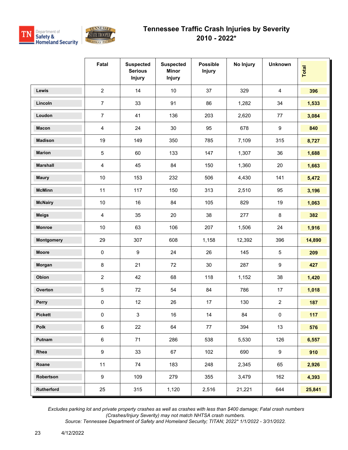

|                 | Fatal          | <b>Suspected</b><br><b>Serious</b><br><b>Injury</b> | <b>Suspected</b><br><b>Minor</b><br><b>Injury</b> | <b>Possible</b><br><b>Injury</b> | No Injury | <b>Unknown</b>   | Total  |
|-----------------|----------------|-----------------------------------------------------|---------------------------------------------------|----------------------------------|-----------|------------------|--------|
| Lewis           | $\overline{2}$ | 14                                                  | $10\,$                                            | 37                               | 329       | $\overline{4}$   | 396    |
| Lincoln         | $\overline{7}$ | 33                                                  | 91                                                | 86                               | 1,282     | 34               | 1,533  |
| Loudon          | $\overline{7}$ | 41                                                  | 136                                               | 203                              | 2,620     | 77               | 3,084  |
| <b>Macon</b>    | 4              | 24                                                  | 30                                                | 95                               | 678       | $\boldsymbol{9}$ | 840    |
| <b>Madison</b>  | 19             | 149                                                 | 350                                               | 785                              | 7,109     | 315              | 8,727  |
| <b>Marion</b>   | 5              | 60                                                  | 133                                               | 147                              | 1,307     | 36               | 1,688  |
| <b>Marshall</b> | 4              | 45                                                  | 84                                                | 150                              | 1,360     | 20               | 1,663  |
| <b>Maury</b>    | 10             | 153                                                 | 232                                               | 506                              | 4,430     | 141              | 5,472  |
| <b>McMinn</b>   | 11             | 117                                                 | 150                                               | 313                              | 2,510     | 95               | 3,196  |
| <b>McNairy</b>  | 10             | 16                                                  | 84                                                | 105                              | 829       | 19               | 1,063  |
| <b>Meigs</b>    | 4              | 35                                                  | 20                                                | 38                               | 277       | $\bf 8$          | 382    |
| Monroe          | 10             | 63                                                  | 106                                               | 207                              | 1,506     | 24               | 1,916  |
| Montgomery      | 29             | 307                                                 | 608                                               | 1,158                            | 12,392    | 396              | 14,890 |
| <b>Moore</b>    | 0              | 9                                                   | 24                                                | 26                               | 145       | $\sqrt{5}$       | 209    |
| Morgan          | 8              | 21                                                  | 72                                                | 30                               | 287       | $\boldsymbol{9}$ | 427    |
| Obion           | 2              | 42                                                  | 68                                                | 118                              | 1,152     | 38               | 1,420  |
| Overton         | 5              | 72                                                  | 54                                                | 84                               | 786       | 17               | 1,018  |
| Perry           | 0              | 12                                                  | 26                                                | 17                               | 130       | $\overline{2}$   | 187    |
| <b>Pickett</b>  | $\pmb{0}$      | $\mathbf{3}$                                        | 16                                                | 14                               | 84        | $\pmb{0}$        | 117    |
| Polk            | $\,6$          | 22                                                  | 64                                                | 77                               | 394       | 13               | 576    |
| Putnam          | $\,6\,$        | 71                                                  | 286                                               | 538                              | 5,530     | 126              | 6,557  |
| Rhea            | 9              | 33                                                  | 67                                                | 102                              | 690       | 9                | 910    |
| Roane           | 11             | 74                                                  | 183                                               | 248                              | 2,345     | 65               | 2,926  |
| Robertson       | 9              | 109                                                 | 279                                               | 355                              | 3,479     | 162              | 4,393  |
| Rutherford      | 25             | 315                                                 | 1,120                                             | 2,516                            | 21,221    | 644              | 25,841 |

 *Excludes parking lot and private property crashes as well as crashes with less than \$400 damage; Fatal crash numbers (Crashes/Injury Severity) may not match NHTSA crash numbers.*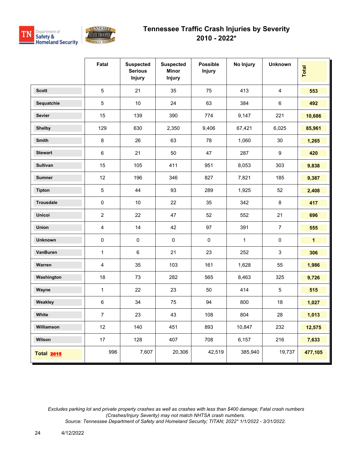



|                   | Fatal                   | <b>Suspected</b><br><b>Serious</b><br><b>Injury</b> | <b>Suspected</b><br><b>Minor</b><br><b>Injury</b> | <b>Possible</b><br><b>Injury</b> | No Injury    | <b>Unknown</b>   | Total        |
|-------------------|-------------------------|-----------------------------------------------------|---------------------------------------------------|----------------------------------|--------------|------------------|--------------|
| <b>Scott</b>      | 5                       | 21                                                  | 35                                                | 75                               | 413          | $\overline{4}$   | 553          |
| Sequatchie        | 5                       | 10                                                  | 24                                                | 63                               | 384          | $6\phantom{1}$   | 492          |
| <b>Sevier</b>     | 15                      | 139                                                 | 390                                               | 774                              | 9,147        | 221              | 10,686       |
| <b>Shelby</b>     | 129                     | 630                                                 | 2,350                                             | 9,406                            | 67,421       | 6,025            | 85,961       |
| Smith             | $\bf 8$                 | 26                                                  | 63                                                | 78                               | 1,060        | 30               | 1,265        |
| <b>Stewart</b>    | 6                       | 21                                                  | 50                                                | 47                               | 287          | $\boldsymbol{9}$ | 420          |
| <b>Sullivan</b>   | 15                      | 105                                                 | 411                                               | 951                              | 8,053        | 303              | 9,838        |
| <b>Sumner</b>     | 12                      | 196                                                 | 346                                               | 827                              | 7,821        | 185              | 9,387        |
| <b>Tipton</b>     | $\sqrt{5}$              | 44                                                  | 93                                                | 289                              | 1,925        | 52               | 2,408        |
| Trousdale         | $\pmb{0}$               | 10                                                  | 22                                                | 35                               | 342          | 8                | 417          |
| <b>Unicoi</b>     | $\overline{c}$          | 22                                                  | 47                                                | 52                               | 552          | 21               | 696          |
| Union             | $\overline{\mathbf{4}}$ | 14                                                  | 42                                                | 97                               | 391          | $\overline{7}$   | 555          |
| <b>Unknown</b>    | 0                       | $\pmb{0}$                                           | $\mathbf 0$                                       | $\pmb{0}$                        | $\mathbf{1}$ | $\pmb{0}$        | $\mathbf{1}$ |
| VanBuren          | 1                       | $\,6\,$                                             | 21                                                | 23                               | 252          | $\mathfrak{S}$   | 306          |
| Warren            | 4                       | 35                                                  | 103                                               | 161                              | 1,628        | 55               | 1,986        |
| Washington        | 18                      | 73                                                  | 282                                               | 565                              | 8,463        | 325              | 9,726        |
| Wayne             | $\mathbf{1}$            | 22                                                  | 23                                                | 50                               | 414          | $\sqrt{5}$       | 515          |
| Weakley           | 6                       | 34                                                  | 75                                                | 94                               | 800          | 18               | 1,027        |
| White             | 7                       | 23                                                  | 43                                                | 108                              | 804          | 28               | 1,013        |
| Williamson        | 12                      | 140                                                 | 451                                               | 893                              | 10,847       | 232              | 12,575       |
| Wilson            | 17                      | 128                                                 | 407                                               | 708                              | 6,157        | 216              | 7,633        |
| <b>Total 2015</b> | 996                     | 7,607                                               | 20,306                                            | 42,519                           | 385,940      | 19,737           | 477,105      |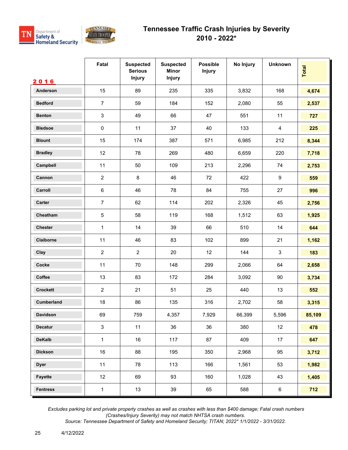



|                   | Fatal          | <b>Suspected</b><br><b>Serious</b><br>Injury | <b>Suspected</b><br><b>Minor</b><br><b>Injury</b> | <b>Possible</b><br><b>Injury</b> | No Injury | <b>Unknown</b> | Total  |
|-------------------|----------------|----------------------------------------------|---------------------------------------------------|----------------------------------|-----------|----------------|--------|
| 2016              |                |                                              |                                                   |                                  |           |                |        |
| Anderson          | 15             | 89                                           | 235                                               | 335                              | 3,832     | 168            | 4,674  |
| <b>Bedford</b>    | $\overline{7}$ | 59                                           | 184                                               | 152                              | 2,080     | 55             | 2,537  |
| <b>Benton</b>     | $\mathbf{3}$   | 49                                           | 66                                                | 47                               | 551       | 11             | 727    |
| <b>Bledsoe</b>    | $\pmb{0}$      | 11                                           | 37                                                | 40                               | 133       | $\overline{4}$ | 225    |
| <b>Blount</b>     | 15             | 174                                          | 387                                               | 571                              | 6,985     | 212            | 8,344  |
| <b>Bradley</b>    | 12             | 78                                           | 269                                               | 480                              | 6,659     | 220            | 7,718  |
| Campbell          | 11             | 50                                           | 109                                               | 213                              | 2,296     | 74             | 2,753  |
| Cannon            | $\overline{2}$ | $\,8\,$                                      | 46                                                | 72                               | 422       | 9              | 559    |
| Carroll           | $\,6\,$        | 46                                           | 78                                                | 84                               | 755       | 27             | 996    |
| <b>Carter</b>     | $\overline{7}$ | 62                                           | 114                                               | 202                              | 2,326     | 45             | 2,756  |
| Cheatham          | 5              | 58                                           | 119                                               | 168                              | 1,512     | 63             | 1,925  |
| <b>Chester</b>    | $\mathbf{1}$   | 14                                           | 39                                                | 66                               | 510       | 14             | 644    |
| Claiborne         | 11             | 46                                           | 83                                                | 102                              | 899       | 21             | 1,162  |
| Clay              | $\overline{2}$ | $\overline{2}$                               | 20                                                | 12                               | 144       | $\mathbf{3}$   | 183    |
| Cocke             | 11             | 70                                           | 148                                               | 299                              | 2,066     | 64             | 2,658  |
| Coffee            | 13             | 83                                           | 172                                               | 284                              | 3,092     | 90             | 3,734  |
| <b>Crockett</b>   | $\overline{2}$ | 21                                           | 51                                                | 25                               | 440       | 13             | 552    |
| <b>Cumberland</b> | 18             | 86                                           | 135                                               | 316                              | 2,702     | 58             | 3,315  |
| Davidson          | 69             | 759                                          | 4,357                                             | 7,929                            | 66,399    | 5,596          | 85,109 |
| <b>Decatur</b>    | $\mathsf 3$    | 11                                           | 36                                                | 36                               | 380       | 12             | 478    |
| <b>DeKalb</b>     | $\mathbf{1}$   | 16                                           | 117                                               | 87                               | 409       | 17             | 647    |
| <b>Dickson</b>    | 16             | 88                                           | 195                                               | 350                              | 2,968     | 95             | 3,712  |
| <b>Dyer</b>       | 11             | 78                                           | 113                                               | 166                              | 1,561     | 53             | 1,982  |
| Fayette           | 12             | 69                                           | 93                                                | 160                              | 1,028     | 43             | 1,405  |
| <b>Fentress</b>   | $\mathbf 1$    | 13                                           | 39                                                | 65                               | 588       | $6\phantom{.}$ | 712    |

 *Excludes parking lot and private property crashes as well as crashes with less than \$400 damage; Fatal crash numbers (Crashes/Injury Severity) may not match NHTSA crash numbers.*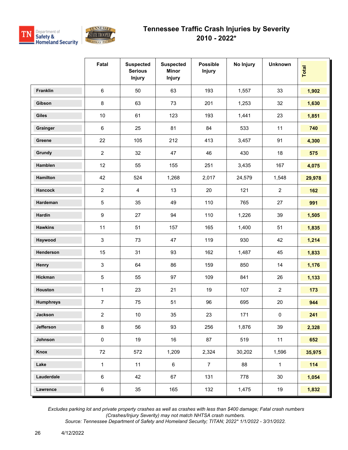



|                  | Fatal            | <b>Suspected</b><br><b>Serious</b><br><b>Injury</b> | <b>Suspected</b><br><b>Minor</b><br>Injury | <b>Possible</b><br>Injury | No Injury | <b>Unknown</b> | Total  |
|------------------|------------------|-----------------------------------------------------|--------------------------------------------|---------------------------|-----------|----------------|--------|
| Franklin         | $\,6\,$          | 50                                                  | 63                                         | 193                       | 1,557     | 33             | 1,902  |
| Gibson           | 8                | 63                                                  | 73                                         | 201                       | 1,253     | 32             | 1,630  |
| <b>Giles</b>     | $10$             | 61                                                  | 123                                        | 193                       | 1,441     | 23             | 1,851  |
| Grainger         | 6                | 25                                                  | 81                                         | 84                        | 533       | 11             | 740    |
| Greene           | 22               | 105                                                 | 212                                        | 413                       | 3,457     | 91             | 4,300  |
| Grundy           | $\overline{2}$   | 32                                                  | 47                                         | 46                        | 430       | 18             | 575    |
| Hamblen          | 12               | 55                                                  | 155                                        | 251                       | 3,435     | 167            | 4,075  |
| Hamilton         | 42               | 524                                                 | 1,268                                      | 2,017                     | 24,579    | 1,548          | 29,978 |
| <b>Hancock</b>   | $\overline{2}$   | $\overline{4}$                                      | 13                                         | 20                        | 121       | $\overline{2}$ | 162    |
| Hardeman         | $5\phantom{.0}$  | 35                                                  | 49                                         | 110                       | 765       | 27             | 991    |
| Hardin           | $\boldsymbol{9}$ | 27                                                  | 94                                         | 110                       | 1,226     | 39             | 1,505  |
| <b>Hawkins</b>   | 11               | 51                                                  | 157                                        | 165                       | 1,400     | 51             | 1,835  |
| Haywood          | 3                | 73                                                  | 47                                         | 119                       | 930       | 42             | 1,214  |
| Henderson        | 15               | 31                                                  | 93                                         | 162                       | 1,487     | 45             | 1,833  |
| Henry            | $\mathfrak{S}$   | 64                                                  | 86                                         | 159                       | 850       | 14             | 1,176  |
| Hickman          | 5                | 55                                                  | 97                                         | 109                       | 841       | 26             | 1,133  |
| Houston          | $\mathbf{1}$     | 23                                                  | 21                                         | 19                        | 107       | $\overline{2}$ | 173    |
| <b>Humphreys</b> | $\overline{7}$   | 75                                                  | 51                                         | 96                        | 695       | 20             | 944    |
| Jackson          | $\overline{2}$   | $10$                                                | 35                                         | 23                        | 171       | 0              | 241    |
| Jefferson        | $\bf 8$          | 56                                                  | 93                                         | 256                       | 1,876     | 39             | 2,328  |
| Johnson          | $\pmb{0}$        | 19                                                  | 16                                         | 87                        | 519       | 11             | 652    |
| Knox             | 72               | 572                                                 | 1,209                                      | 2,324                     | 30,202    | 1,596          | 35,975 |
| Lake             | $\mathbf{1}$     | 11                                                  | 6                                          | $\overline{7}$            | 88        | $\mathbf{1}$   | 114    |
| Lauderdale       | $\,6\,$          | 42                                                  | 67                                         | 131                       | 778       | $30\,$         | 1,054  |
| Lawrence         | $\,6\,$          | 35                                                  | 165                                        | 132                       | 1,475     | 19             | 1,832  |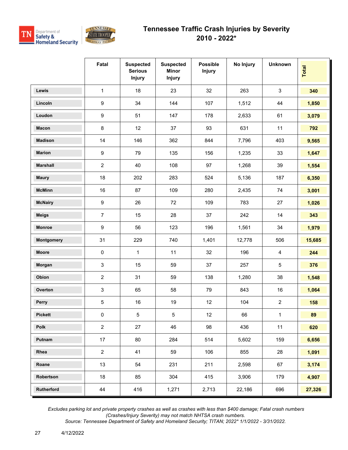

|                 | Fatal            | <b>Suspected</b><br><b>Serious</b><br><b>Injury</b> | <b>Suspected</b><br><b>Minor</b><br><b>Injury</b> | <b>Possible</b><br><b>Injury</b> | No Injury | <b>Unknown</b> | Total  |
|-----------------|------------------|-----------------------------------------------------|---------------------------------------------------|----------------------------------|-----------|----------------|--------|
| <b>Lewis</b>    | $\mathbf{1}$     | 18                                                  | 23                                                | 32                               | 263       | $\mathfrak{S}$ | 340    |
| Lincoln         | $\boldsymbol{9}$ | 34                                                  | 144                                               | 107                              | 1,512     | 44             | 1,850  |
| Loudon          | $\boldsymbol{9}$ | 51                                                  | 147                                               | 178                              | 2,633     | 61             | 3,079  |
| <b>Macon</b>    | $\bf 8$          | 12                                                  | 37                                                | 93                               | 631       | 11             | 792    |
| <b>Madison</b>  | 14               | 146                                                 | 362                                               | 844                              | 7,796     | 403            | 9,565  |
| <b>Marion</b>   | $\boldsymbol{9}$ | 79                                                  | 135                                               | 156                              | 1,235     | 33             | 1,647  |
| <b>Marshall</b> | $\overline{2}$   | 40                                                  | 108                                               | 97                               | 1,268     | 39             | 1,554  |
| <b>Maury</b>    | 18               | 202                                                 | 283                                               | 524                              | 5,136     | 187            | 6,350  |
| <b>McMinn</b>   | 16               | 87                                                  | 109                                               | 280                              | 2,435     | 74             | 3,001  |
| <b>McNairy</b>  | $\boldsymbol{9}$ | 26                                                  | 72                                                | 109                              | 783       | 27             | 1,026  |
| <b>Meigs</b>    | $\overline{7}$   | 15                                                  | 28                                                | 37                               | 242       | 14             | 343    |
| <b>Monroe</b>   | $\boldsymbol{9}$ | 56                                                  | 123                                               | 196                              | 1,561     | 34             | 1,979  |
| Montgomery      | 31               | 229                                                 | 740                                               | 1,401                            | 12,778    | 506            | 15,685 |
| <b>Moore</b>    | $\pmb{0}$        | 1                                                   | 11                                                | 32                               | 196       | 4              | 244    |
| Morgan          | 3                | 15                                                  | 59                                                | 37                               | 257       | 5              | 376    |
| Obion           | $\overline{2}$   | 31                                                  | 59                                                | 138                              | 1,280     | 38             | 1,548  |
| Overton         | 3                | 65                                                  | 58                                                | 79                               | 843       | 16             | 1,064  |
| Perry           | 5                | 16                                                  | 19                                                | 12                               | 104       | $\overline{2}$ | 158    |
| <b>Pickett</b>  | $\pmb{0}$        | 5                                                   | 5                                                 | 12                               | 66        | 1              | 89     |
| Polk            | $\overline{2}$   | 27                                                  | 46                                                | 98                               | 436       | 11             | 620    |
| Putnam          | 17               | 80                                                  | 284                                               | 514                              | 5,602     | 159            | 6,656  |
| Rhea            | $\overline{c}$   | 41                                                  | 59                                                | 106                              | 855       | 28             | 1,091  |
| Roane           | 13               | 54                                                  | 231                                               | 211                              | 2,598     | 67             | 3,174  |
| Robertson       | 18               | 85                                                  | 304                                               | 415                              | 3,906     | 179            | 4,907  |
| Rutherford      | 44               | 416                                                 | 1,271                                             | 2,713                            | 22,186    | 696            | 27,326 |

 *Excludes parking lot and private property crashes as well as crashes with less than \$400 damage; Fatal crash numbers (Crashes/Injury Severity) may not match NHTSA crash numbers.*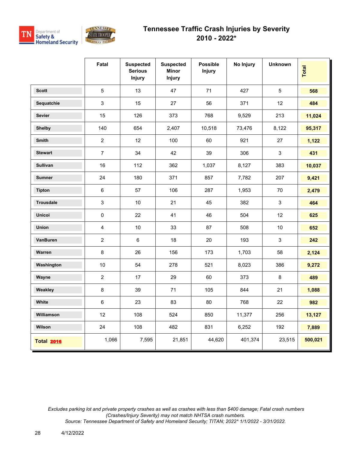



|                   | Fatal                   | <b>Suspected</b><br><b>Serious</b><br><b>Injury</b> | <b>Suspected</b><br><b>Minor</b><br><b>Injury</b> | <b>Possible</b><br><b>Injury</b> | No Injury | <b>Unknown</b> | <b>Total</b> |
|-------------------|-------------------------|-----------------------------------------------------|---------------------------------------------------|----------------------------------|-----------|----------------|--------------|
| <b>Scott</b>      | 5                       | 13                                                  | 47                                                | 71                               | 427       | $\overline{5}$ | 568          |
| Sequatchie        | 3                       | 15                                                  | 27                                                | 56                               | 371       | 12             | 484          |
| <b>Sevier</b>     | 15                      | 126                                                 | 373                                               | 768                              | 9,529     | 213            | 11,024       |
| <b>Shelby</b>     | 140                     | 654                                                 | 2,407                                             | 10,518                           | 73,476    | 8,122          | 95,317       |
| <b>Smith</b>      | $\overline{2}$          | 12                                                  | 100                                               | 60                               | 921       | 27             | 1,122        |
| <b>Stewart</b>    | $\overline{7}$          | 34                                                  | 42                                                | 39                               | 306       | 3              | 431          |
| <b>Sullivan</b>   | 16                      | 112                                                 | 362                                               | 1,037                            | 8,127     | 383            | 10,037       |
| <b>Sumner</b>     | 24                      | 180                                                 | 371                                               | 857                              | 7,782     | 207            | 9,421        |
| <b>Tipton</b>     | $\,6\,$                 | 57                                                  | 106                                               | 287                              | 1,953     | 70             | 2,479        |
| <b>Trousdale</b>  | $\mathfrak{S}$          | $10\,$                                              | 21                                                | 45                               | 382       | $\mathfrak{S}$ | 464          |
| <b>Unicoi</b>     | $\pmb{0}$               | 22                                                  | 41                                                | 46                               | 504       | 12             | 625          |
| Union             | $\overline{\mathbf{4}}$ | 10                                                  | 33                                                | 87                               | 508       | 10             | 652          |
| VanBuren          | $\overline{2}$          | 6                                                   | 18                                                | $20\,$                           | 193       | $\mathbf{3}$   | 242          |
| Warren            | $\bf 8$                 | 26                                                  | 156                                               | 173                              | 1,703     | 58             | 2,124        |
| Washington        | 10                      | 54                                                  | 278                                               | 521                              | 8,023     | 386            | 9,272        |
| Wayne             | $\overline{2}$          | 17                                                  | 29                                                | 60                               | 373       | 8              | 489          |
| Weakley           | $\bf 8$                 | 39                                                  | 71                                                | 105                              | 844       | 21             | 1,088        |
| White             | $\,6\,$                 | 23                                                  | 83                                                | 80                               | 768       | 22             | 982          |
| Williamson        | 12                      | 108                                                 | 524                                               | 850                              | 11,377    | 256            | 13,127       |
| Wilson            | 24                      | 108                                                 | 482                                               | 831                              | 6,252     | 192            | 7,889        |
| <b>Total 2016</b> | 1,066                   | 7,595                                               | 21,851                                            | 44,620                           | 401,374   | 23,515         | 500,021      |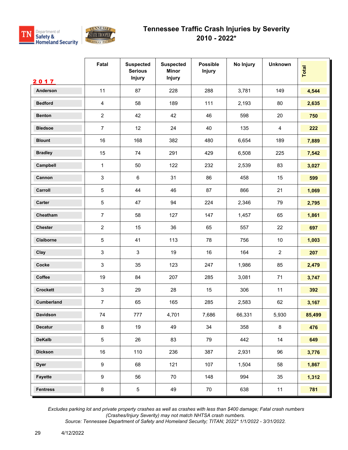



|                   | Fatal                     | <b>Suspected</b><br><b>Serious</b><br><b>Injury</b> | <b>Suspected</b><br><b>Minor</b><br><b>Injury</b> | <b>Possible</b><br><b>Injury</b> | No Injury | <b>Unknown</b> | Total  |
|-------------------|---------------------------|-----------------------------------------------------|---------------------------------------------------|----------------------------------|-----------|----------------|--------|
| 2017              |                           |                                                     |                                                   |                                  |           |                |        |
| Anderson          | 11                        | 87                                                  | 228                                               | 288                              | 3,781     | 149            | 4,544  |
| <b>Bedford</b>    | 4                         | 58                                                  | 189                                               | 111                              | 2,193     | 80             | 2,635  |
| <b>Benton</b>     | $\sqrt{2}$                | 42                                                  | 42                                                | 46                               | 598       | 20             | 750    |
| <b>Bledsoe</b>    | $\overline{7}$            | 12                                                  | 24                                                | 40                               | 135       | $\overline{4}$ | 222    |
| <b>Blount</b>     | 16                        | 168                                                 | 382                                               | 480                              | 6,654     | 189            | 7,889  |
| <b>Bradley</b>    | 15                        | 74                                                  | 291                                               | 429                              | 6,508     | 225            | 7,542  |
| Campbell          | 1                         | 50                                                  | 122                                               | 232                              | 2,539     | 83             | 3,027  |
| Cannon            | 3                         | $\,6\,$                                             | 31                                                | 86                               | 458       | 15             | 599    |
| Carroll           | $\sqrt{5}$                | 44                                                  | 46                                                | 87                               | 866       | 21             | 1,069  |
| Carter            | $\sqrt{5}$                | 47                                                  | 94                                                | 224                              | 2,346     | 79             | 2,795  |
| Cheatham          | $\overline{7}$            | 58                                                  | 127                                               | 147                              | 1,457     | 65             | 1,861  |
| Chester           | $\sqrt{2}$                | 15                                                  | 36                                                | 65                               | 557       | 22             | 697    |
| Claiborne         | $\sqrt{5}$                | 41                                                  | 113                                               | 78                               | 756       | $10$           | 1,003  |
| Clay              | 3                         | 3                                                   | 19                                                | 16                               | 164       | $\overline{2}$ | 207    |
| Cocke             | $\ensuremath{\mathsf{3}}$ | 35                                                  | 123                                               | 247                              | 1,986     | 85             | 2,479  |
| Coffee            | 19                        | 84                                                  | 207                                               | 285                              | 3,081     | 71             | 3,747  |
| <b>Crockett</b>   | $\ensuremath{\mathsf{3}}$ | 29                                                  | 28                                                | 15                               | 306       | 11             | 392    |
| <b>Cumberland</b> | $\overline{7}$            | 65                                                  | 165                                               | 285                              | 2,583     | 62             | 3,167  |
| Davidson          | 74                        | 777                                                 | 4,701                                             | 7,686                            | 66,331    | 5,930          | 85,499 |
| Decatur           | $\bf 8$                   | 19                                                  | 49                                                | 34                               | 358       | $\bf 8$        | 476    |
| <b>DeKalb</b>     | $\,$ 5 $\,$               | 26                                                  | 83                                                | 79                               | 442       | 14             | 649    |
| <b>Dickson</b>    | $16\,$                    | 110                                                 | 236                                               | 387                              | 2,931     | 96             | 3,776  |
| <b>Dyer</b>       | $\boldsymbol{9}$          | 68                                                  | 121                                               | 107                              | 1,504     | 58             | 1,867  |
| Fayette           | 9                         | 56                                                  | 70                                                | 148                              | 994       | 35             | 1,312  |
| <b>Fentress</b>   | $\bf 8$                   | 5                                                   | 49                                                | 70                               | 638       | 11             | 781    |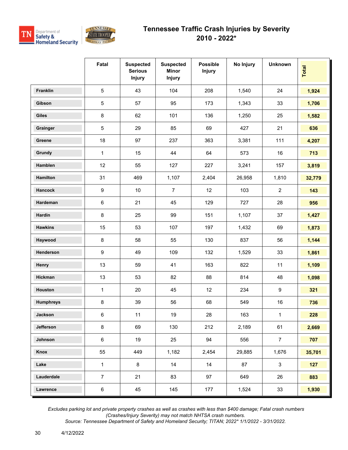



|                  | Fatal            | <b>Suspected</b><br><b>Serious</b><br><b>Injury</b> | <b>Suspected</b><br><b>Minor</b><br><b>Injury</b> | <b>Possible</b><br><b>Injury</b> | No Injury | <b>Unknown</b> | Total  |
|------------------|------------------|-----------------------------------------------------|---------------------------------------------------|----------------------------------|-----------|----------------|--------|
| Franklin         | $\overline{5}$   | 43                                                  | 104                                               | 208                              | 1,540     | 24             | 1,924  |
| Gibson           | $5\,$            | 57                                                  | 95                                                | 173                              | 1,343     | 33             | 1,706  |
| <b>Giles</b>     | 8                | 62                                                  | 101                                               | 136                              | 1,250     | 25             | 1,582  |
| Grainger         | $\overline{5}$   | 29                                                  | 85                                                | 69                               | 427       | 21             | 636    |
| Greene           | 18               | 97                                                  | 237                                               | 363                              | 3,381     | 111            | 4,207  |
| Grundy           | $\mathbf{1}$     | 15                                                  | 44                                                | 64                               | 573       | 16             | 713    |
| Hamblen          | 12               | 55                                                  | 127                                               | 227                              | 3,241     | 157            | 3,819  |
| <b>Hamilton</b>  | 31               | 469                                                 | 1,107                                             | 2,404                            | 26,958    | 1,810          | 32,779 |
| <b>Hancock</b>   | $\boldsymbol{9}$ | 10                                                  | $\overline{7}$                                    | 12                               | 103       | $\overline{2}$ | 143    |
| Hardeman         | $\,6\,$          | 21                                                  | 45                                                | 129                              | 727       | 28             | 956    |
| Hardin           | 8                | 25                                                  | 99                                                | 151                              | 1,107     | 37             | 1,427  |
| <b>Hawkins</b>   | 15               | 53                                                  | 107                                               | 197                              | 1,432     | 69             | 1,873  |
| Haywood          | $\bf 8$          | 58                                                  | 55                                                | 130                              | 837       | 56             | 1,144  |
| Henderson        | $\boldsymbol{9}$ | 49                                                  | 109                                               | 132                              | 1,529     | 33             | 1,861  |
| Henry            | 13               | 59                                                  | 41                                                | 163                              | 822       | 11             | 1,109  |
| Hickman          | 13               | 53                                                  | 82                                                | 88                               | 814       | 48             | 1,098  |
| Houston          | $\mathbf{1}$     | 20                                                  | 45                                                | 12                               | 234       | 9              | 321    |
| <b>Humphreys</b> | $\bf 8$          | 39                                                  | 56                                                | 68                               | 549       | 16             | 736    |
| Jackson          | $\,6\,$          | 11                                                  | 19                                                | 28                               | 163       | 1              | 228    |
| Jefferson        | $\bf 8$          | 69                                                  | 130                                               | 212                              | 2,189     | 61             | 2,669  |
| Johnson          | 6                | 19                                                  | 25                                                | 94                               | 556       | $\overline{7}$ | 707    |
| Knox             | 55               | 449                                                 | 1,182                                             | 2,454                            | 29,885    | 1,676          | 35,701 |
| Lake             | $\mathbf{1}$     | $\bf 8$                                             | 14                                                | 14                               | 87        | $\mathbf{3}$   | 127    |
| Lauderdale       | $\overline{7}$   | 21                                                  | 83                                                | 97                               | 649       | 26             | 883    |
| Lawrence         | $\,6\,$          | 45                                                  | 145                                               | 177                              | 1,524     | 33             | 1,930  |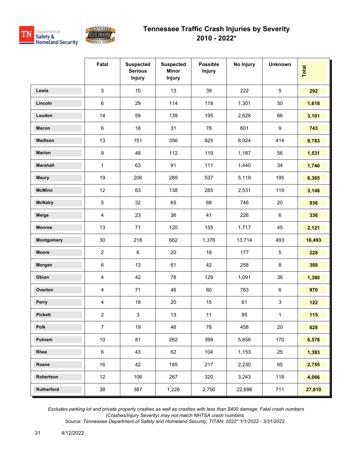

|                 | Fatal          | <b>Suspected</b><br><b>Serious</b><br><b>Injury</b> | <b>Suspected</b><br><b>Minor</b><br><b>Injury</b> | <b>Possible</b><br><b>Injury</b> | No Injury | <b>Unknown</b>            | Total  |
|-----------------|----------------|-----------------------------------------------------|---------------------------------------------------|----------------------------------|-----------|---------------------------|--------|
| <b>Lewis</b>    | 3              | 10                                                  | 13                                                | 39                               | 222       | $\sqrt{5}$                | 292    |
| Lincoln         | 6              | 29                                                  | 114                                               | 118                              | 1,301     | 50                        | 1,618  |
| Loudon          | 14             | 59                                                  | 139                                               | 195                              | 2,628     | 66                        | 3,101  |
| <b>Macon</b>    | $\,6\,$        | 18                                                  | 31                                                | 78                               | 601       | $\boldsymbol{9}$          | 743    |
| <b>Madison</b>  | 13             | 151                                                 | 356                                               | 825                              | 8,024     | 414                       | 9,783  |
| <b>Marion</b>   | 9              | 48                                                  | 112                                               | 119                              | 1,187     | 56                        | 1,531  |
| <b>Marshall</b> | $\mathbf{1}$   | 63                                                  | 91                                                | 111                              | 1,440     | 34                        | 1,740  |
| <b>Maury</b>    | 19             | 206                                                 | 289                                               | 537                              | 5,119     | 195                       | 6,365  |
| <b>McMinn</b>   | 12             | 63                                                  | 138                                               | 285                              | 2,531     | 119                       | 3,148  |
| <b>McNairy</b>  | 5              | 32                                                  | 65                                                | 68                               | 746       | 20                        | 936    |
| <b>Meigs</b>    | 4              | 23                                                  | 36                                                | 41                               | 226       | $\,6\,$                   | 336    |
| <b>Monroe</b>   | 13             | 71                                                  | 120                                               | 155                              | 1,717     | 45                        | 2,121  |
| Montgomery      | 30             | 218                                                 | 662                                               | 1,376                            | 13,714    | 493                       | 16,493 |
| <b>Moore</b>    | $\overline{2}$ | 6                                                   | 20                                                | 18                               | 177       | $\sqrt{5}$                | 228    |
| Morgan          | 6              | 13                                                  | 61                                                | 42                               | 258       | 8                         | 388    |
| Obion           | 4              | 42                                                  | 78                                                | 129                              | 1,091     | 36                        | 1,380  |
| Overton         | 4              | 71                                                  | 46                                                | 60                               | 783       | 6                         | 970    |
| Perry           | 4              | 19                                                  | 20                                                | 15                               | 61        | $\ensuremath{\mathsf{3}}$ | 122    |
| <b>Pickett</b>  | $\overline{c}$ | $\mathbf{3}$                                        | 13                                                | 11                               | 85        | 1                         | 115    |
| Polk            | $\overline{7}$ | 19                                                  | 46                                                | 78                               | 458       | $20\,$                    | 628    |
| Putnam          | 10             | 81                                                  | 262                                               | 399                              | 5,656     | 170                       | 6,578  |
| Rhea            | 6              | 43                                                  | 62                                                | 104                              | 1,153     | 25                        | 1,393  |
| Roane           | 16             | 42                                                  | 185                                               | 217                              | 2,230     | 65                        | 2,755  |
| Robertson       | 12             | 106                                                 | 267                                               | 320                              | 3,243     | 118                       | 4,066  |
| Rutherford      | 38             | 387                                                 | 1,226                                             | 2,750                            | 22,698    | 711                       | 27,810 |

 *Excludes parking lot and private property crashes as well as crashes with less than \$400 damage; Fatal crash numbers (Crashes/Injury Severity) may not match NHTSA crash numbers.*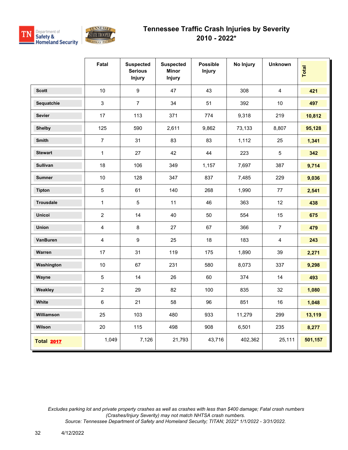

|                   | Fatal          | <b>Suspected</b><br><b>Serious</b><br><b>Injury</b> | <b>Suspected</b><br><b>Minor</b><br><b>Injury</b> | <b>Possible</b><br><b>Injury</b> | No Injury | <b>Unknown</b> | Total   |
|-------------------|----------------|-----------------------------------------------------|---------------------------------------------------|----------------------------------|-----------|----------------|---------|
| <b>Scott</b>      | 10             | $\boldsymbol{9}$                                    | 47                                                | 43                               | 308       | $\overline{4}$ | 421     |
| Sequatchie        | $\mathsf 3$    | $\overline{7}$                                      | 34                                                | 51                               | 392       | $10$           | 497     |
| <b>Sevier</b>     | 17             | 113                                                 | 371                                               | 774                              | 9,318     | 219            | 10,812  |
| <b>Shelby</b>     | 125            | 590                                                 | 2,611                                             | 9,862                            | 73,133    | 8,807          | 95,128  |
| <b>Smith</b>      | $\overline{7}$ | 31                                                  | 83                                                | 83                               | 1,112     | 25             | 1,341   |
| <b>Stewart</b>    | $\mathbf{1}$   | 27                                                  | 42                                                | 44                               | 223       | $\overline{5}$ | 342     |
| <b>Sullivan</b>   | 18             | 106                                                 | 349                                               | 1,157                            | 7,697     | 387            | 9,714   |
| <b>Sumner</b>     | 10             | 128                                                 | 347                                               | 837                              | 7,485     | 229            | 9,036   |
| <b>Tipton</b>     | $\overline{5}$ | 61                                                  | 140                                               | 268                              | 1,990     | 77             | 2,541   |
| <b>Trousdale</b>  | $\mathbf{1}$   | 5                                                   | 11                                                | 46                               | 363       | 12             | 438     |
| <b>Unicoi</b>     | $\overline{2}$ | 14                                                  | 40                                                | 50                               | 554       | 15             | 675     |
| Union             | $\overline{4}$ | 8                                                   | 27                                                | 67                               | 366       | $\overline{7}$ | 479     |
| VanBuren          | $\overline{4}$ | $\boldsymbol{9}$                                    | 25                                                | 18                               | 183       | $\overline{4}$ | 243     |
| Warren            | 17             | 31                                                  | 119                                               | 175                              | 1,890     | 39             | 2,271   |
| Washington        | 10             | 67                                                  | 231                                               | 580                              | 8,073     | 337            | 9,298   |
| Wayne             | $\sqrt{5}$     | 14                                                  | 26                                                | 60                               | 374       | 14             | 493     |
| Weakley           | $\overline{2}$ | 29                                                  | 82                                                | 100                              | 835       | 32             | 1,080   |
| White             | $\,6\,$        | 21                                                  | 58                                                | 96                               | 851       | 16             | 1,048   |
| Williamson        | 25             | 103                                                 | 480                                               | 933                              | 11,279    | 299            | 13,119  |
| Wilson            | 20             | 115                                                 | 498                                               | 908                              | 6,501     | 235            | 8,277   |
| <b>Total 2017</b> | 1,049          | 7,126                                               | 21,793                                            | 43,716                           | 402,362   | 25,111         | 501,157 |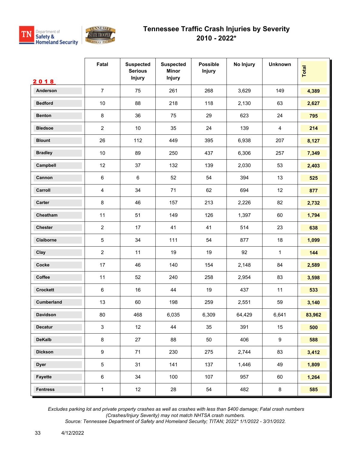



|                  | Fatal            | <b>Suspected</b><br><b>Serious</b><br><b>Injury</b> | <b>Suspected</b><br><b>Minor</b><br><b>Injury</b> | <b>Possible</b><br><b>Injury</b> | No Injury | <b>Unknown</b>   | Total  |
|------------------|------------------|-----------------------------------------------------|---------------------------------------------------|----------------------------------|-----------|------------------|--------|
| 2018<br>Anderson | $\overline{7}$   | 75                                                  | 261                                               | 268                              | 3,629     | 149              | 4,389  |
| <b>Bedford</b>   | $10$             | 88                                                  | 218                                               | 118                              | 2,130     | 63               | 2,627  |
| <b>Benton</b>    | $\bf 8$          | 36                                                  | 75                                                | 29                               | 623       | 24               | 795    |
| <b>Bledsoe</b>   | $\overline{c}$   | 10                                                  | 35                                                | 24                               | 139       | 4                | 214    |
| <b>Blount</b>    | 26               | 112                                                 | 449                                               | 395                              | 6,938     | 207              | 8,127  |
| <b>Bradley</b>   | $10$             | 89                                                  | 250                                               | 437                              | 6,306     | 257              | 7,349  |
| Campbell         | 12               | 37                                                  | 132                                               | 139                              | 2,030     | 53               | 2,403  |
| Cannon           | $\,6\,$          | $\,6\,$                                             | 52                                                | 54                               | 394       | 13               | 525    |
| Carroll          | 4                | 34                                                  | 71                                                | 62                               | 694       | 12               | 877    |
| Carter           | 8                | 46                                                  | 157                                               | 213                              | 2,226     | 82               | 2,732  |
| Cheatham         | 11               | 51                                                  | 149                                               | 126                              | 1,397     | 60               | 1,794  |
| Chester          | $\overline{2}$   | 17                                                  | 41                                                | 41                               | 514       | 23               | 638    |
| Claiborne        | $\sqrt{5}$       | 34                                                  | 111                                               | 54                               | 877       | 18               | 1,099  |
| Clay             | $\overline{2}$   | 11                                                  | 19                                                | 19                               | 92        | $\mathbf{1}$     | 144    |
| Cocke            | 17               | 46                                                  | 140                                               | 154                              | 2,148     | 84               | 2,589  |
| Coffee           | 11               | 52                                                  | 240                                               | 258                              | 2,954     | 83               | 3,598  |
| <b>Crockett</b>  | $\,6\,$          | 16                                                  | 44                                                | 19                               | 437       | 11               | 533    |
| Cumberland       | 13               | 60                                                  | 198                                               | 259                              | 2,551     | 59               | 3,140  |
| Davidson         | 80               | 468                                                 | 6,035                                             | 6,309                            | 64,429    | 6,641            | 83,962 |
| <b>Decatur</b>   | $\mathfrak{S}$   | 12                                                  | 44                                                | 35                               | 391       | 15               | 500    |
| <b>DeKalb</b>    | $\bf 8$          | 27                                                  | 88                                                | 50                               | 406       | $\boldsymbol{9}$ | 588    |
| <b>Dickson</b>   | $\boldsymbol{9}$ | 71                                                  | 230                                               | 275                              | 2,744     | 83               | 3,412  |
| <b>Dyer</b>      | $\sqrt{5}$       | 31                                                  | 141                                               | 137                              | 1,446     | 49               | 1,809  |
| Fayette          | $\,6\,$          | 34                                                  | 100                                               | 107                              | 957       | 60               | 1,264  |
| <b>Fentress</b>  | $\mathbf 1$      | 12                                                  | 28                                                | 54                               | 482       | 8                | 585    |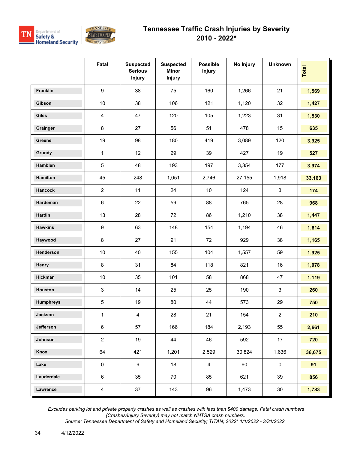



|                  | Fatal                     | <b>Suspected</b><br><b>Serious</b><br><b>Injury</b> | <b>Suspected</b><br><b>Minor</b><br><b>Injury</b> | <b>Possible</b><br><b>Injury</b> | No Injury | <b>Unknown</b> | Total      |
|------------------|---------------------------|-----------------------------------------------------|---------------------------------------------------|----------------------------------|-----------|----------------|------------|
| Franklin         | 9                         | 38                                                  | 75                                                | 160                              | 1,266     | 21             | 1,569      |
| Gibson           | $10$                      | 38                                                  | 106                                               | 121                              | 1,120     | 32             | 1,427      |
| <b>Giles</b>     | $\overline{4}$            | 47                                                  | 120                                               | 105                              | 1,223     | 31             | 1,530      |
| Grainger         | 8                         | 27                                                  | 56                                                | 51                               | 478       | 15             | 635        |
| Greene           | 19                        | 98                                                  | 180                                               | 419                              | 3,089     | 120            | 3,925      |
| Grundy           | $\mathbf 1$               | 12                                                  | 29                                                | 39                               | 427       | 19             | 527        |
| Hamblen          | $\,$ 5 $\,$               | 48                                                  | 193                                               | 197                              | 3,354     | 177            | 3,974      |
| Hamilton         | 45                        | 248                                                 | 1,051                                             | 2,746                            | 27,155    | 1,918          | 33,163     |
| Hancock          | $\overline{2}$            | 11                                                  | 24                                                | 10                               | 124       | $\mathbf{3}$   | 174        |
| Hardeman         | $\,6\,$                   | 22                                                  | 59                                                | 88                               | 765       | 28             | 968        |
| Hardin           | 13                        | 28                                                  | 72                                                | 86                               | 1,210     | 38             | 1,447      |
| <b>Hawkins</b>   | $\boldsymbol{9}$          | 63                                                  | 148                                               | 154                              | 1,194     | 46             | 1,614      |
| Haywood          | $\bf 8$                   | 27                                                  | 91                                                | 72                               | 929       | 38             | 1,165      |
| Henderson        | $10$                      | 40                                                  | 155                                               | 104                              | 1,557     | 59             | 1,925      |
| Henry            | $\bf 8$                   | 31                                                  | 84                                                | 118                              | 821       | 16             | 1,078      |
| Hickman          | $10$                      | 35                                                  | 101                                               | 58                               | 868       | 47             | 1,119      |
| Houston          | $\ensuremath{\mathsf{3}}$ | 14                                                  | 25                                                | 25                               | 190       | $\sqrt{3}$     | 260        |
| <b>Humphreys</b> | $\,$ 5 $\,$               | 19                                                  | 80                                                | 44                               | 573       | 29             | 750        |
| Jackson          | $\mathbf{1}$              | $\overline{4}$                                      | 28                                                | 21                               | 154       | $\overline{c}$ | <b>210</b> |
| Jefferson        | $\,6\,$                   | 57                                                  | 166                                               | 184                              | 2,193     | 55             | 2,661      |
| Johnson          | $\overline{a}$            | 19                                                  | 44                                                | 46                               | 592       | 17             | 720        |
| Knox             | 64                        | 421                                                 | 1,201                                             | 2,529                            | 30,824    | 1,636          | 36,675     |
| Lake             | 0                         | $9\,$                                               | 18                                                | 4                                | 60        | $\pmb{0}$      | 91         |
| Lauderdale       | 6                         | 35                                                  | 70                                                | 85                               | 621       | 39             | 856        |
| Lawrence         | $\overline{4}$            | 37                                                  | 143                                               | 96                               | 1,473     | $30\,$         | 1,783      |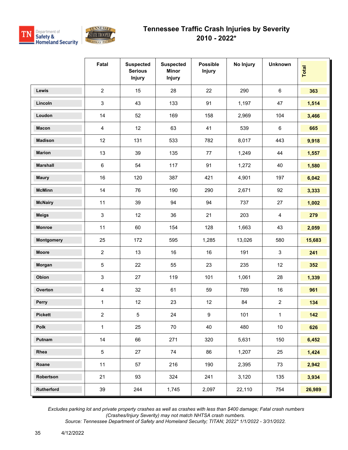



|                   | Fatal                   | <b>Suspected</b><br><b>Serious</b><br><b>Injury</b> | <b>Suspected</b><br><b>Minor</b><br><b>Injury</b> | <b>Possible</b><br><b>Injury</b> | No Injury | <b>Unknown</b> | Total  |
|-------------------|-------------------------|-----------------------------------------------------|---------------------------------------------------|----------------------------------|-----------|----------------|--------|
| Lewis             | $\overline{2}$          | 15                                                  | 28                                                | 22                               | 290       | $6\phantom{1}$ | 363    |
| Lincoln           | $\mathsf 3$             | 43                                                  | 133                                               | 91                               | 1,197     | 47             | 1,514  |
| Loudon            | 14                      | 52                                                  | 169                                               | 158                              | 2,969     | 104            | 3,466  |
| <b>Macon</b>      | $\overline{\mathbf{4}}$ | 12                                                  | 63                                                | 41                               | 539       | $\,6\,$        | 665    |
| <b>Madison</b>    | 12                      | 131                                                 | 533                                               | 782                              | 8,017     | 443            | 9,918  |
| <b>Marion</b>     | 13                      | 39                                                  | 135                                               | 77                               | 1,249     | 44             | 1,557  |
| <b>Marshall</b>   | $\,6\,$                 | 54                                                  | 117                                               | 91                               | 1,272     | 40             | 1,580  |
| <b>Maury</b>      | 16                      | 120                                                 | 387                                               | 421                              | 4,901     | 197            | 6,042  |
| <b>McMinn</b>     | 14                      | 76                                                  | 190                                               | 290                              | 2,671     | 92             | 3,333  |
| <b>McNairy</b>    | 11                      | 39                                                  | 94                                                | 94                               | 737       | 27             | 1,002  |
| <b>Meigs</b>      | $\mathsf 3$             | 12                                                  | 36                                                | 21                               | 203       | $\overline{4}$ | 279    |
| Monroe            | 11                      | 60                                                  | 154                                               | 128                              | 1,663     | 43             | 2,059  |
| <b>Montgomery</b> | 25                      | 172                                                 | 595                                               | 1,285                            | 13,026    | 580            | 15,683 |
| Moore             | $\overline{2}$          | 13                                                  | 16                                                | 16                               | 191       | $\mathbf{3}$   | 241    |
| Morgan            | $\,$ 5 $\,$             | 22                                                  | 55                                                | 23                               | 235       | 12             | 352    |
| Obion             | 3                       | 27                                                  | 119                                               | 101                              | 1,061     | 28             | 1,339  |
| Overton           | $\overline{4}$          | 32                                                  | 61                                                | 59                               | 789       | 16             | 961    |
| Perry             | $\mathbf{1}$            | 12                                                  | 23                                                | 12                               | 84        | $\overline{2}$ | 134    |
| <b>Pickett</b>    | $\overline{2}$          | 5                                                   | 24                                                | $\boldsymbol{9}$                 | 101       | $\mathbf{1}$   | 142    |
| Polk              | $\mathbf 1$             | 25                                                  | 70                                                | 40                               | 480       | $10\,$         | 626    |
| Putnam            | 14                      | 66                                                  | 271                                               | 320                              | 5,631     | 150            | 6,452  |
| Rhea              | $\,$ 5 $\,$             | 27                                                  | 74                                                | 86                               | 1,207     | 25             | 1,424  |
| Roane             | 11                      | 57                                                  | 216                                               | 190                              | 2,395     | 73             | 2,942  |
| Robertson         | 21                      | 93                                                  | 324                                               | 241                              | 3,120     | 135            | 3,934  |
| Rutherford        | 39                      | 244                                                 | 1,745                                             | 2,097                            | 22,110    | 754            | 26,989 |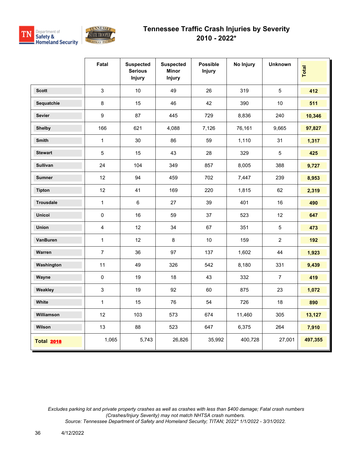



|                   | Fatal                   | <b>Suspected</b><br><b>Serious</b><br><b>Injury</b> | <b>Suspected</b><br>Minor<br>Injury | <b>Possible</b><br><b>Injury</b> | No Injury | <b>Unknown</b> | Total   |
|-------------------|-------------------------|-----------------------------------------------------|-------------------------------------|----------------------------------|-----------|----------------|---------|
| <b>Scott</b>      | 3                       | 10 <sup>°</sup>                                     | 49                                  | 26                               | 319       | $\overline{5}$ | 412     |
| Sequatchie        | $\bf 8$                 | 15                                                  | 46                                  | 42                               | 390       | 10             | 511     |
| <b>Sevier</b>     | $\boldsymbol{9}$        | 87                                                  | 445                                 | 729                              | 8,836     | 240            | 10,346  |
| <b>Shelby</b>     | 166                     | 621                                                 | 4,088                               | 7,126                            | 76,161    | 9,665          | 97,827  |
| <b>Smith</b>      | $\mathbf{1}$            | 30                                                  | 86                                  | 59                               | 1,110     | 31             | 1,317   |
| <b>Stewart</b>    | 5                       | 15                                                  | 43                                  | 28                               | 329       | $\overline{5}$ | 425     |
| <b>Sullivan</b>   | 24                      | 104                                                 | 349                                 | 857                              | 8,005     | 388            | 9,727   |
| <b>Sumner</b>     | 12                      | 94                                                  | 459                                 | 702                              | 7,447     | 239            | 8,953   |
| <b>Tipton</b>     | 12                      | 41                                                  | 169                                 | 220                              | 1,815     | 62             | 2,319   |
| <b>Trousdale</b>  | $\mathbf{1}$            | 6                                                   | 27                                  | 39                               | 401       | 16             | 490     |
| <b>Unicoi</b>     | $\pmb{0}$               | 16                                                  | 59                                  | 37                               | 523       | 12             | 647     |
| Union             | $\overline{\mathbf{4}}$ | 12                                                  | 34                                  | 67                               | 351       | $\overline{5}$ | 473     |
| VanBuren          | $\mathbf{1}$            | 12                                                  | $\bf 8$                             | $10$                             | 159       | $\overline{2}$ | 192     |
| Warren            | $\overline{7}$          | 36                                                  | 97                                  | 137                              | 1,602     | 44             | 1,923   |
| Washington        | 11                      | 49                                                  | 326                                 | 542                              | 8,180     | 331            | 9,439   |
| Wayne             | $\mathbf 0$             | 19                                                  | 18                                  | 43                               | 332       | $\overline{7}$ | 419     |
| Weakley           | $\mathfrak{S}$          | 19                                                  | 92                                  | 60                               | 875       | 23             | 1,072   |
| White             | $\mathbf{1}$            | 15                                                  | 76                                  | 54                               | 726       | 18             | 890     |
| Williamson        | 12                      | 103                                                 | 573                                 | 674                              | 11,460    | 305            | 13,127  |
| Wilson            | 13                      | 88                                                  | 523                                 | 647                              | 6,375     | 264            | 7,910   |
| <b>Total 2018</b> | 1,065                   | 5,743                                               | 26,826                              | 35,992                           | 400,728   | 27,001         | 497,355 |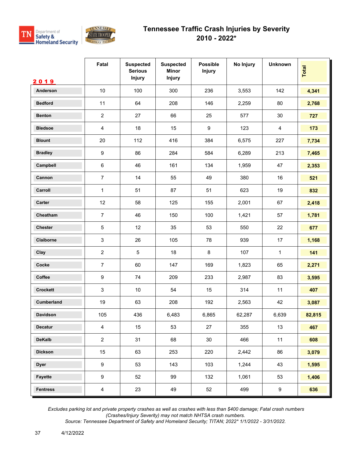



|                   | Fatal            | <b>Suspected</b><br><b>Serious</b><br>Injury | <b>Suspected</b><br><b>Minor</b><br><b>Injury</b> | <b>Possible</b><br><b>Injury</b> | No Injury | <b>Unknown</b> | Total  |
|-------------------|------------------|----------------------------------------------|---------------------------------------------------|----------------------------------|-----------|----------------|--------|
| 2019              |                  |                                              |                                                   |                                  |           |                |        |
| Anderson          | 10               | 100                                          | 300                                               | 236                              | 3,553     | 142            | 4,341  |
| <b>Bedford</b>    | 11               | 64                                           | 208                                               | 146                              | 2,259     | 80             | 2,768  |
| <b>Benton</b>     | $\overline{2}$   | 27                                           | 66                                                | 25                               | 577       | 30             | 727    |
| <b>Bledsoe</b>    | 4                | 18                                           | 15                                                | 9                                | 123       | $\overline{4}$ | 173    |
| <b>Blount</b>     | 20               | 112                                          | 416                                               | 384                              | 6,575     | 227            | 7,734  |
| <b>Bradley</b>    | $\boldsymbol{9}$ | 86                                           | 284                                               | 584                              | 6,289     | 213            | 7,465  |
| Campbell          | $\,6\,$          | 46                                           | 161                                               | 134                              | 1,959     | 47             | 2,353  |
| Cannon            | $\overline{7}$   | 14                                           | 55                                                | 49                               | 380       | 16             | 521    |
| Carroll           | 1                | 51                                           | 87                                                | 51                               | 623       | 19             | 832    |
| <b>Carter</b>     | 12               | 58                                           | 125                                               | 155                              | 2,001     | 67             | 2,418  |
| Cheatham          | $\overline{7}$   | 46                                           | 150                                               | 100                              | 1,421     | 57             | 1,781  |
| <b>Chester</b>    | 5                | 12                                           | 35                                                | 53                               | 550       | 22             | 677    |
| Claiborne         | $\mathfrak{S}$   | 26                                           | 105                                               | 78                               | 939       | 17             | 1,168  |
| Clay              | $\overline{2}$   | $\overline{5}$                               | 18                                                | 8                                | 107       | $\mathbf{1}$   | 141    |
| Cocke             | $\overline{7}$   | 60                                           | 147                                               | 169                              | 1,823     | 65             | 2,271  |
| Coffee            | $\boldsymbol{9}$ | 74                                           | 209                                               | 233                              | 2,987     | 83             | 3,595  |
| <b>Crockett</b>   | $\sqrt{3}$       | $10\,$                                       | 54                                                | 15                               | 314       | 11             | 407    |
| <b>Cumberland</b> | 19               | 63                                           | 208                                               | 192                              | 2,563     | 42             | 3,087  |
| Davidson          | 105              | 436                                          | 6,483                                             | 6,865                            | 62,287    | 6,639          | 82,815 |
| Decatur           | $\overline{4}$   | 15                                           | 53                                                | 27                               | 355       | 13             | 467    |
| <b>DeKalb</b>     | $\overline{a}$   | 31                                           | 68                                                | 30                               | 466       | 11             | 608    |
| <b>Dickson</b>    | 15               | 63                                           | 253                                               | 220                              | 2,442     | 86             | 3,079  |
| <b>Dyer</b>       | $\boldsymbol{9}$ | 53                                           | 143                                               | 103                              | 1,244     | 43             | 1,595  |
| Fayette           | 9                | 52                                           | 99                                                | 132                              | 1,061     | 53             | 1,406  |
| <b>Fentress</b>   | $\overline{4}$   | 23                                           | 49                                                | 52                               | 499       | 9              | 636    |

 *Excludes parking lot and private property crashes as well as crashes with less than \$400 damage; Fatal crash numbers (Crashes/Injury Severity) may not match NHTSA crash numbers.*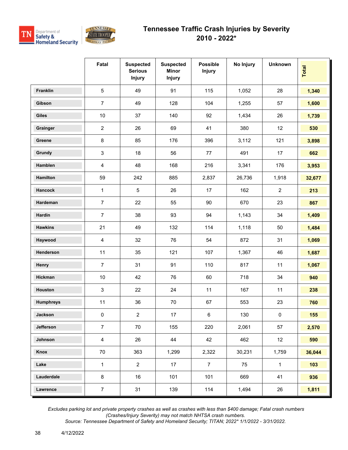



|                  | Fatal                   | <b>Suspected</b><br><b>Serious</b><br><b>Injury</b> | <b>Suspected</b><br><b>Minor</b><br><b>Injury</b> | <b>Possible</b><br><b>Injury</b> | No Injury | <b>Unknown</b> | Total  |
|------------------|-------------------------|-----------------------------------------------------|---------------------------------------------------|----------------------------------|-----------|----------------|--------|
| Franklin         | 5                       | 49                                                  | 91                                                | 115                              | 1,052     | 28             | 1,340  |
| Gibson           | $\overline{7}$          | 49                                                  | 128                                               | 104                              | 1,255     | 57             | 1,600  |
| <b>Giles</b>     | 10                      | 37                                                  | 140                                               | 92                               | 1,434     | 26             | 1,739  |
| Grainger         | $\overline{c}$          | 26                                                  | 69                                                | 41                               | 380       | 12             | 530    |
| Greene           | $\,8\,$                 | 85                                                  | 176                                               | 396                              | 3,112     | 121            | 3,898  |
| Grundy           | $\mathsf 3$             | 18                                                  | 56                                                | 77                               | 491       | 17             | 662    |
| Hamblen          | $\overline{\mathbf{4}}$ | 48                                                  | 168                                               | 216                              | 3,341     | 176            | 3,953  |
| Hamilton         | 59                      | 242                                                 | 885                                               | 2,837                            | 26,736    | 1,918          | 32,677 |
| <b>Hancock</b>   | 1                       | 5                                                   | 26                                                | 17                               | 162       | $\overline{2}$ | 213    |
| Hardeman         | $\overline{7}$          | 22                                                  | 55                                                | 90                               | 670       | 23             | 867    |
| Hardin           | $\overline{7}$          | 38                                                  | 93                                                | 94                               | 1,143     | 34             | 1,409  |
| <b>Hawkins</b>   | 21                      | 49                                                  | 132                                               | 114                              | 1,118     | 50             | 1,484  |
| Haywood          | $\overline{\mathbf{4}}$ | 32                                                  | 76                                                | 54                               | 872       | 31             | 1,069  |
| Henderson        | 11                      | 35                                                  | 121                                               | 107                              | 1,367     | 46             | 1,687  |
| Henry            | $\overline{7}$          | 31                                                  | 91                                                | 110                              | 817       | 11             | 1,067  |
| Hickman          | 10                      | 42                                                  | 76                                                | 60                               | 718       | 34             | 940    |
| Houston          | 3                       | 22                                                  | 24                                                | 11                               | 167       | 11             | 238    |
| <b>Humphreys</b> | 11                      | 36                                                  | 70                                                | 67                               | 553       | 23             | 760    |
| Jackson          | 0                       | 2                                                   | 17                                                | 6                                | 130       | 0              | 155    |
| Jefferson        | $\overline{7}$          | 70                                                  | 155                                               | 220                              | 2,061     | 57             | 2,570  |
| Johnson          | $\overline{\mathbf{4}}$ | 26                                                  | 44                                                | 42                               | 462       | 12             | 590    |
| Knox             | 70                      | 363                                                 | 1,299                                             | 2,322                            | 30,231    | 1,759          | 36,044 |
| Lake             | $\mathbf 1$             | $\overline{2}$                                      | 17                                                | $\overline{7}$                   | 75        | $\mathbf{1}$   | 103    |
| Lauderdale       | $\bf 8$                 | 16                                                  | 101                                               | 101                              | 669       | 41             | 936    |
| Lawrence         | $\overline{7}$          | 31                                                  | 139                                               | 114                              | 1,494     | 26             | 1,811  |

 *Excludes parking lot and private property crashes as well as crashes with less than \$400 damage; Fatal crash numbers (Crashes/Injury Severity) may not match NHTSA crash numbers.*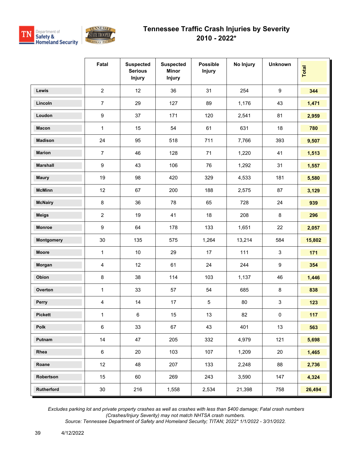

|                 | Fatal                   | <b>Suspected</b><br><b>Serious</b><br>Injury | <b>Suspected</b><br><b>Minor</b><br><b>Injury</b> | <b>Possible</b><br><b>Injury</b> | No Injury | <b>Unknown</b>            | <b>Total</b> |
|-----------------|-------------------------|----------------------------------------------|---------------------------------------------------|----------------------------------|-----------|---------------------------|--------------|
| Lewis           | $\overline{2}$          | 12                                           | 36                                                | 31                               | 254       | $\boldsymbol{9}$          | 344          |
| Lincoln         | $\overline{7}$          | 29                                           | 127                                               | 89                               | 1,176     | 43                        | 1,471        |
| Loudon          | $\boldsymbol{9}$        | 37                                           | 171                                               | 120                              | 2,541     | 81                        | 2,959        |
| <b>Macon</b>    | $\mathbf{1}$            | 15                                           | 54                                                | 61                               | 631       | 18                        | 780          |
| <b>Madison</b>  | 24                      | 95                                           | 518                                               | 711                              | 7,766     | 393                       | 9,507        |
| <b>Marion</b>   | $\overline{7}$          | 46                                           | 128                                               | 71                               | 1,220     | 41                        | 1,513        |
| <b>Marshall</b> | 9                       | 43                                           | 106                                               | 76                               | 1,292     | 31                        | 1,557        |
| <b>Maury</b>    | 19                      | 98                                           | 420                                               | 329                              | 4,533     | 181                       | 5,580        |
| <b>McMinn</b>   | 12                      | 67                                           | 200                                               | 188                              | 2,575     | 87                        | 3,129        |
| <b>McNairy</b>  | $\bf 8$                 | 36                                           | 78                                                | 65                               | 728       | 24                        | 939          |
| <b>Meigs</b>    | $\overline{2}$          | 19                                           | 41                                                | 18                               | 208       | $\bf 8$                   | 296          |
| <b>Monroe</b>   | 9                       | 64                                           | 178                                               | 133                              | 1,651     | 22                        | 2,057        |
| Montgomery      | 30                      | 135                                          | 575                                               | 1,264                            | 13,214    | 584                       | 15,802       |
| <b>Moore</b>    | $\mathbf{1}$            | 10                                           | 29                                                | 17                               | 111       | $\mathbf{3}$              | 171          |
| Morgan          | $\overline{\mathbf{4}}$ | 12                                           | 61                                                | 24                               | 244       | $\boldsymbol{9}$          | 354          |
| Obion           | 8                       | 38                                           | 114                                               | 103                              | 1,137     | 46                        | 1,446        |
| Overton         | $\mathbf{1}$            | 33                                           | 57                                                | 54                               | 685       | $\bf 8$                   | 838          |
| Perry           | $\overline{\mathbf{4}}$ | 14                                           | 17                                                | $\sqrt{5}$                       | 80        | $\ensuremath{\mathsf{3}}$ | 123          |
| <b>Pickett</b>  | 1                       | 6                                            | 15                                                | 13                               | 82        | $\pmb{0}$                 | 117          |
| Polk            | 6                       | 33                                           | 67                                                | 43                               | 401       | 13                        | 563          |
| Putnam          | 14                      | 47                                           | 205                                               | 332                              | 4,979     | 121                       | 5,698        |
| Rhea            | $\,6\,$                 | 20                                           | 103                                               | 107                              | 1,209     | $20\,$                    | 1,465        |
| Roane           | 12                      | 48                                           | 207                                               | 133                              | 2,248     | 88                        | 2,736        |
| Robertson       | 15                      | 60                                           | 269                                               | 243                              | 3,590     | 147                       | 4,324        |
| Rutherford      | $30\,$                  | 216                                          | 1,558                                             | 2,534                            | 21,398    | 758                       | 26,494       |

 *Excludes parking lot and private property crashes as well as crashes with less than \$400 damage; Fatal crash numbers (Crashes/Injury Severity) may not match NHTSA crash numbers.*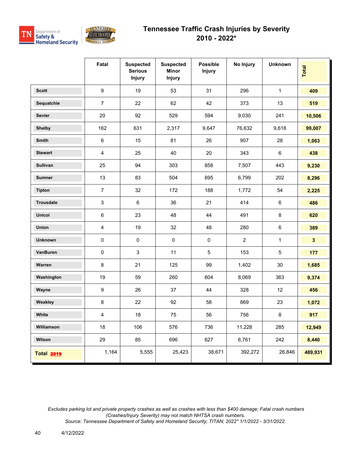



|                   | Fatal                   | <b>Suspected</b><br><b>Serious</b><br><b>Injury</b> | <b>Suspected</b><br><b>Minor</b><br>Injury | <b>Possible</b><br><b>Injury</b> | No Injury      | <b>Unknown</b> | Total        |
|-------------------|-------------------------|-----------------------------------------------------|--------------------------------------------|----------------------------------|----------------|----------------|--------------|
| <b>Scott</b>      | 9                       | 19                                                  | 53                                         | 31                               | 296            | $\mathbf{1}$   | 409          |
| Sequatchie        | $\overline{7}$          | 22                                                  | 62                                         | 42                               | 373            | 13             | 519          |
| <b>Sevier</b>     | 20                      | 92                                                  | 529                                        | 594                              | 9,030          | 241            | 10,506       |
| <b>Shelby</b>     | 162                     | 631                                                 | 2,317                                      | 9,647                            | 76,632         | 9,618          | 99,007       |
| <b>Smith</b>      | 6                       | 15                                                  | 81                                         | 26                               | 907            | 28             | 1,063        |
| <b>Stewart</b>    | $\overline{\mathbf{4}}$ | 25                                                  | 40                                         | 20                               | 343            | $6\phantom{1}$ | 438          |
| <b>Sullivan</b>   | 25                      | 94                                                  | 303                                        | 858                              | 7,507          | 443            | 9,230        |
| <b>Sumner</b>     | 13                      | 83                                                  | 504                                        | 695                              | 6,799          | 202            | 8,296        |
| <b>Tipton</b>     | $\overline{7}$          | 32                                                  | 172                                        | 188                              | 1,772          | 54             | 2,225        |
| <b>Trousdale</b>  | 3                       | $\,6\,$                                             | 36                                         | 21                               | 414            | $6\phantom{1}$ | 486          |
| <b>Unicoi</b>     | 6                       | 23                                                  | 48                                         | 44                               | 491            | 8              | 620          |
| Union             | $\overline{4}$          | 19                                                  | 32                                         | 48                               | 280            | $\,6\,$        | 389          |
| <b>Unknown</b>    | $\pmb{0}$               | $\pmb{0}$                                           | $\pmb{0}$                                  | $\pmb{0}$                        | $\overline{2}$ | 1              | $\mathbf{3}$ |
| VanBuren          | $\pmb{0}$               | 3                                                   | 11                                         | 5                                | 153            | $\sqrt{5}$     | 177          |
| Warren            | 8                       | 21                                                  | 125                                        | 99                               | 1,402          | 30             | 1,685        |
| Washington        | 19                      | 59                                                  | 260                                        | 604                              | 8,069          | 363            | 9,374        |
| Wayne             | $\boldsymbol{9}$        | 26                                                  | 37                                         | 44                               | 328            | 12             | 456          |
| Weakley           | $\bf 8$                 | 22                                                  | 92                                         | 58                               | 869            | 23             | 1,072        |
| White             | $\overline{\mathbf{4}}$ | 18                                                  | 75                                         | 56                               | 756            | 8              | 917          |
| Williamson        | 18                      | 106                                                 | 576                                        | 736                              | 11,228         | 285            | 12,949       |
| Wilson            | 29                      | 85                                                  | 696                                        | 627                              | 6,761          | 242            | 8,440        |
| <b>Total 2019</b> | 1,164                   | 5,555                                               | 25,423                                     | 38,671                           | 392,272        | 26,846         | 489,931      |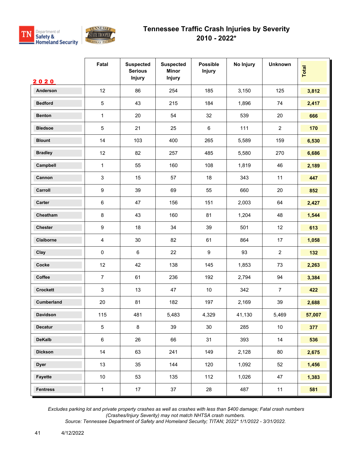



|                 | Fatal                     | <b>Suspected</b><br><b>Serious</b><br><b>Injury</b> | <b>Suspected</b><br><b>Minor</b><br>Injury | <b>Possible</b><br><b>Injury</b> | No Injury | <b>Unknown</b>  | <b>Total</b> |
|-----------------|---------------------------|-----------------------------------------------------|--------------------------------------------|----------------------------------|-----------|-----------------|--------------|
| 2020            |                           |                                                     |                                            |                                  |           |                 |              |
| Anderson        | 12                        | 86                                                  | 254                                        | 185                              | 3,150     | 125             | 3,812        |
| <b>Bedford</b>  | 5                         | 43                                                  | 215                                        | 184                              | 1,896     | 74              | 2,417        |
| <b>Benton</b>   | 1                         | 20                                                  | 54                                         | 32                               | 539       | 20              | 666          |
| <b>Bledsoe</b>  | 5                         | 21                                                  | 25                                         | 6                                | 111       | $\overline{2}$  | 170          |
| <b>Blount</b>   | 14                        | 103                                                 | 400                                        | 265                              | 5,589     | 159             | 6,530        |
| <b>Bradley</b>  | 12                        | 82                                                  | 257                                        | 485                              | 5,580     | 270             | 6,686        |
| Campbell        | 1                         | 55                                                  | 160                                        | 108                              | 1,819     | 46              | 2,189        |
| Cannon          | $\ensuremath{\mathsf{3}}$ | 15                                                  | 57                                         | 18                               | 343       | 11              | 447          |
| Carroll         | $\boldsymbol{9}$          | 39                                                  | 69                                         | 55                               | 660       | 20              | 852          |
| Carter          | $\,6\,$                   | 47                                                  | 156                                        | 151                              | 2,003     | 64              | 2,427        |
| Cheatham        | $\bf 8$                   | 43                                                  | 160                                        | 81                               | 1,204     | 48              | 1,544        |
| <b>Chester</b>  | $\boldsymbol{9}$          | 18                                                  | 34                                         | 39                               | 501       | 12              | 613          |
| Claiborne       | $\overline{\mathbf{4}}$   | 30                                                  | 82                                         | 61                               | 864       | 17              | 1,058        |
| Clay            | $\pmb{0}$                 | 6                                                   | 22                                         | 9                                | 93        | $\overline{2}$  | 132          |
| Cocke           | 12                        | 42                                                  | 138                                        | 145                              | 1,853     | 73              | 2,263        |
| Coffee          | $\overline{7}$            | 61                                                  | 236                                        | 192                              | 2,794     | 94              | 3,384        |
| <b>Crockett</b> | 3                         | 13                                                  | 47                                         | 10                               | 342       | $\overline{7}$  | 422          |
| Cumberland      | 20                        | 81                                                  | 182                                        | 197                              | 2,169     | 39              | 2,688        |
| <b>Davidson</b> | 115                       | 481                                                 | 5,483                                      | 4,329                            | 41,130    | 5,469           | 57,007       |
| Decatur         | $\overline{5}$            | 8                                                   | 39                                         | $30\,$                           | 285       | 10 <sub>1</sub> | 377          |
| <b>DeKalb</b>   | $\,6\,$                   | 26                                                  | 66                                         | 31                               | 393       | 14              | 536          |
| <b>Dickson</b>  | 14                        | 63                                                  | 241                                        | 149                              | 2,128     | 80              | 2,675        |
| <b>Dyer</b>     | 13                        | 35                                                  | 144                                        | 120                              | 1,092     | 52              | 1,456        |
| Fayette         | 10 <sup>°</sup>           | 53                                                  | 135                                        | 112                              | 1,026     | 47              | 1,383        |
| <b>Fentress</b> | $\mathbf{1}$              | 17                                                  | 37                                         | 28                               | 487       | 11              | 581          |

 *Excludes parking lot and private property crashes as well as crashes with less than \$400 damage; Fatal crash numbers (Crashes/Injury Severity) may not match NHTSA crash numbers.*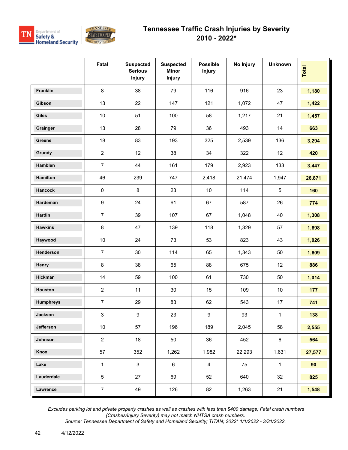



|                  | Fatal            | <b>Suspected</b><br><b>Serious</b><br><b>Injury</b> | <b>Suspected</b><br><b>Minor</b><br><b>Injury</b> | <b>Possible</b><br><b>Injury</b> | No Injury | <b>Unknown</b> | Total  |
|------------------|------------------|-----------------------------------------------------|---------------------------------------------------|----------------------------------|-----------|----------------|--------|
| Franklin         | 8                | 38                                                  | 79                                                | 116                              | 916       | 23             | 1,180  |
| Gibson           | 13               | 22                                                  | 147                                               | 121                              | 1,072     | 47             | 1,422  |
| <b>Giles</b>     | 10               | 51                                                  | 100                                               | 58                               | 1,217     | 21             | 1,457  |
| Grainger         | 13               | 28                                                  | 79                                                | 36                               | 493       | 14             | 663    |
| Greene           | 18               | 83                                                  | 193                                               | 325                              | 2,539     | 136            | 3,294  |
| Grundy           | $\overline{2}$   | 12                                                  | 38                                                | 34                               | 322       | 12             | 420    |
| Hamblen          | $\overline{7}$   | 44                                                  | 161                                               | 179                              | 2,923     | 133            | 3,447  |
| <b>Hamilton</b>  | 46               | 239                                                 | 747                                               | 2,418                            | 21,474    | 1,947          | 26,871 |
| <b>Hancock</b>   | $\mathsf 0$      | 8                                                   | 23                                                | 10                               | 114       | 5              | 160    |
| Hardeman         | $\boldsymbol{9}$ | 24                                                  | 61                                                | 67                               | 587       | 26             | 774    |
| Hardin           | $\overline{7}$   | 39                                                  | 107                                               | 67                               | 1,048     | 40             | 1,308  |
| <b>Hawkins</b>   | 8                | 47                                                  | 139                                               | 118                              | 1,329     | 57             | 1,698  |
| Haywood          | 10               | 24                                                  | 73                                                | 53                               | 823       | 43             | 1,026  |
| Henderson        | $\overline{7}$   | 30                                                  | 114                                               | 65                               | 1,343     | 50             | 1,609  |
| Henry            | $\bf 8$          | 38                                                  | 65                                                | 88                               | 675       | 12             | 886    |
| Hickman          | 14               | 59                                                  | 100                                               | 61                               | 730       | 50             | 1,014  |
| Houston          | $\overline{2}$   | 11                                                  | 30                                                | 15                               | 109       | $10$           | 177    |
| <b>Humphreys</b> | $\overline{7}$   | 29                                                  | 83                                                | 62                               | 543       | 17             | 741    |
| Jackson          | $\mathbf{3}$     | 9                                                   | 23                                                | $\boldsymbol{9}$                 | 93        | $\mathbf{1}$   | 138    |
| Jefferson        | $10\,$           | 57                                                  | 196                                               | 189                              | 2,045     | 58             | 2,555  |
| Johnson          | $\overline{2}$   | 18                                                  | 50                                                | 36                               | 452       | 6              | 564    |
| Knox             | 57               | 352                                                 | 1,262                                             | 1,982                            | 22,293    | 1,631          | 27,577 |
| Lake             | $\mathbf{1}$     | $\mathbf{3}$                                        | $6\phantom{.}6$                                   | $\overline{\mathbf{4}}$          | 75        | $\mathbf{1}$   | 90     |
| Lauderdale       | $5\,$            | 27                                                  | 69                                                | 52                               | 640       | 32             | 825    |
| Lawrence         | $\overline{7}$   | 49                                                  | 126                                               | 82                               | 1,263     | 21             | 1,548  |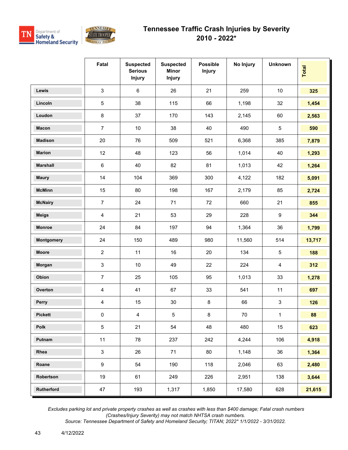

|                 | Fatal          | <b>Suspected</b><br><b>Serious</b><br><b>Injury</b> | <b>Suspected</b><br><b>Minor</b><br><b>Injury</b> | <b>Possible</b><br><b>Injury</b> | No Injury | <b>Unknown</b>            | Total  |
|-----------------|----------------|-----------------------------------------------------|---------------------------------------------------|----------------------------------|-----------|---------------------------|--------|
| <b>Lewis</b>    | 3              | $\,6\,$                                             | 26                                                | 21                               | 259       | 10                        | 325    |
| Lincoln         | 5              | 38                                                  | 115                                               | 66                               | 1,198     | 32                        | 1,454  |
| Loudon          | 8              | 37                                                  | 170                                               | 143                              | 2,145     | 60                        | 2,563  |
| <b>Macon</b>    | $\overline{7}$ | 10                                                  | 38                                                | 40                               | 490       | $\sqrt{5}$                | 590    |
| <b>Madison</b>  | 20             | 76                                                  | 509                                               | 521                              | 6,368     | 385                       | 7,879  |
| <b>Marion</b>   | 12             | 48                                                  | 123                                               | 56                               | 1,014     | 40                        | 1,293  |
| <b>Marshall</b> | $\,6$          | 40                                                  | 82                                                | 81                               | 1,013     | 42                        | 1,264  |
| <b>Maury</b>    | 14             | 104                                                 | 369                                               | 300                              | 4,122     | 182                       | 5,091  |
| <b>McMinn</b>   | 15             | 80                                                  | 198                                               | 167                              | 2,179     | 85                        | 2,724  |
| <b>McNairy</b>  | $\overline{7}$ | 24                                                  | 71                                                | 72                               | 660       | 21                        | 855    |
| <b>Meigs</b>    | 4              | 21                                                  | 53                                                | 29                               | 228       | $\boldsymbol{9}$          | 344    |
| Monroe          | 24             | 84                                                  | 197                                               | 94                               | 1,364     | 36                        | 1,799  |
| Montgomery      | 24             | 150                                                 | 489                                               | 980                              | 11,560    | 514                       | 13,717 |
| <b>Moore</b>    | $\overline{2}$ | 11                                                  | 16                                                | 20                               | 134       | $\sqrt{5}$                | 188    |
| Morgan          | 3              | 10                                                  | 49                                                | 22                               | 224       | $\overline{4}$            | 312    |
| Obion           | $\overline{7}$ | 25                                                  | 105                                               | 95                               | 1,013     | 33                        | 1,278  |
| Overton         | 4              | 41                                                  | 67                                                | 33                               | 541       | 11                        | 697    |
| Perry           | 4              | 15                                                  | 30                                                | $\bf 8$                          | 66        | $\ensuremath{\mathsf{3}}$ | 126    |
| <b>Pickett</b>  | $\pmb{0}$      | $\overline{\mathbf{4}}$                             | 5                                                 | 8                                | 70        | 1                         | 88     |
| Polk            | 5              | 21                                                  | 54                                                | 48                               | 480       | 15                        | 623    |
| Putnam          | 11             | 78                                                  | 237                                               | 242                              | 4,244     | 106                       | 4,918  |
| Rhea            | $\mathbf{3}$   | 26                                                  | 71                                                | 80                               | 1,148     | 36                        | 1,364  |
| Roane           | 9              | 54                                                  | 190                                               | 118                              | 2,046     | 63                        | 2,480  |
| Robertson       | 19             | 61                                                  | 249                                               | 226                              | 2,951     | 138                       | 3,644  |
| Rutherford      | 47             | 193                                                 | 1,317                                             | 1,850                            | 17,580    | 628                       | 21,615 |

 *Excludes parking lot and private property crashes as well as crashes with less than \$400 damage; Fatal crash numbers (Crashes/Injury Severity) may not match NHTSA crash numbers.*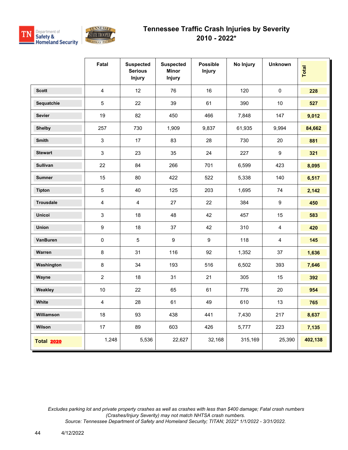



|                   | Fatal                   | <b>Suspected</b><br><b>Serious</b><br><b>Injury</b> | <b>Suspected</b><br><b>Minor</b><br><b>Injury</b> | <b>Possible</b><br><b>Injury</b> | No Injury | <b>Unknown</b>   | Total   |
|-------------------|-------------------------|-----------------------------------------------------|---------------------------------------------------|----------------------------------|-----------|------------------|---------|
| <b>Scott</b>      | $\overline{4}$          | 12                                                  | 76                                                | 16                               | 120       | $\mathbf 0$      | 228     |
| Sequatchie        | 5                       | 22                                                  | 39                                                | 61                               | 390       | 10               | 527     |
| <b>Sevier</b>     | 19                      | 82                                                  | 450                                               | 466                              | 7,848     | 147              | 9,012   |
| <b>Shelby</b>     | 257                     | 730                                                 | 1,909                                             | 9,837                            | 61,935    | 9,994            | 84,662  |
| Smith             | $\mathfrak{S}$          | 17                                                  | 83                                                | 28                               | 730       | 20               | 881     |
| <b>Stewart</b>    | 3                       | 23                                                  | 35                                                | 24                               | 227       | 9                | 321     |
| <b>Sullivan</b>   | 22                      | 84                                                  | 266                                               | 701                              | 6,599     | 423              | 8,095   |
| <b>Sumner</b>     | 15                      | 80                                                  | 422                                               | 522                              | 5,338     | 140              | 6,517   |
| <b>Tipton</b>     | 5                       | 40                                                  | 125                                               | 203                              | 1,695     | 74               | 2,142   |
| <b>Trousdale</b>  | $\overline{\mathbf{4}}$ | $\overline{4}$                                      | 27                                                | 22                               | 384       | $\boldsymbol{9}$ | 450     |
| <b>Unicoi</b>     | 3                       | 18                                                  | 48                                                | 42                               | 457       | 15               | 583     |
| Union             | $\boldsymbol{9}$        | 18                                                  | 37                                                | 42                               | 310       | $\overline{4}$   | 420     |
| VanBuren          | 0                       | 5                                                   | $\boldsymbol{9}$                                  | 9                                | 118       | $\overline{4}$   | 145     |
| Warren            | $\bf 8$                 | 31                                                  | 116                                               | 92                               | 1,352     | 37               | 1,636   |
| Washington        | $\bf 8$                 | 34                                                  | 193                                               | 516                              | 6,502     | 393              | 7,646   |
| Wayne             | $\overline{2}$          | 18                                                  | 31                                                | 21                               | 305       | 15               | 392     |
| Weakley           | 10                      | 22                                                  | 65                                                | 61                               | 776       | 20               | 954     |
| White             | $\overline{\mathbf{4}}$ | 28                                                  | 61                                                | 49                               | 610       | 13               | 765     |
| Williamson        | 18                      | 93                                                  | 438                                               | 441                              | 7,430     | 217              | 8,637   |
| Wilson            | 17                      | 89                                                  | 603                                               | 426                              | 5,777     | 223              | 7,135   |
| <b>Total 2020</b> | 1,248                   | 5,536                                               | 22,627                                            | 32,168                           | 315,169   | 25,390           | 402,138 |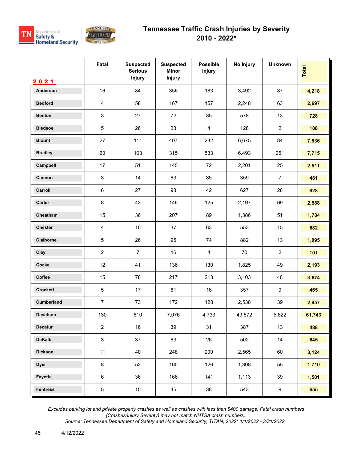



|                 | Fatal                     | <b>Suspected</b><br><b>Serious</b><br><b>Injury</b> | <b>Suspected</b><br><b>Minor</b><br>Injury | <b>Possible</b><br><b>Injury</b> | No Injury | <b>Unknown</b> | <b>Total</b> |
|-----------------|---------------------------|-----------------------------------------------------|--------------------------------------------|----------------------------------|-----------|----------------|--------------|
| 2021            |                           |                                                     |                                            |                                  |           |                |              |
| Anderson        | 16                        | 84                                                  | 356                                        | 183                              | 3,492     | 87             | 4,218        |
| <b>Bedford</b>  | $\overline{\mathbf{4}}$   | 58                                                  | 167                                        | 157                              | 2,248     | 63             | 2,697        |
| <b>Benton</b>   | $\ensuremath{\mathsf{3}}$ | 27                                                  | 72                                         | 35                               | 578       | 13             | 728          |
| <b>Bledsoe</b>  | 5                         | 26                                                  | 23                                         | 4                                | 128       | $\overline{2}$ | 188          |
| <b>Blount</b>   | 27                        | 111                                                 | 407                                        | 232                              | 6,675     | 84             | 7,536        |
| <b>Bradley</b>  | 20                        | 103                                                 | 315                                        | 533                              | 6,493     | 251            | 7,715        |
| Campbell        | 17                        | 51                                                  | 145                                        | 72                               | 2,201     | 25             | 2,511        |
| Cannon          | $\ensuremath{\mathsf{3}}$ | 14                                                  | 63                                         | 35                               | 359       | $\overline{7}$ | 481          |
| Carroll         | $\,6\,$                   | 27                                                  | 98                                         | 42                               | 627       | 28             | 828          |
| Carter          | $\bf 8$                   | 43                                                  | 146                                        | 125                              | 2,197     | 69             | 2,588        |
| Cheatham        | 15                        | 36                                                  | 207                                        | 89                               | 1,386     | 51             | 1,784        |
| <b>Chester</b>  | $\overline{4}$            | 10                                                  | 37                                         | 63                               | 553       | 15             | 682          |
| Claiborne       | 5                         | 26                                                  | 95                                         | 74                               | 882       | 13             | 1,095        |
| Clay            | $\overline{2}$            | $\overline{7}$                                      | 16                                         | $\overline{\mathbf{4}}$          | 70        | $\overline{2}$ | 101          |
| Cocke           | 12                        | 41                                                  | 136                                        | 130                              | 1,825     | 49             | 2,193        |
| Coffee          | 15                        | 78                                                  | 217                                        | 213                              | 3,103     | 48             | 3,674        |
| <b>Crockett</b> | $\mathbf 5$               | 17                                                  | 61                                         | 16                               | 357       | 9              | 465          |
| Cumberland      | $\overline{7}$            | 73                                                  | 172                                        | 128                              | 2,538     | 39             | 2,957        |
| <b>Davidson</b> | 130                       | 610                                                 | 7,076                                      | 4,733                            | 43,572    | 5,622          | 61,743       |
| Decatur         | $\overline{2}$            | 16                                                  | 39                                         | 31                               | 387       | 13             | 488          |
| <b>DeKalb</b>   | $\mathbf{3}$              | 37                                                  | 63                                         | 26                               | 502       | 14             | 645          |
| <b>Dickson</b>  | 11                        | 40                                                  | 248                                        | 200                              | 2,565     | 60             | 3,124        |
| <b>Dyer</b>     | $\bf 8$                   | 53                                                  | 160                                        | 126                              | 1,308     | 55             | 1,710        |
| Fayette         | $\,6\,$                   | 36                                                  | 166                                        | 141                              | 1,113     | 39             | 1,501        |
| <b>Fentress</b> | $5\,$                     | 15                                                  | 45                                         | 38                               | 543       | 9              | 655          |

 *Excludes parking lot and private property crashes as well as crashes with less than \$400 damage; Fatal crash numbers (Crashes/Injury Severity) may not match NHTSA crash numbers.*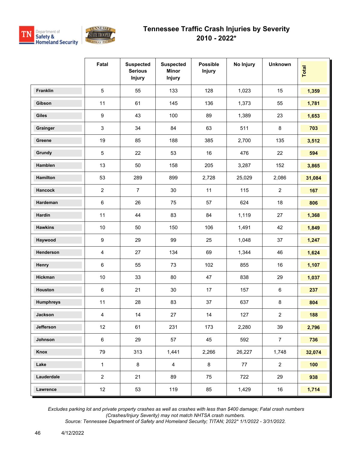



|                  | Fatal            | <b>Suspected</b><br><b>Serious</b><br><b>Injury</b> | <b>Suspected</b><br><b>Minor</b><br><b>Injury</b> | <b>Possible</b><br><b>Injury</b> | No Injury | <b>Unknown</b> | Total  |
|------------------|------------------|-----------------------------------------------------|---------------------------------------------------|----------------------------------|-----------|----------------|--------|
| Franklin         | $\overline{5}$   | 55                                                  | 133                                               | 128                              | 1,023     | 15             | 1,359  |
| Gibson           | 11               | 61                                                  | 145                                               | 136                              | 1,373     | 55             | 1,781  |
| Giles            | $\boldsymbol{9}$ | 43                                                  | 100                                               | 89                               | 1,389     | 23             | 1,653  |
| Grainger         | 3                | 34                                                  | 84                                                | 63                               | 511       | 8              | 703    |
| Greene           | 19               | 85                                                  | 188                                               | 385                              | 2,700     | 135            | 3,512  |
| Grundy           | $\sqrt{5}$       | 22                                                  | 53                                                | 16                               | 476       | 22             | 594    |
| Hamblen          | 13               | 50                                                  | 158                                               | 205                              | 3,287     | 152            | 3,865  |
| <b>Hamilton</b>  | 53               | 289                                                 | 899                                               | 2,728                            | 25,029    | 2,086          | 31,084 |
| <b>Hancock</b>   | $\overline{2}$   | $\overline{7}$                                      | 30                                                | 11                               | 115       | $\overline{2}$ | 167    |
| Hardeman         | $\,6\,$          | 26                                                  | 75                                                | 57                               | 624       | 18             | 806    |
| Hardin           | 11               | 44                                                  | 83                                                | 84                               | 1,119     | 27             | 1,368  |
| <b>Hawkins</b>   | 10               | 50                                                  | 150                                               | 106                              | 1,491     | 42             | 1,849  |
| Haywood          | $\boldsymbol{9}$ | 29                                                  | 99                                                | 25                               | 1,048     | 37             | 1,247  |
| Henderson        | 4                | 27                                                  | 134                                               | 69                               | 1,344     | 46             | 1,624  |
| Henry            | $\,6\,$          | 55                                                  | 73                                                | 102                              | 855       | 16             | 1,107  |
| Hickman          | $10$             | 33                                                  | 80                                                | 47                               | 838       | 29             | 1,037  |
| Houston          | $\,6\,$          | 21                                                  | 30                                                | 17                               | 157       | 6              | 237    |
| <b>Humphreys</b> | 11               | 28                                                  | 83                                                | 37                               | 637       | 8              | 804    |
| Jackson          | 4                | 14                                                  | 27                                                | 14                               | 127       | $\overline{2}$ | 188    |
| Jefferson        | 12               | 61                                                  | 231                                               | 173                              | 2,280     | 39             | 2,796  |
| Johnson          | $\,6\,$          | 29                                                  | 57                                                | 45                               | 592       | $\overline{7}$ | 736    |
| Knox             | 79               | 313                                                 | 1,441                                             | 2,266                            | 26,227    | 1,748          | 32,074 |
| Lake             | $\mathbf{1}$     | $\bf 8$                                             | $\overline{4}$                                    | 8                                | 77        | $\overline{a}$ | 100    |
| Lauderdale       | $\overline{2}$   | 21                                                  | 89                                                | 75                               | 722       | 29             | 938    |
| Lawrence         | 12               | 53                                                  | 119                                               | 85                               | 1,429     | 16             | 1,714  |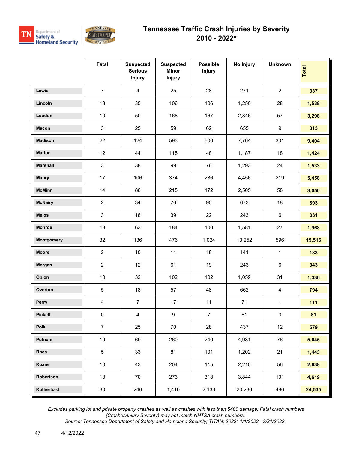

|                 | Fatal                     | <b>Suspected</b><br><b>Serious</b><br><b>Injury</b> | <b>Suspected</b><br><b>Minor</b><br><b>Injury</b> | <b>Possible</b><br><b>Injury</b> | No Injury | <b>Unknown</b> | Total  |
|-----------------|---------------------------|-----------------------------------------------------|---------------------------------------------------|----------------------------------|-----------|----------------|--------|
| <b>Lewis</b>    | $\overline{7}$            | $\overline{4}$                                      | 25                                                | 28                               | 271       | $\overline{2}$ | 337    |
| Lincoln         | 13                        | 35                                                  | 106                                               | 106                              | 1,250     | 28             | 1,538  |
| Loudon          | 10                        | 50                                                  | 168                                               | 167                              | 2,846     | 57             | 3,298  |
| <b>Macon</b>    | $\ensuremath{\mathsf{3}}$ | 25                                                  | 59                                                | 62                               | 655       | 9              | 813    |
| <b>Madison</b>  | 22                        | 124                                                 | 593                                               | 600                              | 7,764     | 301            | 9,404  |
| <b>Marion</b>   | 12                        | 44                                                  | 115                                               | 48                               | 1,187     | 18             | 1,424  |
| <b>Marshall</b> | $\mathbf{3}$              | 38                                                  | 99                                                | 76                               | 1,293     | 24             | 1,533  |
| <b>Maury</b>    | 17                        | 106                                                 | 374                                               | 286                              | 4,456     | 219            | 5,458  |
| <b>McMinn</b>   | 14                        | 86                                                  | 215                                               | 172                              | 2,505     | 58             | 3,050  |
| <b>McNairy</b>  | $\overline{2}$            | 34                                                  | 76                                                | 90                               | 673       | 18             | 893    |
| <b>Meigs</b>    | 3                         | 18                                                  | 39                                                | 22                               | 243       | 6              | 331    |
| <b>Monroe</b>   | 13                        | 63                                                  | 184                                               | 100                              | 1,581     | 27             | 1,968  |
| Montgomery      | 32                        | 136                                                 | 476                                               | 1,024                            | 13,252    | 596            | 15,516 |
| <b>Moore</b>    | $\overline{2}$            | 10                                                  | 11                                                | 18                               | 141       | 1              | 183    |
| Morgan          | $\overline{2}$            | 12                                                  | 61                                                | 19                               | 243       | 6              | 343    |
| Obion           | 10                        | 32                                                  | 102                                               | 102                              | 1,059     | 31             | 1,336  |
| Overton         | $\mathbf 5$               | 18                                                  | 57                                                | 48                               | 662       | 4              | 794    |
| Perry           | 4                         | $\overline{7}$                                      | 17                                                | 11                               | 71        | $\mathbf{1}$   | 111    |
| <b>Pickett</b>  | $\pmb{0}$                 | $\overline{\mathbf{4}}$                             | 9                                                 | $\overline{7}$                   | 61        | $\pmb{0}$      | 81     |
| Polk            | $\overline{7}$            | 25                                                  | $70\,$                                            | 28                               | 437       | 12             | 579    |
| Putnam          | 19                        | 69                                                  | 260                                               | 240                              | 4,981     | 76             | 5,645  |
| Rhea            | $\sqrt{5}$                | 33                                                  | 81                                                | 101                              | 1,202     | 21             | 1,443  |
| Roane           | 10                        | 43                                                  | 204                                               | 115                              | 2,210     | 56             | 2,638  |
| Robertson       | 13                        | 70                                                  | 273                                               | 318                              | 3,844     | 101            | 4,619  |
| Rutherford      | $30\,$                    | 246                                                 | 1,410                                             | 2,133                            | 20,230    | 486            | 24,535 |

 *Excludes parking lot and private property crashes as well as crashes with less than \$400 damage; Fatal crash numbers (Crashes/Injury Severity) may not match NHTSA crash numbers.*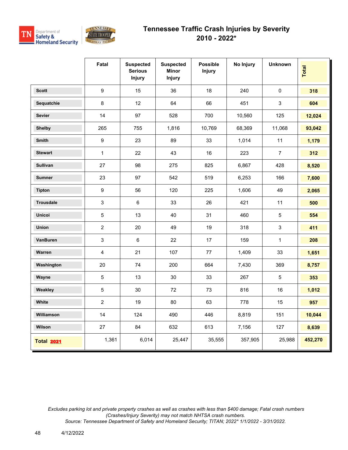



|                   | Fatal                   | <b>Suspected</b><br><b>Serious</b><br><b>Injury</b> | <b>Suspected</b><br>Minor<br>Injury | <b>Possible</b><br><b>Injury</b> | No Injury | <b>Unknown</b> | Total   |
|-------------------|-------------------------|-----------------------------------------------------|-------------------------------------|----------------------------------|-----------|----------------|---------|
| <b>Scott</b>      | $\boldsymbol{9}$        | 15                                                  | 36                                  | 18                               | 240       | $\mathbf 0$    | 318     |
| Sequatchie        | $\bf 8$                 | 12                                                  | 64                                  | 66                               | 451       | 3              | 604     |
| <b>Sevier</b>     | 14                      | 97                                                  | 528                                 | 700                              | 10,560    | 125            | 12,024  |
| <b>Shelby</b>     | 265                     | 755                                                 | 1,816                               | 10,769                           | 68,369    | 11,068         | 93,042  |
| <b>Smith</b>      | 9                       | 23                                                  | 89                                  | 33                               | 1,014     | 11             | 1,179   |
| <b>Stewart</b>    | $\mathbf{1}$            | 22                                                  | 43                                  | 16                               | 223       | $\overline{7}$ | 312     |
| <b>Sullivan</b>   | 27                      | 98                                                  | 275                                 | 825                              | 6,867     | 428            | 8,520   |
| <b>Sumner</b>     | 23                      | 97                                                  | 542                                 | 519                              | 6,253     | 166            | 7,600   |
| <b>Tipton</b>     | $\boldsymbol{9}$        | 56                                                  | 120                                 | 225                              | 1,606     | 49             | 2,065   |
| <b>Trousdale</b>  | $\mathbf{3}$            | $\,6$                                               | 33                                  | 26                               | 421       | 11             | 500     |
| <b>Unicoi</b>     | 5                       | 13                                                  | 40                                  | 31                               | 460       | $\overline{5}$ | 554     |
| Union             | $\overline{2}$          | 20                                                  | 49                                  | 19                               | 318       | $\mathfrak{S}$ | 411     |
| VanBuren          | 3                       | 6                                                   | 22                                  | 17                               | 159       | $\mathbf{1}$   | 208     |
| Warren            | $\overline{\mathbf{4}}$ | 21                                                  | 107                                 | $77\,$                           | 1,409     | 33             | 1,651   |
| Washington        | 20                      | 74                                                  | 200                                 | 664                              | 7,430     | 369            | 8,757   |
| Wayne             | $\overline{5}$          | 13                                                  | 30                                  | 33                               | 267       | $\overline{5}$ | 353     |
| Weakley           | 5                       | 30                                                  | 72                                  | 73                               | 816       | 16             | 1,012   |
| White             | $\overline{2}$          | 19                                                  | 80                                  | 63                               | 778       | 15             | 957     |
| Williamson        | 14                      | 124                                                 | 490                                 | 446                              | 8,819     | 151            | 10,044  |
| Wilson            | 27                      | 84                                                  | 632                                 | 613                              | 7,156     | 127            | 8,639   |
| <b>Total 2021</b> | 1,361                   | 6,014                                               | 25,447                              | 35,555                           | 357,905   | 25,988         | 452,270 |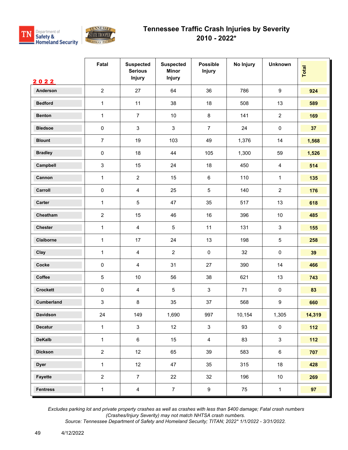



|                  | Fatal                     | <b>Suspected</b><br><b>Serious</b><br><b>Injury</b> | <b>Suspected</b><br><b>Minor</b><br><b>Injury</b> | <b>Possible</b><br><b>Injury</b> | No Injury | <b>Unknown</b>   | Total  |
|------------------|---------------------------|-----------------------------------------------------|---------------------------------------------------|----------------------------------|-----------|------------------|--------|
| 2022<br>Anderson | $\overline{2}$            | 27                                                  | 64                                                | 36                               | 786       | $\boldsymbol{9}$ | 924    |
| <b>Bedford</b>   | $\mathbf{1}$              | 11                                                  | 38                                                | 18                               | 508       | 13               | 589    |
| <b>Benton</b>    | $\mathbf{1}$              | $\overline{7}$                                      | $10\,$                                            | $\bf 8$                          | 141       | $\mathbf{2}$     | 169    |
| <b>Bledsoe</b>   |                           |                                                     |                                                   |                                  |           |                  |        |
|                  | $\pmb{0}$                 | 3                                                   | 3                                                 | $\overline{7}$                   | 24        | $\pmb{0}$        | 37     |
| <b>Blount</b>    | $\overline{7}$            | 19                                                  | 103                                               | 49                               | 1,376     | 14               | 1,568  |
| <b>Bradley</b>   | $\pmb{0}$                 | 18                                                  | 44                                                | 105                              | 1,300     | 59               | 1,526  |
| Campbell         | $\ensuremath{\mathsf{3}}$ | 15                                                  | 24                                                | 18                               | 450       | $\overline{4}$   | 514    |
| Cannon           | $\mathbf{1}$              | $\overline{2}$                                      | 15                                                | $\,6\,$                          | 110       | $\mathbf{1}$     | 135    |
| Carroll          | 0                         | $\overline{4}$                                      | 25                                                | $\sqrt{5}$                       | 140       | $\mathbf{2}$     | 176    |
| Carter           | $\mathbf{1}$              | 5                                                   | 47                                                | 35                               | 517       | 13               | 618    |
| Cheatham         | $\sqrt{2}$                | 15                                                  | 46                                                | 16                               | 396       | $10$             | 485    |
| Chester          | $\mathbf{1}$              | $\overline{4}$                                      | 5                                                 | 11                               | 131       | $\sqrt{3}$       | 155    |
| Claiborne        | $\mathbf{1}$              | 17                                                  | 24                                                | 13                               | 198       | $\sqrt{5}$       | 258    |
| Clay             | 1                         | $\overline{4}$                                      | $\overline{2}$                                    | $\pmb{0}$                        | 32        | $\pmb{0}$        | 39     |
| Cocke            | 0                         | $\overline{4}$                                      | 31                                                | 27                               | 390       | 14               | 466    |
| Coffee           | $\sqrt{5}$                | 10                                                  | 56                                                | 38                               | 621       | 13               | 743    |
| <b>Crockett</b>  | $\pmb{0}$                 | $\overline{4}$                                      | 5                                                 | $\sqrt{3}$                       | 71        | $\pmb{0}$        | 83     |
| Cumberland       | $\ensuremath{\mathsf{3}}$ | 8                                                   | 35                                                | 37                               | 568       | $\boldsymbol{9}$ | 660    |
| Davidson         | 24                        | 149                                                 | 1,690                                             | 997                              | 10,154    | 1,305            | 14,319 |
| Decatur          | $\mathbf{1}$              | $\mathbf{3}$                                        | 12                                                | $\mathbf{3}$                     | 93        | $\mathbf 0$      | $112$  |
| <b>DeKalb</b>    | $\mathbf{1}$              | $\,6\,$                                             | 15                                                | $\overline{4}$                   | 83        | $\mathbf{3}$     | $112$  |
| <b>Dickson</b>   | $\overline{2}$            | 12                                                  | 65                                                | 39                               | 583       | $\,6\,$          | 707    |
| <b>Dyer</b>      | $\mathbf{1}$              | 12                                                  | 47                                                | 35                               | 315       | 18               | 428    |
| Fayette          | $\overline{2}$            | $\overline{7}$                                      | 22                                                | 32                               | 196       | 10               | 269    |
| <b>Fentress</b>  | $\mathbf 1$               | $\overline{4}$                                      | $\overline{7}$                                    | $\boldsymbol{9}$                 | 75        | $\mathbf{1}$     | 97     |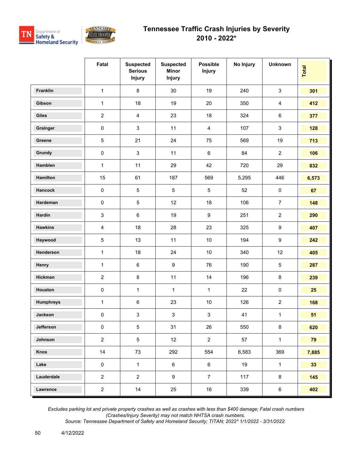



|                  | Fatal                   | <b>Suspected</b><br><b>Serious</b><br><b>Injury</b> | <b>Suspected</b><br><b>Minor</b><br><b>Injury</b> | <b>Possible</b><br><b>Injury</b> | No Injury | <b>Unknown</b>   | Total           |
|------------------|-------------------------|-----------------------------------------------------|---------------------------------------------------|----------------------------------|-----------|------------------|-----------------|
| Franklin         | $\mathbf{1}$            | $\,8\,$                                             | $30\,$                                            | 19                               | 240       | $\mathsf 3$      | 301             |
| Gibson           | $\mathbf{1}$            | 18                                                  | 19                                                | 20                               | 350       | $\overline{4}$   | 412             |
| Giles            | $\sqrt{2}$              | $\overline{4}$                                      | 23                                                | 18                               | 324       | $\,6\,$          | 377             |
| Grainger         | $\pmb{0}$               | 3                                                   | 11                                                | 4                                | 107       | $\mathsf 3$      | 128             |
| Greene           | $\sqrt{5}$              | 21                                                  | 24                                                | 75                               | 569       | 19               | 713             |
| Grundy           | $\pmb{0}$               | $\mathfrak{Z}$                                      | 11                                                | $\,6\,$                          | 84        | $\overline{c}$   | 106             |
| Hamblen          | $\mathbf{1}$            | 11                                                  | 29                                                | 42                               | 720       | 29               | 832             |
| Hamilton         | 15                      | 61                                                  | 187                                               | 569                              | 5,295     | 446              | 6,573           |
| Hancock          | $\pmb{0}$               | 5                                                   | $\sqrt{5}$                                        | $\sqrt{5}$                       | 52        | $\pmb{0}$        | 67              |
| Hardeman         | $\pmb{0}$               | 5                                                   | 12                                                | 18                               | 106       | $\overline{7}$   | 148             |
| Hardin           | $\mathsf 3$             | $\,6\,$                                             | 19                                                | $\boldsymbol{9}$                 | 251       | $\overline{2}$   | 290             |
| <b>Hawkins</b>   | $\overline{\mathbf{4}}$ | 18                                                  | 28                                                | 23                               | 325       | $\boldsymbol{9}$ | 407             |
| Haywood          | $\sqrt{5}$              | 13                                                  | 11                                                | $10$                             | 194       | $\boldsymbol{9}$ | 242             |
| Henderson        | $\mathbf{1}$            | 18                                                  | 24                                                | $10$                             | 340       | 12               | 405             |
| Henry            | $\mathbf{1}$            | $\,6\,$                                             | $\boldsymbol{9}$                                  | 76                               | 190       | $\sqrt{5}$       | 287             |
| Hickman          | $\overline{2}$          | $\bf 8$                                             | 11                                                | 14                               | 196       | $\bf 8$          | 239             |
| Houston          | $\pmb{0}$               | $\mathbf{1}$                                        | $\mathbf{1}$                                      | $\mathbf{1}$                     | 22        | $\pmb{0}$        | 25              |
| <b>Humphreys</b> | $\mathbf{1}$            | $\,6\,$                                             | 23                                                | $10$                             | 126       | $\mathbf{2}$     | 168             |
| Jackson          | $\pmb{0}$               | $\mathbf{3}$                                        | $\mathbf{3}$                                      | $\mathbf{3}$                     | 41        | $\mathbf{1}$     | 51              |
| Jefferson        | $\pmb{0}$               | 5                                                   | 31                                                | 26                               | 550       | $\bf 8$          | 620             |
| Johnson          | $\overline{2}$          | 5                                                   | 12                                                | $\overline{2}$                   | 57        | $\mathbf{1}$     | 79              |
| Knox             | 14                      | 73                                                  | 292                                               | 554                              | 6,583     | 369              | 7,885           |
| Lake             | $\pmb{0}$               | $\mathbf{1}$                                        | $6\phantom{.0}$                                   | 6                                | 19        | $\mathbf{1}$     | 33 <sup>°</sup> |
| Lauderdale       | $\overline{2}$          | $\overline{2}$                                      | 9                                                 | $\overline{7}$                   | 117       | 8                | 145             |
| Lawrence         | $\overline{a}$          | 14                                                  | 25                                                | 16                               | 339       | $\,6$            | 402             |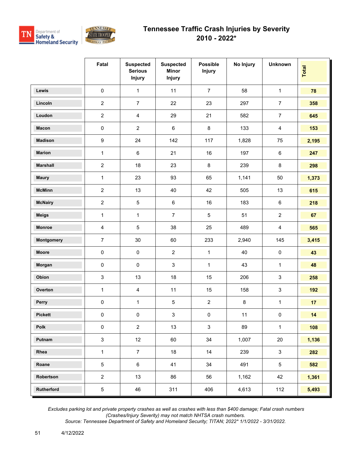



|                   | Fatal            | <b>Suspected</b><br><b>Serious</b><br><b>Injury</b> | <b>Suspected</b><br><b>Minor</b><br>Injury | <b>Possible</b><br><b>Injury</b> | No Injury | <b>Unknown</b> | Total |
|-------------------|------------------|-----------------------------------------------------|--------------------------------------------|----------------------------------|-----------|----------------|-------|
| Lewis             | $\pmb{0}$        | $\mathbf{1}$                                        | 11                                         | $\overline{7}$                   | 58        | $\mathbf{1}$   | 78    |
| Lincoln           | $\overline{a}$   | $\overline{7}$                                      | 22                                         | 23                               | 297       | $\overline{7}$ | 358   |
| Loudon            | $\overline{2}$   | $\overline{\mathbf{4}}$                             | 29                                         | 21                               | 582       | $\overline{7}$ | 645   |
| <b>Macon</b>      | $\pmb{0}$        | $\overline{2}$                                      | $\,6\,$                                    | $\,8\,$                          | 133       | $\overline{4}$ | 153   |
| <b>Madison</b>    | $\boldsymbol{9}$ | 24                                                  | 142                                        | 117                              | 1,828     | 75             | 2,195 |
| <b>Marion</b>     | $\mathbf{1}$     | $\,6\,$                                             | 21                                         | 16                               | 197       | $\,6\,$        | 247   |
| <b>Marshall</b>   | $\overline{2}$   | 18                                                  | 23                                         | $\bf 8$                          | 239       | 8              | 298   |
| <b>Maury</b>      | $\mathbf{1}$     | 23                                                  | 93                                         | 65                               | 1,141     | 50             | 1,373 |
| <b>McMinn</b>     | $\sqrt{2}$       | 13                                                  | 40                                         | 42                               | 505       | 13             | 615   |
| <b>McNairy</b>    | $\sqrt{2}$       | $\mathbf 5$                                         | $\,6\,$                                    | 16                               | 183       | $\,6\,$        | 218   |
| <b>Meigs</b>      | $\mathbf{1}$     | $\mathbf{1}$                                        | $\overline{7}$                             | 5                                | 51        | $\overline{2}$ | 67    |
| <b>Monroe</b>     | $\overline{4}$   | $\sqrt{5}$                                          | 38                                         | 25                               | 489       | $\overline{4}$ | 565   |
| <b>Montgomery</b> | $\overline{7}$   | 30                                                  | 60                                         | 233                              | 2,940     | 145            | 3,415 |
| <b>Moore</b>      | $\pmb{0}$        | $\mathsf{O}\xspace$                                 | $\overline{2}$                             | $\mathbf{1}$                     | 40        | $\pmb{0}$      | 43    |
| Morgan            | $\pmb{0}$        | $\pmb{0}$                                           | $\mathbf{3}$                               | $\mathbf{1}$                     | 43        | $\mathbf{1}$   | 48    |
| Obion             | $\mathsf 3$      | 13                                                  | 18                                         | 15                               | 206       | $\mathbf{3}$   | 258   |
| Overton           | $\mathbf{1}$     | $\overline{4}$                                      | 11                                         | 15                               | 158       | $\sqrt{3}$     | 192   |
| Perry             | $\pmb{0}$        | $\mathbf{1}$                                        | $\sqrt{5}$                                 | $\overline{c}$                   | $\bf 8$   | $\mathbf{1}$   | 17    |
| <b>Pickett</b>    | $\pmb{0}$        | $\pmb{0}$                                           | 3                                          | $\pmb{0}$                        | 11        | 0              | 14    |
| Polk              | $\pmb{0}$        | $\overline{2}$                                      | 13                                         | $\ensuremath{\mathsf{3}}$        | 89        | $\mathbf{1}$   | 108   |
| Putnam            | $\mathbf{3}$     | 12                                                  | 60                                         | 34                               | 1,007     | $20\,$         | 1,136 |
| Rhea              | 1                | $\overline{7}$                                      | 18                                         | 14                               | 239       | $\mathsf 3$    | 282   |
| Roane             | $\,$ 5 $\,$      | $\,6\,$                                             | 41                                         | 34                               | 491       | $\,$ 5 $\,$    | 582   |
| Robertson         | $\overline{2}$   | 13                                                  | 86                                         | 56                               | 1,162     | 42             | 1,361 |
| Rutherford        | 5                | 46                                                  | 311                                        | 406                              | 4,613     | 112            | 5,493 |

 *Excludes parking lot and private property crashes as well as crashes with less than \$400 damage; Fatal crash numbers (Crashes/Injury Severity) may not match NHTSA crash numbers.*